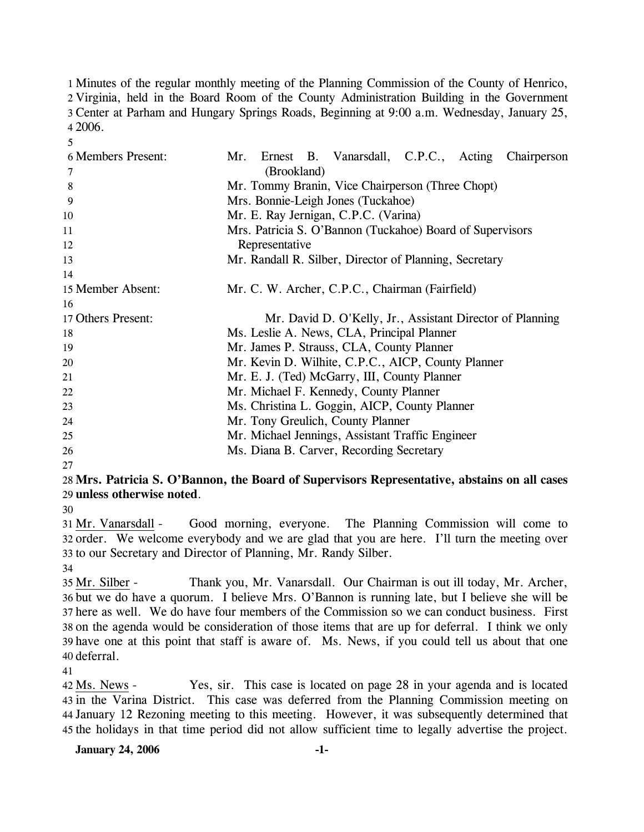Minutes of the regular monthly meeting of the Planning Commission of the County of Henrico, Virginia, held in the Board Room of the County Administration Building in the Government Center at Parham and Hungary Springs Roads, Beginning at 9:00 a.m. Wednesday, January 25, 4 2006.

| 6 Members Present: | Ernest B. Vanarsdall, C.P.C., Acting Chairperson<br>Mr.   |
|--------------------|-----------------------------------------------------------|
| 7                  | (Brookland)                                               |
| 8                  | Mr. Tommy Branin, Vice Chairperson (Three Chopt)          |
| 9                  | Mrs. Bonnie-Leigh Jones (Tuckahoe)                        |
| 10                 | Mr. E. Ray Jernigan, C.P.C. (Varina)                      |
| 11                 | Mrs. Patricia S. O'Bannon (Tuckahoe) Board of Supervisors |
| 12                 | Representative                                            |
| 13                 | Mr. Randall R. Silber, Director of Planning, Secretary    |
| 14                 |                                                           |
| 15 Member Absent:  | Mr. C. W. Archer, C.P.C., Chairman (Fairfield)            |
| 16                 |                                                           |
| 17 Others Present: | Mr. David D. O'Kelly, Jr., Assistant Director of Planning |
| 18                 | Ms. Leslie A. News, CLA, Principal Planner                |
| 19                 | Mr. James P. Strauss, CLA, County Planner                 |
| 20                 | Mr. Kevin D. Wilhite, C.P.C., AICP, County Planner        |
| 21                 | Mr. E. J. (Ted) McGarry, III, County Planner              |
| 22                 | Mr. Michael F. Kennedy, County Planner                    |
| 23                 | Ms. Christina L. Goggin, AICP, County Planner             |
| 24                 | Mr. Tony Greulich, County Planner                         |
| 25                 | Mr. Michael Jennings, Assistant Traffic Engineer          |
| 26                 | Ms. Diana B. Carver, Recording Secretary                  |
|                    |                                                           |

27

 $\epsilon$ 

28 **Mrs. Patricia S. O'Bannon, the Board of Supervisors Representative, abstains on all cases**  29 **unless otherwise noted**.

30

Good morning, everyone. The Planning Commission will come to 32 order. We welcome everybody and we are glad that you are here. I'll turn the meeting over 33 to our Secretary and Director of Planning, Mr. Randy Silber. 31 Mr. Vanarsdall -

34

Thank you, Mr. Vanarsdall. Our Chairman is out ill today, Mr. Archer, 36 but we do have a quorum. I believe Mrs. O'Bannon is running late, but I believe she will be 37 here as well. We do have four members of the Commission so we can conduct business. First 38 on the agenda would be consideration of those items that are up for deferral. I think we only have one at this point that staff is aware of. Ms. News, if you could tell us about that one 39 40 deferral. 35 Mr. Silber -

41

Yes, sir. This case is located on page 28 in your agenda and is located 43 in the Varina District. This case was deferred from the Planning Commission meeting on 44 January 12 Rezoning meeting to this meeting. However, it was subsequently determined that 45 the holidays in that time period did not allow sufficient time to legally advertise the project. 42 Ms. News -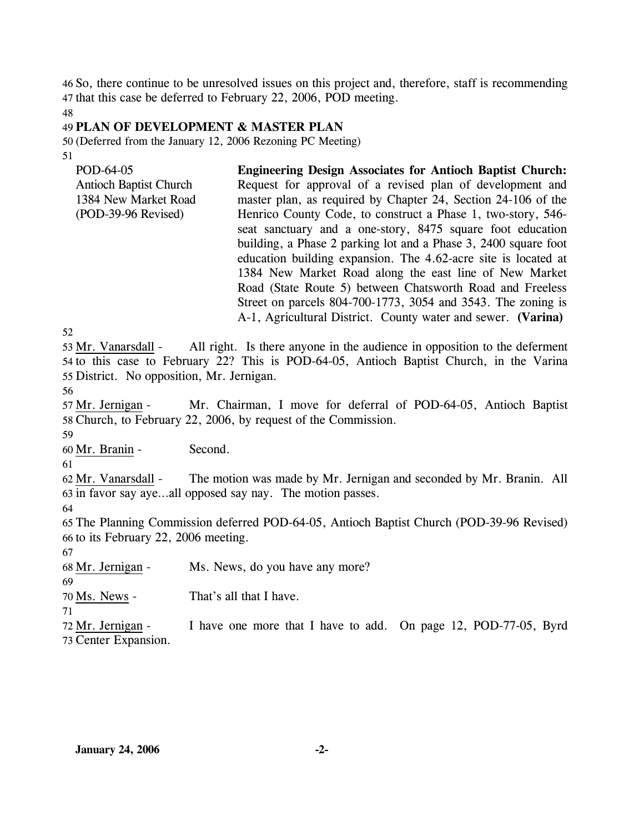46 So, there continue to be unresolved issues on this project and, therefore, staff is recommending 47 that this case be deferred to February 22, 2006, POD meeting.

48

### 49 **PLAN OF DEVELOPMENT & MASTER PLAN**

50 (Deferred from the January 12, 2006 Rezoning PC Meeting)

| 51                            |                                                                  |
|-------------------------------|------------------------------------------------------------------|
| POD-64-05                     | <b>Engineering Design Associates for Antioch Baptist Church:</b> |
| <b>Antioch Baptist Church</b> | Request for approval of a revised plan of development and        |
| 1384 New Market Road          | master plan, as required by Chapter 24, Section 24-106 of the    |
| (POD-39-96 Revised)           | Henrico County Code, to construct a Phase 1, two-story, 546-     |
|                               | seat sanctuary and a one-story, 8475 square foot education       |
|                               | building, a Phase 2 parking lot and a Phase 3, 2400 square foot  |
|                               | education building expansion. The 4.62-acre site is located at   |
|                               | 1384 New Market Road along the east line of New Market           |
|                               | Road (State Route 5) between Chatsworth Road and Freeless        |
|                               | Street on parcels 804-700-1773, 3054 and 3543. The zoning is     |
|                               | A-1, Agricultural District. County water and sewer. (Varina)     |
|                               |                                                                  |

52

All right. Is there anyone in the audience in opposition to the deferment 54 to this case to February 22? This is POD-64-05, Antioch Baptist Church, in the Varina 55 District. No opposition, Mr. Jernigan. 53 Mr. Vanarsdall -

56

Mr. Chairman, I move for deferral of POD-64-05, Antioch Baptist 58 Church, to February 22, 2006, by request of the Commission. 57 Mr. Jernigan -

60 Mr. Branin - Second.

61

59

The motion was made by Mr. Jernigan and seconded by Mr. Branin. All 63 in favor say aye...all opposed say nay. The motion passes. 62 Mr. Vanarsdall -

64

65 The Planning Commission deferred POD-64-05, Antioch Baptist Church (POD-39-96 Revised) 66 to its February 22, 2006 meeting.

67

68 Mr. Jernigan - Ms. News, do you have any more?

69

70 Ms. News - That's all that I have.

71

I have one more that I have to add. On page 12, POD-77-05, Byrd 73 Center Expansion. 72 Mr. Jernigan -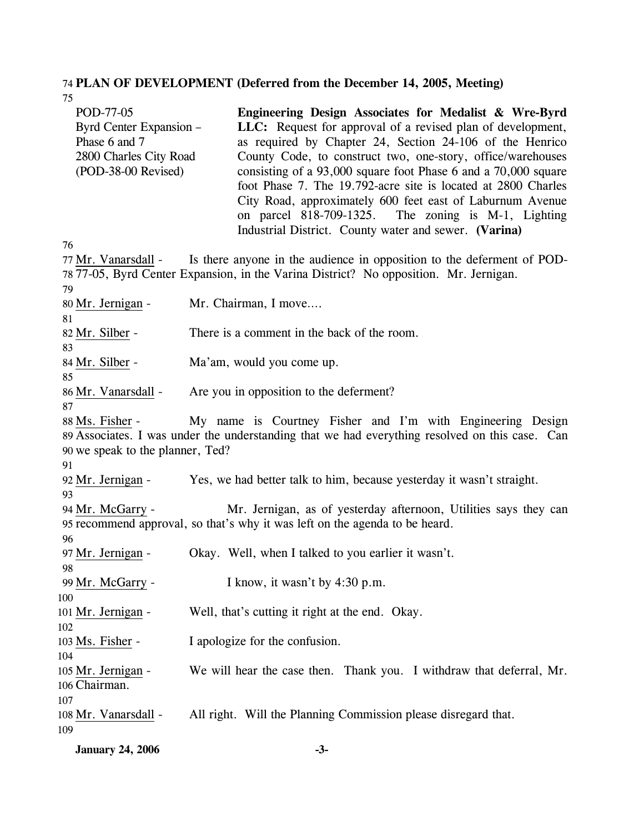#### 74 **PLAN OF DEVELOPMENT (Deferred from the December 14, 2005, Meeting)**  75

| POD-77-05<br>Byrd Center Expansion -<br>Phase 6 and 7<br>2800 Charles City Road<br>(POD-38-00 Revised) |                                             | Engineering Design Associates for Medalist & Wre-Byrd<br>LLC: Request for approval of a revised plan of development,<br>as required by Chapter 24, Section 24-106 of the Henrico<br>County Code, to construct two, one-story, office/warehouses<br>consisting of a 93,000 square foot Phase 6 and a 70,000 square<br>foot Phase 7. The 19.792-acre site is located at 2800 Charles<br>City Road, approximately 600 feet east of Laburnum Avenue<br>on parcel 818-709-1325. The zoning is M-1, Lighting<br>Industrial District. County water and sewer. (Varina) |  |  |
|--------------------------------------------------------------------------------------------------------|---------------------------------------------|-----------------------------------------------------------------------------------------------------------------------------------------------------------------------------------------------------------------------------------------------------------------------------------------------------------------------------------------------------------------------------------------------------------------------------------------------------------------------------------------------------------------------------------------------------------------|--|--|
| 76                                                                                                     |                                             |                                                                                                                                                                                                                                                                                                                                                                                                                                                                                                                                                                 |  |  |
| 77 Mr. Vanarsdall -<br>79                                                                              |                                             | Is there anyone in the audience in opposition to the deferment of POD-<br>78 77-05, Byrd Center Expansion, in the Varina District? No opposition. Mr. Jernigan.                                                                                                                                                                                                                                                                                                                                                                                                 |  |  |
| 80 Mr. Jernigan -<br>81                                                                                |                                             | Mr. Chairman, I move                                                                                                                                                                                                                                                                                                                                                                                                                                                                                                                                            |  |  |
| 82 Mr. Silber -<br>83                                                                                  | There is a comment in the back of the room. |                                                                                                                                                                                                                                                                                                                                                                                                                                                                                                                                                                 |  |  |
| 84 Mr. Silber -<br>85                                                                                  |                                             | Ma'am, would you come up.                                                                                                                                                                                                                                                                                                                                                                                                                                                                                                                                       |  |  |
| 86 Mr. Vanarsdall -<br>87                                                                              |                                             | Are you in opposition to the deferment?                                                                                                                                                                                                                                                                                                                                                                                                                                                                                                                         |  |  |
| 88 Ms. Fisher -<br>90 we speak to the planner, Ted?<br>91                                              |                                             | My name is Courtney Fisher and I'm with Engineering Design<br>89 Associates. I was under the understanding that we had everything resolved on this case. Can                                                                                                                                                                                                                                                                                                                                                                                                    |  |  |
| 92 Mr. Jernigan -<br>93                                                                                |                                             | Yes, we had better talk to him, because yesterday it wasn't straight.                                                                                                                                                                                                                                                                                                                                                                                                                                                                                           |  |  |
| 94 Mr. McGarry -<br>96                                                                                 |                                             | Mr. Jernigan, as of yesterday afternoon, Utilities says they can<br>95 recommend approval, so that's why it was left on the agenda to be heard.                                                                                                                                                                                                                                                                                                                                                                                                                 |  |  |
| 97 Mr. Jernigan -<br>98                                                                                |                                             | Okay. Well, when I talked to you earlier it wasn't.                                                                                                                                                                                                                                                                                                                                                                                                                                                                                                             |  |  |
| 99 Mr. McGarry -<br>100                                                                                |                                             | I know, it wasn't by 4:30 p.m.                                                                                                                                                                                                                                                                                                                                                                                                                                                                                                                                  |  |  |
| 101 Mr. Jernigan -<br>102                                                                              |                                             | Well, that's cutting it right at the end. Okay.                                                                                                                                                                                                                                                                                                                                                                                                                                                                                                                 |  |  |
| 103 Ms. Fisher -<br>104                                                                                |                                             | I apologize for the confusion.                                                                                                                                                                                                                                                                                                                                                                                                                                                                                                                                  |  |  |
| 105 Mr. Jernigan -<br>106 Chairman.<br>107                                                             |                                             | We will hear the case then. Thank you. I withdraw that deferral, Mr.                                                                                                                                                                                                                                                                                                                                                                                                                                                                                            |  |  |
| 108 Mr. Vanarsdall -<br>109                                                                            |                                             | All right. Will the Planning Commission please disregard that.                                                                                                                                                                                                                                                                                                                                                                                                                                                                                                  |  |  |

**January 24, 2006 -3-**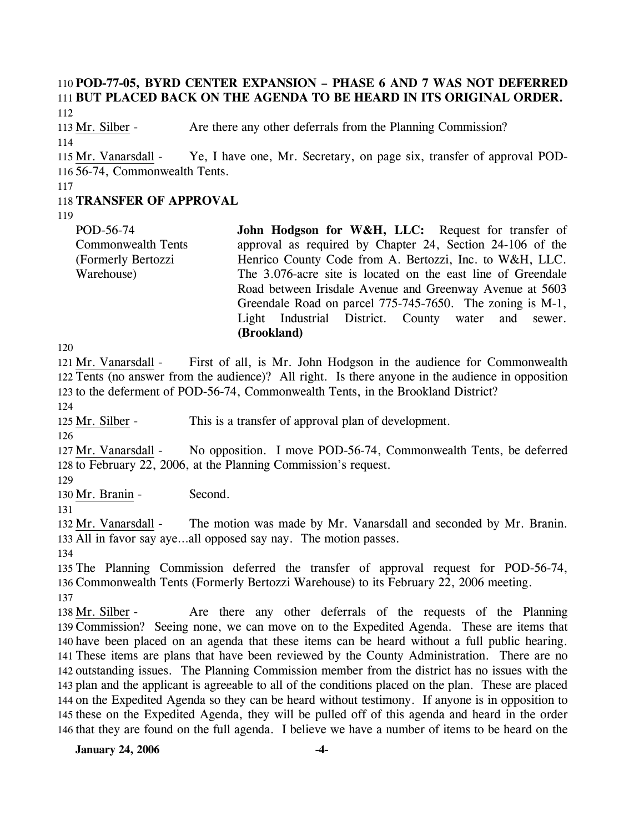#### 110 **POD-77-05, BYRD CENTER EXPANSION – PHASE 6 AND 7 WAS NOT DEFERRED**  111 **BUT PLACED BACK ON THE AGENDA TO BE HEARD IN ITS ORIGINAL ORDER.**  112

113 Mr. Silber - Are there any other deferrals from the Planning Commission?

114

Ye, I have one, Mr. Secretary, on page six, transfer of approval POD-56-74, Commonwealth Tents. 116 115 Mr. Vanarsdall -

117

## 118 **TRANSFER OF APPROVAL**

119

POD-56-74 Commonwealth Tents (Formerly Bertozzi Warehouse) **John Hodgson for W&H, LLC:** Request for transfer of approval as required by Chapter 24, Section 24-106 of the Henrico County Code from A. Bertozzi, Inc. to W&H, LLC. The 3.076-acre site is located on the east line of Greendale Road between Irisdale Avenue and Greenway Avenue at 5603 Greendale Road on parcel 775-745-7650. The zoning is M-1, Light Industrial District. County water and sewer. **(Brookland)**

120

First of all, is Mr. John Hodgson in the audience for Commonwealth 122 Tents (no answer from the audience)? All right. Is there anyone in the audience in opposition 123 to the deferment of POD-56-74, Commonwealth Tents, in the Brookland District? 121 Mr. Vanarsdall -

124

125 Mr. Silber - This is a transfer of approval plan of development.

126

No opposition. I move POD-56-74, Commonwealth Tents, be deferred 128 to February 22, 2006, at the Planning Commission's request. 127 Mr. Vanarsdall -

129

130 Mr. Branin - Second.

131

The motion was made by Mr. Vanarsdall and seconded by Mr. Branin. 133 All in favor say aye...all opposed say nay. The motion passes. 132 Mr. Vanarsdall -

134

135 The Planning Commission deferred the transfer of approval request for POD-56-74, 136 Commonwealth Tents (Formerly Bertozzi Warehouse) to its February 22, 2006 meeting.

137

Are there any other deferrals of the requests of the Planning 139 Commission? Seeing none, we can move on to the Expedited Agenda. These are items that 140 have been placed on an agenda that these items can be heard without a full public hearing. 141 These items are plans that have been reviewed by the County Administration. There are no 142 outstanding issues. The Planning Commission member from the district has no issues with the 143 plan and the applicant is agreeable to all of the conditions placed on the plan. These are placed 144 on the Expedited Agenda so they can be heard without testimony. If anyone is in opposition to 145 these on the Expedited Agenda, they will be pulled off of this agenda and heard in the order 146 that they are found on the full agenda. I believe we have a number of items to be heard on the 138 Mr. Silber -

**January 24, 2006 -4-**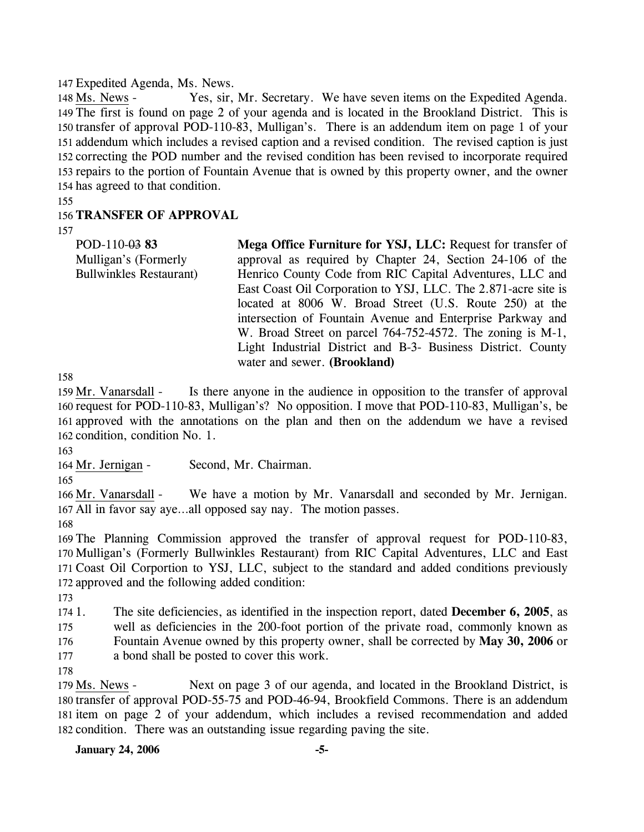#### 147 Expedited Agenda, Ms. News.

Yes, sir, Mr. Secretary. We have seven items on the Expedited Agenda. 149 The first is found on page 2 of your agenda and is located in the Brookland District. This is 150 transfer of approval POD-110-83, Mulligan's. There is an addendum item on page 1 of your 151 addendum which includes a revised caption and a revised condition. The revised caption is just 152 correcting the POD number and the revised condition has been revised to incorporate required 153 repairs to the portion of Fountain Avenue that is owned by this property owner, and the owner 154 has agreed to that condition. 148 Ms. News -

155

## 156 **TRANSFER OF APPROVAL**

157

POD-110-03 **83** Mulligan's (Formerly Bullwinkles Restaurant) **Mega Office Furniture for YSJ, LLC:** Request for transfer of approval as required by Chapter 24, Section 24-106 of the Henrico County Code from RIC Capital Adventures, LLC and East Coast Oil Corporation to YSJ, LLC. The 2.871-acre site is located at 8006 W. Broad Street (U.S. Route 250) at the intersection of Fountain Avenue and Enterprise Parkway and W. Broad Street on parcel 764-752-4572. The zoning is M-1, Light Industrial District and B-3- Business District. County water and sewer. **(Brookland)** 

158

Is there anyone in the audience in opposition to the transfer of approval 160 request for POD-110-83, Mulligan's? No opposition. I move that POD-110-83, Mulligan's, be 161 approved with the annotations on the plan and then on the addendum we have a revised 162 condition, condition No. 1. 159 Mr. Vanarsdall -

163

164 Mr. Jernigan - Second, Mr. Chairman.

165

We have a motion by Mr. Vanarsdall and seconded by Mr. Jernigan. 167 All in favor say aye...all opposed say nay. The motion passes. 166 Mr. Vanarsdall -

168

 The Planning Commission approved the transfer of approval request for POD-110-83, Mulligan's (Formerly Bullwinkles Restaurant) from RIC Capital Adventures, LLC and East Coast Oil Corportion to YSJ, LLC, subject to the standard and added conditions previously approved and the following added condition:

173

174 1. 175 176 1. The site deficiencies, as identified in the inspection report, dated **December 6, 2005**, as well as deficiencies in the 200-foot portion of the private road, commonly known as Fountain Avenue owned by this property owner, shall be corrected by **May 30, 2006** or

177 a bond shall be posted to cover this work.

178

Next on page 3 of our agenda, and located in the Brookland District, is 180 transfer of approval POD-55-75 and POD-46-94, Brookfield Commons. There is an addendum 181 item on page 2 of your addendum, which includes a revised recommendation and added 182 condition. There was an outstanding issue regarding paving the site. 179 Ms. News -

**January 24, 2006 -5-**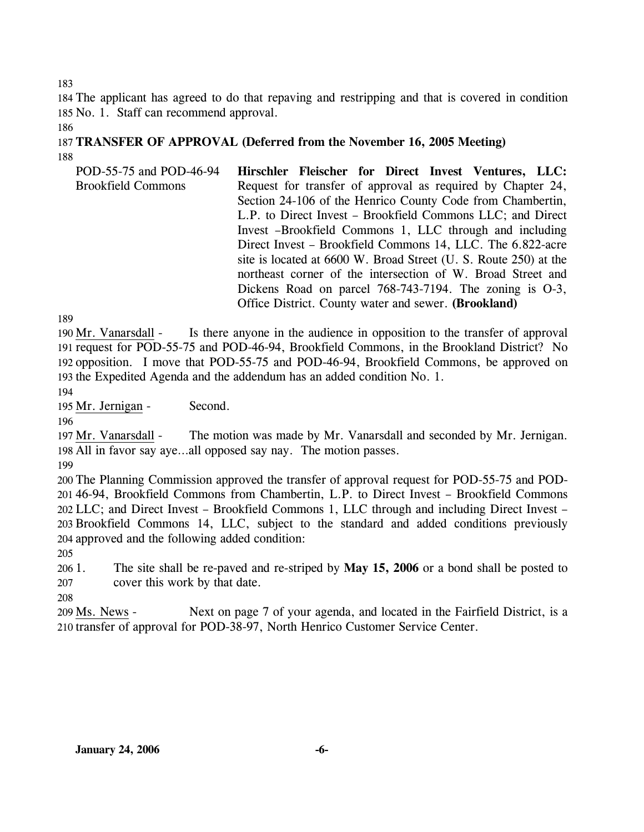183

184 The applicant has agreed to do that repaving and restripping and that is covered in condition 185 No. 1. Staff can recommend approval.

186

### 187 **TRANSFER OF APPROVAL (Deferred from the November 16, 2005 Meeting)**  188

POD-55-75 and POD-46-94 Brookfield Commons **Hirschler Fleischer for Direct Invest Ventures, LLC:**  Request for transfer of approval as required by Chapter 24, Section 24-106 of the Henrico County Code from Chambertin, L.P. to Direct Invest – Brookfield Commons LLC; and Direct Invest –Brookfield Commons 1, LLC through and including Direct Invest – Brookfield Commons 14, LLC. The 6.822-acre site is located at 6600 W. Broad Street (U. S. Route 250) at the northeast corner of the intersection of W. Broad Street and Dickens Road on parcel 768-743-7194. The zoning is O-3, Office District. County water and sewer. **(Brookland)** 

189

Is there anyone in the audience in opposition to the transfer of approval 191 request for POD-55-75 and POD-46-94, Brookfield Commons, in the Brookland District? No 192 opposition. I move that POD-55-75 and POD-46-94, Brookfield Commons, be approved on 193 the Expedited Agenda and the addendum has an added condition No. 1. 190 Mr. Vanarsdall -

194

195 Mr. Jernigan - Second.

196

The motion was made by Mr. Vanarsdall and seconded by Mr. Jernigan. All in favor say aye…all opposed say nay. The motion passes. 198 197 Mr. Vanarsdall -

199

 The Planning Commission approved the transfer of approval request for POD-55-75 and POD- 46-94, Brookfield Commons from Chambertin, L.P. to Direct Invest – Brookfield Commons LLC; and Direct Invest – Brookfield Commons 1, LLC through and including Direct Invest – Brookfield Commons 14, LLC, subject to the standard and added conditions previously approved and the following added condition:

205

 $2061$ . 207 1. The site shall be re-paved and re-striped by **May 15, 2006** or a bond shall be posted to cover this work by that date.

208

Next on page 7 of your agenda, and located in the Fairfield District, is a 210 transfer of approval for POD-38-97, North Henrico Customer Service Center. 209 Ms. News -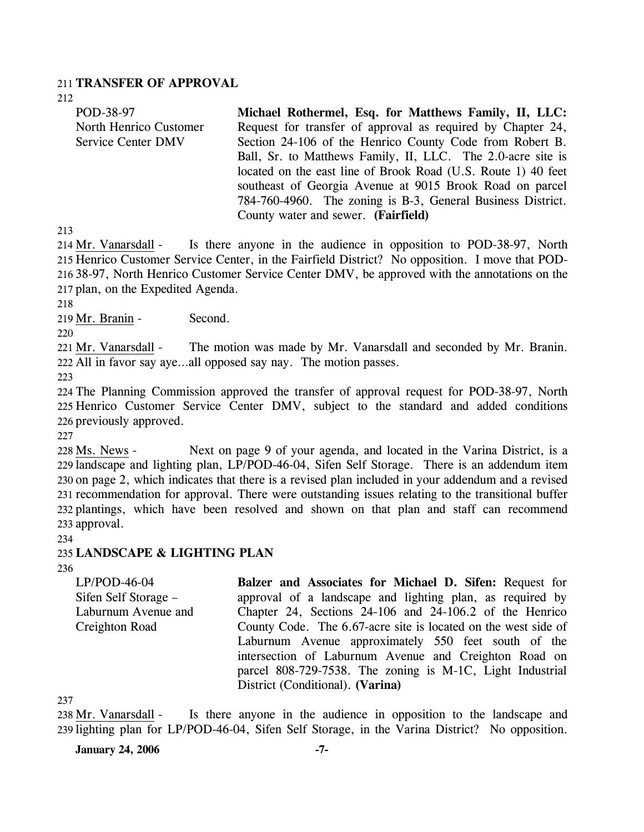### 211 **TRANSFER OF APPROVAL**

212

| POD-38-97              | Michael Rothermel, Esq. for Matthews Family, II, LLC:         |
|------------------------|---------------------------------------------------------------|
| North Henrico Customer | Request for transfer of approval as required by Chapter 24,   |
| Service Center DMV     | Section 24-106 of the Henrico County Code from Robert B.      |
|                        | Ball, Sr. to Matthews Family, II, LLC. The 2.0-acre site is   |
|                        | located on the east line of Brook Road (U.S. Route 1) 40 feet |
|                        | southeast of Georgia Avenue at 9015 Brook Road on parcel      |
|                        | 784-760-4960. The zoning is B-3, General Business District.   |
|                        | County water and sewer. (Fairfield)                           |

213

Is there anyone in the audience in opposition to POD-38-97, North 215 Henrico Customer Service Center, in the Fairfield District? No opposition. I move that POD-38-97, North Henrico Customer Service Center DMV, be approved with the annotations on the 216 217 plan, on the Expedited Agenda. 214 Mr. Vanarsdall -

218

219 Mr. Branin - Second.

220

The motion was made by Mr. Vanarsdall and seconded by Mr. Branin. All in favor say aye…all opposed say nay. The motion passes. 222 221 Mr. Vanarsdall -

223

224 The Planning Commission approved the transfer of approval request for POD-38-97, North 225 Henrico Customer Service Center DMV, subject to the standard and added conditions 226 previously approved.

227

Next on page 9 of your agenda, and located in the Varina District, is a 229 landscape and lighting plan, LP/POD-46-04, Sifen Self Storage. There is an addendum item 230 on page 2, which indicates that there is a revised plan included in your addendum and a revised 231 recommendation for approval. There were outstanding issues relating to the transitional buffer 232 plantings, which have been resolved and shown on that plan and staff can recommend 233 approval. 228 Ms. News -

234

## 235 **LANDSCAPE & LIGHTING PLAN**

236

LP/POD-46-04 Sifen Self Storage – Laburnum Avenue and Creighton Road **Balzer and Associates for Michael D. Sifen:** Request for approval of a landscape and lighting plan, as required by Chapter 24, Sections 24-106 and 24-106.2 of the Henrico County Code. The 6.67-acre site is located on the west side of Laburnum Avenue approximately 550 feet south of the intersection of Laburnum Avenue and Creighton Road on parcel 808-729-7538. The zoning is M-1C, Light Industrial District (Conditional). **(Varina)** 

237

Is there anyone in the audience in opposition to the landscape and 239 lighting plan for LP/POD-46-04, Sifen Self Storage, in the Varina District? No opposition. 238 Mr. Vanarsdall -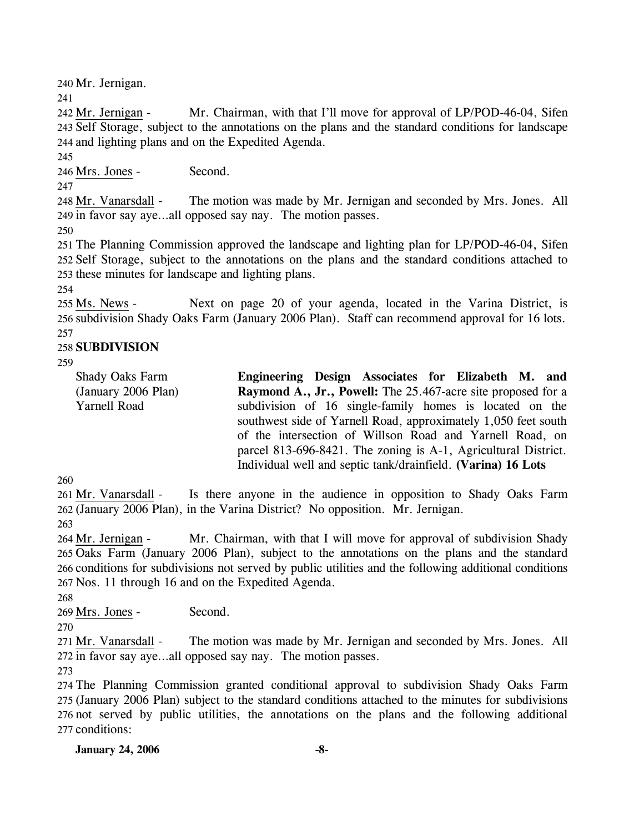240 Mr. Jernigan.

241

Mr. Chairman, with that I'll move for approval of LP/POD-46-04, Sifen 243 Self Storage, subject to the annotations on the plans and the standard conditions for landscape 244 and lighting plans and on the Expedited Agenda. 242 Mr. Jernigan -

245

246 Mrs. Jones - Second.

247

The motion was made by Mr. Jernigan and seconded by Mrs. Jones. All 249 in favor say aye...all opposed say nay. The motion passes. 248 Mr. Vanarsdall -

250

251 The Planning Commission approved the landscape and lighting plan for LP/POD-46-04, Sifen 252 Self Storage, subject to the annotations on the plans and the standard conditions attached to 253 these minutes for landscape and lighting plans.

254

Next on page 20 of your agenda, located in the Varina District, is 256 subdivision Shady Oaks Farm (January 2006 Plan). Staff can recommend approval for 16 lots. 255 Ms. News -257

# 258 **SUBDIVISION**

259

Shady Oaks Farm (January 2006 Plan) Yarnell Road

**Engineering Design Associates for Elizabeth M. and Raymond A., Jr., Powell:** The 25.467-acre site proposed for a subdivision of 16 single-family homes is located on the southwest side of Yarnell Road, approximately 1,050 feet south of the intersection of Willson Road and Yarnell Road, on parcel 813-696-8421. The zoning is A-1, Agricultural District. Individual well and septic tank/drainfield. **(Varina) 16 Lots** 

260

Is there anyone in the audience in opposition to Shady Oaks Farm (January 2006 Plan), in the Varina District? No opposition. Mr. Jernigan. 262 261 Mr. Vanarsdall -

263

Mr. Chairman, with that I will move for approval of subdivision Shady 265 Oaks Farm (January 2006 Plan), subject to the annotations on the plans and the standard 266 conditions for subdivisions not served by public utilities and the following additional conditions 267 Nos. 11 through 16 and on the Expedited Agenda. 264 Mr. Jernigan -

268

269 Mrs. Jones - Second.

270

The motion was made by Mr. Jernigan and seconded by Mrs. Jones. All 272 in favor say aye...all opposed say nay. The motion passes. 271 Mr. Vanarsdall -

273

 The Planning Commission granted conditional approval to subdivision Shady Oaks Farm (January 2006 Plan) subject to the standard conditions attached to the minutes for subdivisions not served by public utilities, the annotations on the plans and the following additional conditions: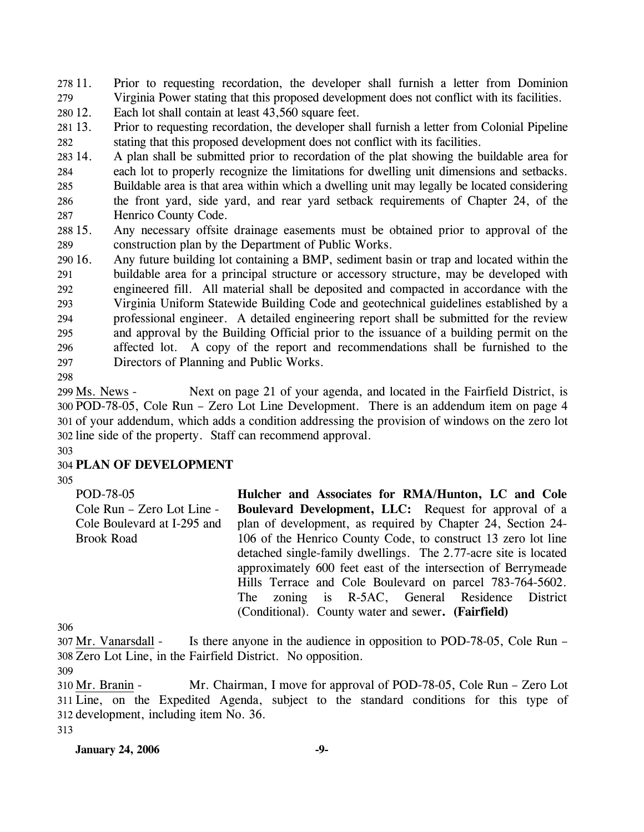$27811.$ 279 11. Prior to requesting recordation, the developer shall furnish a letter from Dominion Virginia Power stating that this proposed development does not conflict with its facilities.

- 280 12. Each lot shall contain at least 43,560 square feet.
- 281 13. 282 13. Prior to requesting recordation, the developer shall furnish a letter from Colonial Pipeline stating that this proposed development does not conflict with its facilities.
- 283 14. 284 285 286 287 14. A plan shall be submitted prior to recordation of the plat showing the buildable area for each lot to properly recognize the limitations for dwelling unit dimensions and setbacks. Buildable area is that area within which a dwelling unit may legally be located considering the front yard, side yard, and rear yard setback requirements of Chapter 24, of the Henrico County Code.
- 288 15. 289 Any necessary offsite drainage easements must be obtained prior to approval of the construction plan by the Department of Public Works.
- 290 16. 291 292 293 294 295 296 297 16. Any future building lot containing a BMP, sediment basin or trap and located within the buildable area for a principal structure or accessory structure, may be developed with engineered fill. All material shall be deposited and compacted in accordance with the Virginia Uniform Statewide Building Code and geotechnical guidelines established by a professional engineer. A detailed engineering report shall be submitted for the review and approval by the Building Official prior to the issuance of a building permit on the affected lot. A copy of the report and recommendations shall be furnished to the Directors of Planning and Public Works.

298

Next on page 21 of your agenda, and located in the Fairfield District, is POD-78-05, Cole Run – Zero Lot Line Development. There is an addendum item on page 4 300 301 of your addendum, which adds a condition addressing the provision of windows on the zero lot 302 line side of the property. Staff can recommend approval. 299 Ms. News -

## 303

### 304 **PLAN OF DEVELOPMENT**

305

POD-78-05 Cole Run – Zero Lot Line - Cole Boulevard at I-295 and Brook Road **Hulcher and Associates for RMA/Hunton, LC and Cole Boulevard Development, LLC:** Request for approval of a plan of development, as required by Chapter 24, Section 24- 106 of the Henrico County Code, to construct 13 zero lot line detached single-family dwellings. The 2.77-acre site is located approximately 600 feet east of the intersection of Berrymeade Hills Terrace and Cole Boulevard on parcel 783-764-5602. The zoning is R-5AC, General Residence District (Conditional). County water and sewer**. (Fairfield)**

306

Is there anyone in the audience in opposition to POD-78-05, Cole Run – Zero Lot Line, in the Fairfield District. No opposition. 308 307 Mr. Vanarsdall -

309

Mr. Chairman, I move for approval of POD-78-05, Cole Run – Zero Lot 311 Line, on the Expedited Agenda, subject to the standard conditions for this type of 312 development, including item No. 36. 310 Mr. Branin -

313

#### **January 24, 2006 -9-**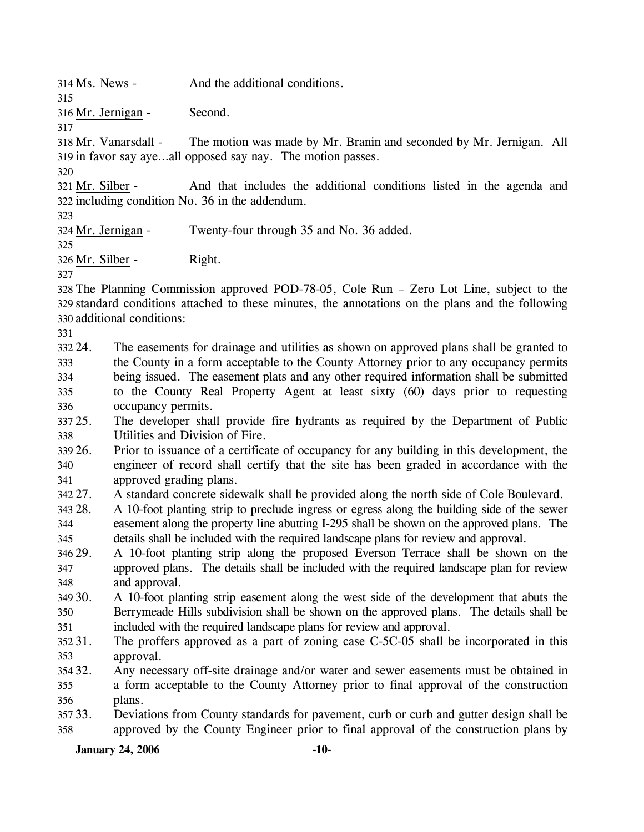314 Ms. News - And the additional conditions.

316 Mr. Jernigan - Second.

317

315

The motion was made by Mr. Branin and seconded by Mr. Jernigan. All 319 in favor say aye...all opposed say nay. The motion passes. 318 Mr. Vanarsdall -

320

And that includes the additional conditions listed in the agenda and  $322$  including condition No. 36 in the addendum. 321 Mr. Silber -

323

324 Mr. Jernigan - Twenty-four through 35 and No. 36 added.

325

326 Mr. Silber - Right.

327

328 The Planning Commission approved POD-78-05, Cole Run – Zero Lot Line, subject to the 329 standard conditions attached to these minutes, the annotations on the plans and the following 330 additional conditions:

331

332.24 333 334 335 336 The easements for drainage and utilities as shown on approved plans shall be granted to the County in a form acceptable to the County Attorney prior to any occupancy permits being issued. The easement plats and any other required information shall be submitted to the County Real Property Agent at least sixty (60) days prior to requesting occupancy permits.

337 25. 338 The developer shall provide fire hydrants as required by the Department of Public Utilities and Division of Fire.

339 26. 340 341 Prior to issuance of a certificate of occupancy for any building in this development, the engineer of record shall certify that the site has been graded in accordance with the approved grading plans.

342 27. 27. A standard concrete sidewalk shall be provided along the north side of Cole Boulevard.

343 28. 344 345 28. A 10-foot planting strip to preclude ingress or egress along the building side of the sewer easement along the property line abutting I-295 shall be shown on the approved plans. The details shall be included with the required landscape plans for review and approval.

346 29. 347 348 29. A 10-foot planting strip along the proposed Everson Terrace shall be shown on the approved plans. The details shall be included with the required landscape plan for review and approval.

349 30. 350 351 30. A 10-foot planting strip easement along the west side of the development that abuts the Berrymeade Hills subdivision shall be shown on the approved plans. The details shall be included with the required landscape plans for review and approval.

352 31. 353 The proffers approved as a part of zoning case  $C$ -5 $C$ -05 shall be incorporated in this approval.

354 32. 355 356 Any necessary off-site drainage and/or water and sewer easements must be obtained in a form acceptable to the County Attorney prior to final approval of the construction plans.

357 33. 358 33. Deviations from County standards for pavement, curb or curb and gutter design shall be approved by the County Engineer prior to final approval of the construction plans by

**January 24, 2006 -10-**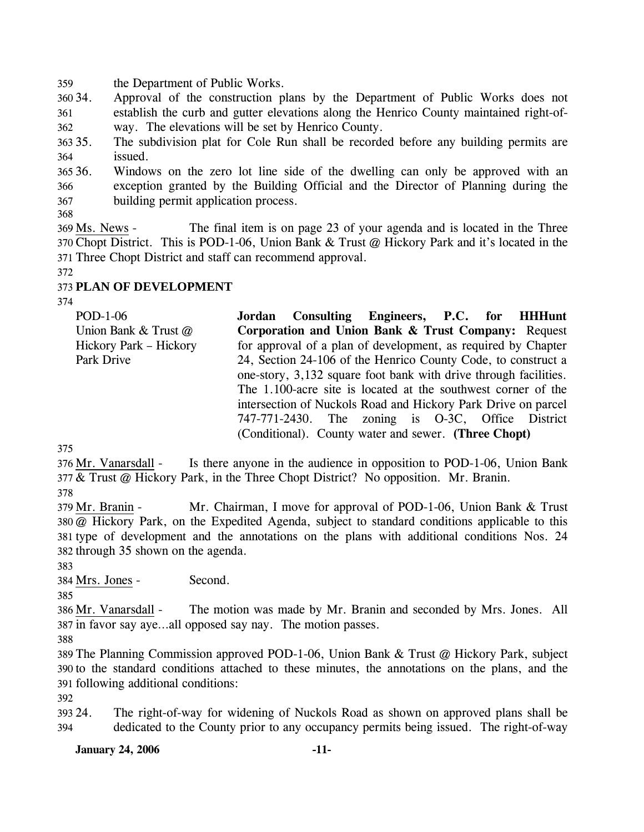359 the Department of Public Works.

360 34. 361 362 Approval of the construction plans by the Department of Public Works does not establish the curb and gutter elevations along the Henrico County maintained right-ofway. The elevations will be set by Henrico County.

363.35. 364 The subdivision plat for Cole Run shall be recorded before any building permits are issued.

36. 366 367 Windows on the zero lot line side of the dwelling can only be approved with an exception granted by the Building Official and the Director of Planning during the building permit application process.

368

The final item is on page 23 of your agenda and is located in the Three 370 Chopt District. This is POD-1-06, Union Bank & Trust @ Hickory Park and it's located in the 371 Three Chopt District and staff can recommend approval. 369 Ms. News -

372

## 373 **PLAN OF DEVELOPMENT**

374

POD-1-06 Union Bank & Trust @ Hickory Park – Hickory Park Drive **Jordan Consulting Engineers, P.C. for HHHunt Corporation and Union Bank & Trust Company:** Request for approval of a plan of development, as required by Chapter 24, Section 24-106 of the Henrico County Code, to construct a one-story, 3,132 square foot bank with drive through facilities. The 1.100-acre site is located at the southwest corner of the intersection of Nuckols Road and Hickory Park Drive on parcel 747-771-2430. The zoning is O-3C, Office District (Conditional). County water and sewer. **(Three Chopt)**

375

Is there anyone in the audience in opposition to POD-1-06, Union Bank 377 & Trust @ Hickory Park, in the Three Chopt District? No opposition. Mr. Branin. 376 Mr. Vanarsdall -

378

Mr. Chairman, I move for approval of POD-1-06, Union Bank & Trust @ Hickory Park, on the Expedited Agenda, subject to standard conditions applicable to this 380 381 type of development and the annotations on the plans with additional conditions Nos. 24 382 through 35 shown on the agenda. 379 Mr. Branin -

383

384 Mrs. Jones - Second.

385

The motion was made by Mr. Branin and seconded by Mrs. Jones. All 387 in favor say aye...all opposed say nay. The motion passes. 386 Mr. Vanarsdall -

388

389 The Planning Commission approved POD-1-06, Union Bank & Trust @ Hickory Park, subject 390 to the standard conditions attached to these minutes, the annotations on the plans, and the 391 following additional conditions:

392

393 24. 394 The right-of-way for widening of Nuckols Road as shown on approved plans shall be dedicated to the County prior to any occupancy permits being issued. The right-of-way

## **January 24, 2006 -11-**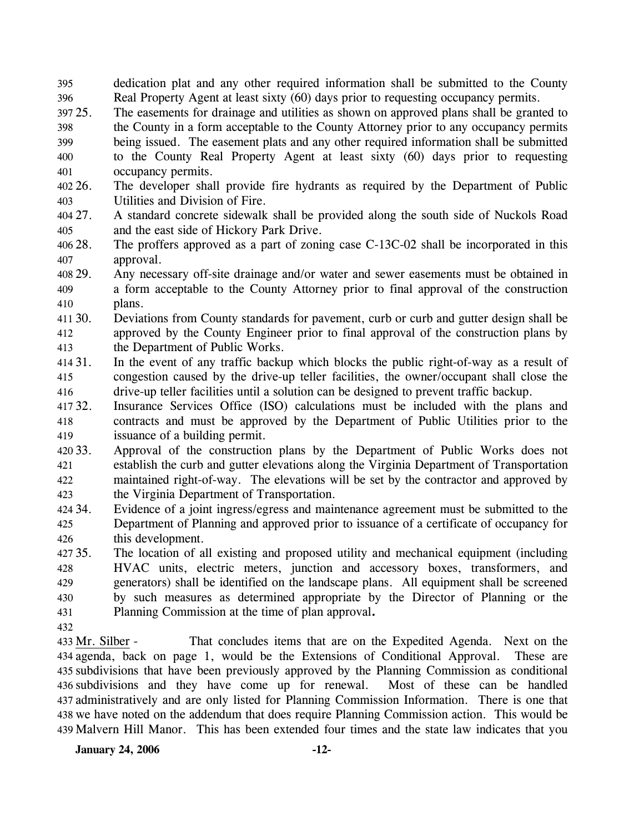395 396 dedication plat and any other required information shall be submitted to the County Real Property Agent at least sixty (60) days prior to requesting occupancy permits.

- 397 25. 398 399 400 401 The easements for drainage and utilities as shown on approved plans shall be granted to the County in a form acceptable to the County Attorney prior to any occupancy permits being issued. The easement plats and any other required information shall be submitted to the County Real Property Agent at least sixty (60) days prior to requesting occupancy permits.
- 402 26. 403 The developer shall provide fire hydrants as required by the Department of Public Utilities and Division of Fire.
- 404 27. 405 27. A standard concrete sidewalk shall be provided along the south side of Nuckols Road and the east side of Hickory Park Drive.
- 406 28. 407 The proffers approved as a part of zoning case  $C-13C-02$  shall be incorporated in this approval.
- 408 29. 409 410 Any necessary off-site drainage and/or water and sewer easements must be obtained in a form acceptable to the County Attorney prior to final approval of the construction plans.
- 411 30. 412 413 30. Deviations from County standards for pavement, curb or curb and gutter design shall be approved by the County Engineer prior to final approval of the construction plans by the Department of Public Works.
- 414 31. 415 416 In the event of any traffic backup which blocks the public right-of-way as a result of congestion caused by the drive-up teller facilities, the owner/occupant shall close the drive-up teller facilities until a solution can be designed to prevent traffic backup.
- 417 32. 418 419 Insurance Services Office (ISO) calculations must be included with the plans and contracts and must be approved by the Department of Public Utilities prior to the issuance of a building permit.
- 420 33. 421 422 423 Approval of the construction plans by the Department of Public Works does not establish the curb and gutter elevations along the Virginia Department of Transportation maintained right-of-way. The elevations will be set by the contractor and approved by the Virginia Department of Transportation.
- 424 34. 425 426 Evidence of a joint ingress/egress and maintenance agreement must be submitted to the Department of Planning and approved prior to issuance of a certificate of occupancy for this development.
- 427 35. 428 429 430 431 The location of all existing and proposed utility and mechanical equipment (including HVAC units, electric meters, junction and accessory boxes, transformers, and generators) shall be identified on the landscape plans. All equipment shall be screened by such measures as determined appropriate by the Director of Planning or the Planning Commission at the time of plan approval**.**
- 432

That concludes items that are on the Expedited Agenda. Next on the agenda, back on page 1, would be the Extensions of Conditional Approval. These are 434 435 subdivisions that have been previously approved by the Planning Commission as conditional 436 subdivisions and they have come up for renewal. Most of these can be handled 437 administratively and are only listed for Planning Commission Information. There is one that 438 we have noted on the addendum that does require Planning Commission action. This would be Malvern Hill Manor. This has been extended four times and the state law indicates that you 439433 Mr. Silber -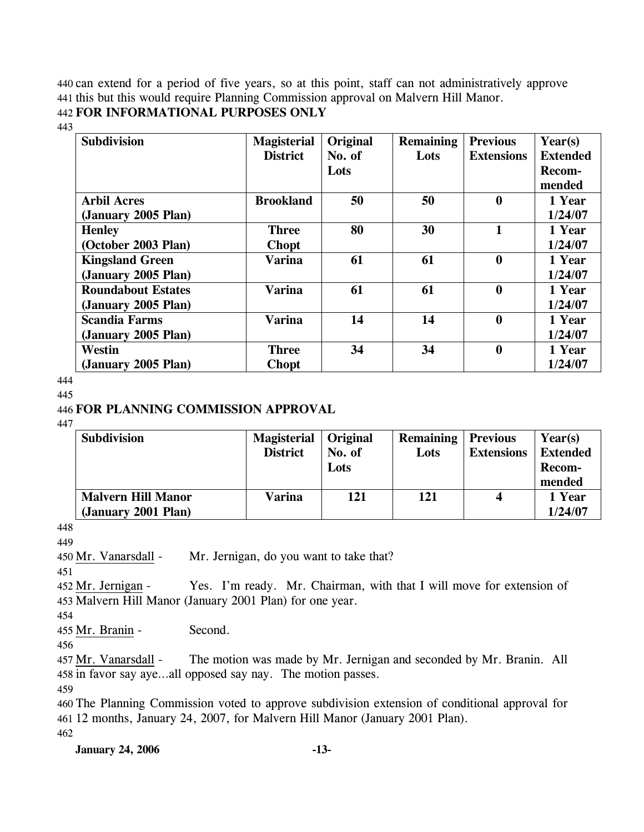440 can extend for a period of five years, so at this point, staff can not administratively approve 441 this but this would require Planning Commission approval on Malvern Hill Manor.

### 442 **FOR INFORMATIONAL PURPOSES ONLY**

443

| <b>Subdivision</b>        | <b>Magisterial</b> | Original | <b>Remaining</b> | <b>Previous</b>   | Year(s)         |
|---------------------------|--------------------|----------|------------------|-------------------|-----------------|
|                           | <b>District</b>    | No. of   | Lots             | <b>Extensions</b> | <b>Extended</b> |
|                           |                    | Lots     |                  |                   | Recom-          |
|                           |                    |          |                  |                   | mended          |
| <b>Arbil Acres</b>        | <b>Brookland</b>   | 50       | 50               | $\bf{0}$          | 1 Year          |
| (January 2005 Plan)       |                    |          |                  |                   | 1/24/07         |
| <b>Henley</b>             | <b>Three</b>       | 80       | 30               | 1                 | 1 Year          |
| (October 2003 Plan)       | <b>Chopt</b>       |          |                  |                   | 1/24/07         |
| <b>Kingsland Green</b>    | <b>Varina</b>      | 61       | 61               | $\boldsymbol{0}$  | 1 Year          |
| (January 2005 Plan)       |                    |          |                  |                   | 1/24/07         |
| <b>Roundabout Estates</b> | <b>Varina</b>      | 61       | 61               | $\bf{0}$          | 1 Year          |
| (January 2005 Plan)       |                    |          |                  |                   | 1/24/07         |
| <b>Scandia Farms</b>      | <b>Varina</b>      | 14       | 14               | $\bf{0}$          | 1 Year          |
| (January 2005 Plan)       |                    |          |                  |                   | 1/24/07         |
| Westin                    | <b>Three</b>       | 34       | 34               | $\bf{0}$          | 1 Year          |
| (January 2005 Plan)       | <b>Chopt</b>       |          |                  |                   | 1/24/07         |

444

445

### 446 **FOR PLANNING COMMISSION APPROVAL**

447

| <b>Subdivision</b>        | <b>Magisterial</b> | Original | <b>Remaining</b> | <b>Previous</b>   | Year(s)         |
|---------------------------|--------------------|----------|------------------|-------------------|-----------------|
|                           | <b>District</b>    | No. of   | Lots             | <b>Extensions</b> | <b>Extended</b> |
|                           |                    | Lots     |                  |                   | Recom-          |
|                           |                    |          |                  |                   | mended          |
| <b>Malvern Hill Manor</b> | Varina             | 121      | 121              | 4                 | 1 Year          |
| (January 2001 Plan)       |                    |          |                  |                   | 1/24/07         |

448

449

450 Mr. Vanarsdall - Mr. Jernigan, do you want to take that?

451

Yes. I'm ready. Mr. Chairman, with that I will move for extension of 453 Malvern Hill Manor (January 2001 Plan) for one year. 452 Mr. Jernigan -

454

455 Mr. Branin - Second.

456

The motion was made by Mr. Jernigan and seconded by Mr. Branin. All 458 in favor say aye...all opposed say nay. The motion passes. 457 Mr. Vanarsdall -

459

460 The Planning Commission voted to approve subdivision extension of conditional approval for 461 12 months, January 24, 2007, for Malvern Hill Manor (January 2001 Plan).

462

**January 24, 2006 -13-**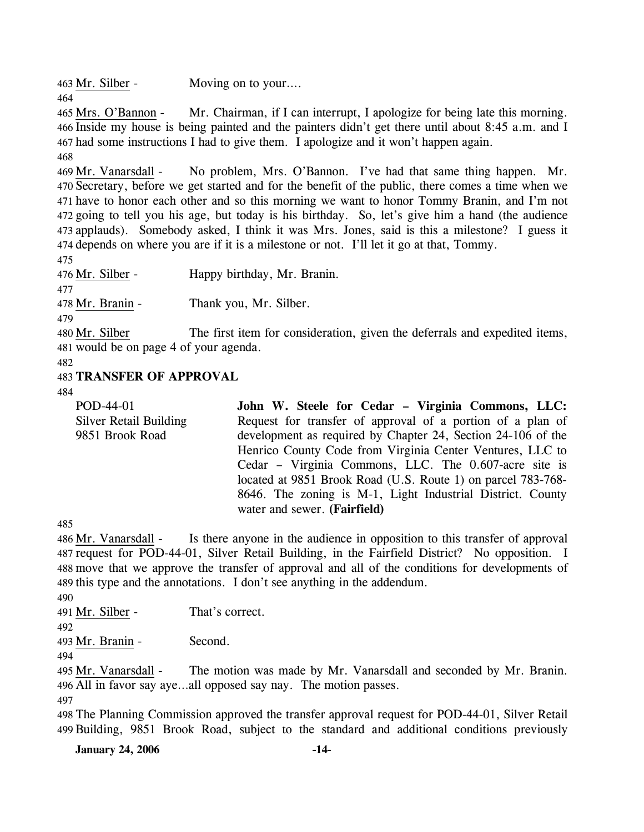463 Mr. Silber - Moving on to your….

Mr. Chairman, if I can interrupt, I apologize for being late this morning. 466 Inside my house is being painted and the painters didn't get there until about 8:45 a.m. and I 467 had some instructions I had to give them. I apologize and it won't happen again. 465 Mrs. O'Bannon -

468

464

No problem, Mrs. O'Bannon. I've had that same thing happen. Mr. Secretary, before we get started and for the benefit of the public, there comes a time when we 470 471 have to honor each other and so this morning we want to honor Tommy Branin, and I'm not 472 going to tell you his age, but today is his birthday. So, let's give him a hand (the audience 473 applauds). Somebody asked, I think it was Mrs. Jones, said is this a milestone? I guess it 474 depends on where you are if it is a milestone or not. I'll let it go at that, Tommy. 469 Mr. Vanarsdall -

475

476 Mr. Silber - Happy birthday, Mr. Branin. 477

478 Mr. Branin - Thank you, Mr. Silber.

479

The first item for consideration, given the deferrals and expedited items, would be on page 4 of your agenda. 481 480 Mr. Silber

482

### 483 **TRANSFER OF APPROVAL**

484

| POD-44-01                     | John W. Steele for Cedar - Virginia Commons, LLC:            |
|-------------------------------|--------------------------------------------------------------|
| <b>Silver Retail Building</b> | Request for transfer of approval of a portion of a plan of   |
| 9851 Brook Road               | development as required by Chapter 24, Section 24-106 of the |
|                               | Henrico County Code from Virginia Center Ventures, LLC to    |
|                               | Cedar – Virginia Commons, LLC. The 0.607-acre site is        |
|                               | located at 9851 Brook Road (U.S. Route 1) on parcel 783-768- |
|                               | 8646. The zoning is M-1, Light Industrial District. County   |
|                               | water and sewer. (Fairfield)                                 |

485

Is there anyone in the audience in opposition to this transfer of approval 487 request for POD-44-01, Silver Retail Building, in the Fairfield District? No opposition. I move that we approve the transfer of approval and all of the conditions for developments of 488 489 this type and the annotations. I don't see anything in the addendum. 486 Mr. Vanarsdall -

490

491 Mr. Silber - That's correct.

492

493 Mr. Branin - Second.

494

The motion was made by Mr. Vanarsdall and seconded by Mr. Branin. All in favor say aye…all opposed say nay. The motion passes. 496 495 Mr. Vanarsdall -

497

498 The Planning Commission approved the transfer approval request for POD-44-01, Silver Retail 499 Building, 9851 Brook Road, subject to the standard and additional conditions previously

**January 24, 2006 -14-**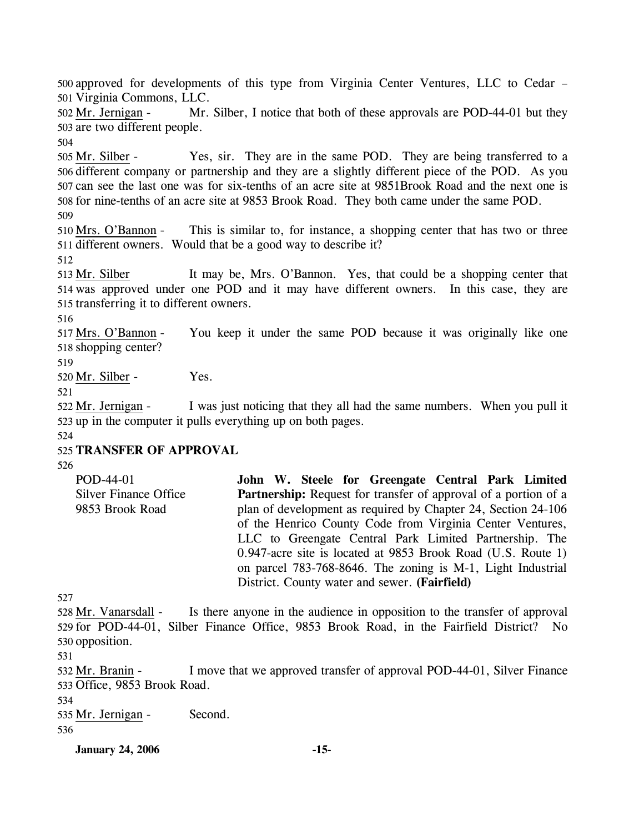500 approved for developments of this type from Virginia Center Ventures, LLC to Cedar – 501 Virginia Commons, LLC.

Mr. Silber, I notice that both of these approvals are POD-44-01 but they 503 are two different people. 502 Mr. Jernigan -

504

Yes, sir. They are in the same POD. They are being transferred to a 506 different company or partnership and they are a slightly different piece of the POD. As you 507 can see the last one was for six-tenths of an acre site at 9851Brook Road and the next one is for nine-tenths of an acre site at 9853 Brook Road. They both came under the same POD. 508 505 Mr. Silber -

509

This is similar to, for instance, a shopping center that has two or three 511 different owners. Would that be a good way to describe it? 510 Mrs. O'Bannon -

512

It may be, Mrs. O'Bannon. Yes, that could be a shopping center that 514 was approved under one POD and it may have different owners. In this case, they are 515 transferring it to different owners. 513 Mr. Silber

516

You keep it under the same POD because it was originally like one 518 shopping center? 517 Mrs. O'Bannon -

519

520 Mr. Silber - Yes.

521

I was just noticing that they all had the same numbers. When you pull it 523 up in the computer it pulls everything up on both pages. 522 Mr. Jernigan -

524

## 525 **TRANSFER OF APPROVAL**

526

| POD-44-01                    |  |  | John W. Steele for Greengate Central Park Limited                      |  |  |
|------------------------------|--|--|------------------------------------------------------------------------|--|--|
| <b>Silver Finance Office</b> |  |  | <b>Partnership:</b> Request for transfer of approval of a portion of a |  |  |
| 9853 Brook Road              |  |  | plan of development as required by Chapter 24, Section 24-106          |  |  |
|                              |  |  | of the Henrico County Code from Virginia Center Ventures,              |  |  |
|                              |  |  | LLC to Greengate Central Park Limited Partnership. The                 |  |  |
|                              |  |  | 0.947-acre site is located at 9853 Brook Road (U.S. Route 1)           |  |  |
|                              |  |  | on parcel 783-768-8646. The zoning is M-1, Light Industrial            |  |  |
|                              |  |  | District. County water and sewer. (Fairfield)                          |  |  |

527

Is there anyone in the audience in opposition to the transfer of approval 529 for POD-44-01, Silber Finance Office, 9853 Brook Road, in the Fairfield District? No 530 opposition. 528 Mr. Vanarsdall -

531

I move that we approved transfer of approval POD-44-01, Silver Finance 533 Office, 9853 Brook Road. 532 Mr. Branin -

534

535 Mr. Jernigan - Second.

536

**January 24, 2006 -15-**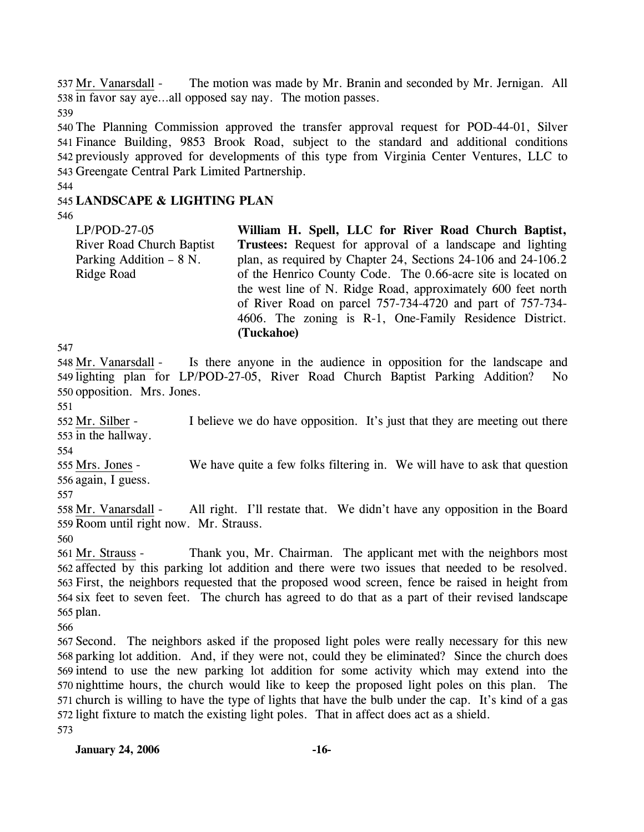The motion was made by Mr. Branin and seconded by Mr. Jernigan. All 538 in favor say aye...all opposed say nay. The motion passes. 537 Mr. Vanarsdall -

539

 The Planning Commission approved the transfer approval request for POD-44-01, Silver Finance Building, 9853 Brook Road, subject to the standard and additional conditions previously approved for developments of this type from Virginia Center Ventures, LLC to Greengate Central Park Limited Partnership.

544

### 545 **LANDSCAPE & LIGHTING PLAN**

546

LP/POD-27-05 River Road Church Baptist Parking Addition – 8 N. Ridge Road

**William H. Spell, LLC for River Road Church Baptist, Trustees:** Request for approval of a landscape and lighting plan, as required by Chapter 24, Sections 24-106 and 24-106.2 of the Henrico County Code. The 0.66-acre site is located on the west line of N. Ridge Road, approximately 600 feet north of River Road on parcel 757-734-4720 and part of 757-734- 4606. The zoning is R-1, One-Family Residence District. **(Tuckahoe)** 

547

Is there anyone in the audience in opposition for the landscape and 549 lighting plan for LP/POD-27-05, River Road Church Baptist Parking Addition? No 550 opposition. Mrs. Jones. 548 Mr. Vanarsdall -

551

I believe we do have opposition. It's just that they are meeting out there 553 in the hallway. 552 Mr. Silber -

554

We have quite a few folks filtering in. We will have to ask that question 556 again, I guess. 555 Mrs. Jones -

557

All right. I'll restate that. We didn't have any opposition in the Board 559 Room until right now. Mr. Strauss. 558 Mr. Vanarsdall -

560

Thank you, Mr. Chairman. The applicant met with the neighbors most 562 affected by this parking lot addition and there were two issues that needed to be resolved. First, the neighbors requested that the proposed wood screen, fence be raised in height from 563 564 six feet to seven feet. The church has agreed to do that as a part of their revised landscape 565 plan. 561 Mr. Strauss -

566

 Second. The neighbors asked if the proposed light poles were really necessary for this new parking lot addition. And, if they were not, could they be eliminated? Since the church does intend to use the new parking lot addition for some activity which may extend into the nighttime hours, the church would like to keep the proposed light poles on this plan. The church is willing to have the type of lights that have the bulb under the cap. It's kind of a gas light fixture to match the existing light poles. That in affect does act as a shield. 573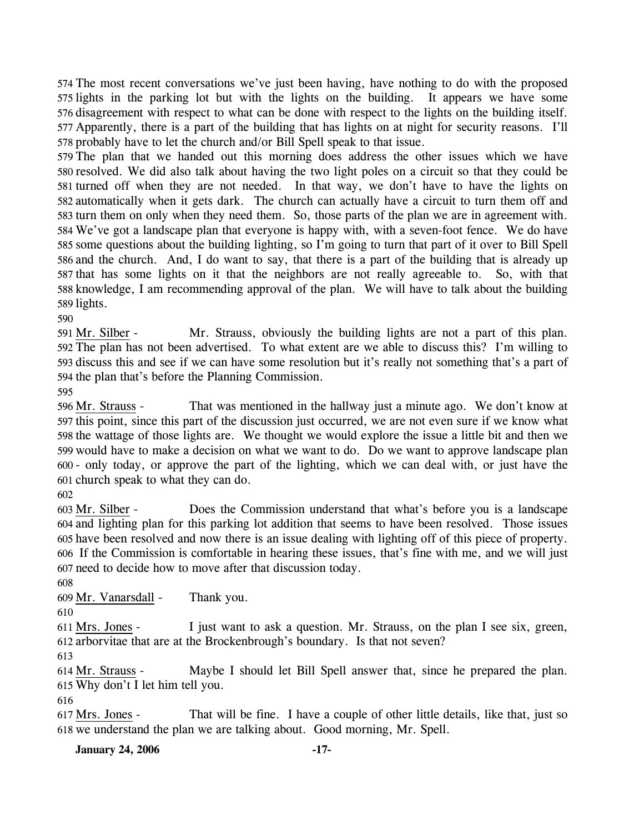The most recent conversations we've just been having, have nothing to do with the proposed lights in the parking lot but with the lights on the building. It appears we have some disagreement with respect to what can be done with respect to the lights on the building itself. Apparently, there is a part of the building that has lights on at night for security reasons. I'll probably have to let the church and/or Bill Spell speak to that issue.

 The plan that we handed out this morning does address the other issues which we have resolved. We did also talk about having the two light poles on a circuit so that they could be turned off when they are not needed. In that way, we don't have to have the lights on automatically when it gets dark. The church can actually have a circuit to turn them off and turn them on only when they need them. So, those parts of the plan we are in agreement with. We've got a landscape plan that everyone is happy with, with a seven-foot fence. We do have some questions about the building lighting, so I'm going to turn that part of it over to Bill Spell and the church. And, I do want to say, that there is a part of the building that is already up that has some lights on it that the neighbors are not really agreeable to. So, with that knowledge, I am recommending approval of the plan. We will have to talk about the building 589 lights.

590

Mr. Strauss, obviously the building lights are not a part of this plan. 592 The plan has not been advertised. To what extent are we able to discuss this? I'm willing to 593 discuss this and see if we can have some resolution but it's really not something that's a part of 594 the plan that's before the Planning Commission. 591 Mr. Silber -

595

That was mentioned in the hallway just a minute ago. We don't know at 597 this point, since this part of the discussion just occurred, we are not even sure if we know what 598 the wattage of those lights are. We thought we would explore the issue a little bit and then we 599 would have to make a decision on what we want to do. Do we want to approve landscape plan - only today, or approve the part of the lighting, which we can deal with, or just have the 600 601 church speak to what they can do. 596 Mr. Strauss -

602

Does the Commission understand that what's before you is a landscape and lighting plan for this parking lot addition that seems to have been resolved. Those issues 604 605 have been resolved and now there is an issue dealing with lighting off of this piece of property. 606 If the Commission is comfortable in hearing these issues, that's fine with me, and we will just 607 need to decide how to move after that discussion today. 603 Mr. Silber -

608

609 Mr. Vanarsdall - Thank you.

610

I just want to ask a question. Mr. Strauss, on the plan I see six, green, 612 arborvitae that are at the Brockenbrough's boundary. Is that not seven? 611 Mrs. Jones -

613

Maybe I should let Bill Spell answer that, since he prepared the plan. Why don't I let him tell you. 615 614 Mr. Strauss -

616

That will be fine. I have a couple of other little details, like that, just so 618 we understand the plan we are talking about. Good morning, Mr. Spell. 617 Mrs. Jones -

**January 24, 2006 -17-**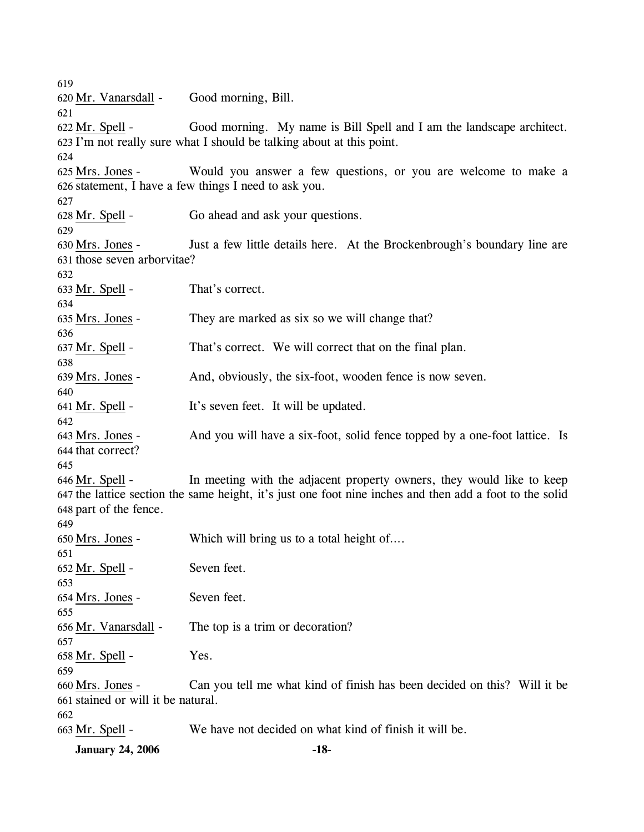Mr. Vanarsdall - Good morning, Bill. Good morning. My name is Bill Spell and I am the landscape architect. 623 I'm not really sure what I should be talking about at this point. 622 Mr. Spell - Would you answer a few questions, or you are welcome to make a 626 statement, I have a few things I need to ask you. 625 Mrs. Jones - Mr. Spell - Go ahead and ask your questions. Just a few little details here. At the Brockenbrough's boundary line are 631 those seven arborvitae? 630 Mrs. Jones - Mr. Spell - That's correct. Mrs. Jones - They are marked as six so we will change that? Mr. Spell - That's correct. We will correct that on the final plan. Mrs. Jones - And, obviously, the six-foot, wooden fence is now seven. Mr. Spell - It's seven feet. It will be updated. And you will have a six-foot, solid fence topped by a one-foot lattice. Is 644 that correct? 643 Mrs. Jones - In meeting with the adjacent property owners, they would like to keep 647 the lattice section the same height, it's just one foot nine inches and then add a foot to the solid 648 part of the fence. 646 Mr. Spell - Mrs. Jones - Which will bring us to a total height of…. Mr. Spell - Seven feet. Mrs. Jones - Seven feet. Mr. Vanarsdall - The top is a trim or decoration? Mr. Spell - Yes. Can you tell me what kind of finish has been decided on this? Will it be 661 stained or will it be natural. 660 Mrs. Jones - Mr. Spell - We have not decided on what kind of finish it will be.

**January 24, 2006 -18-**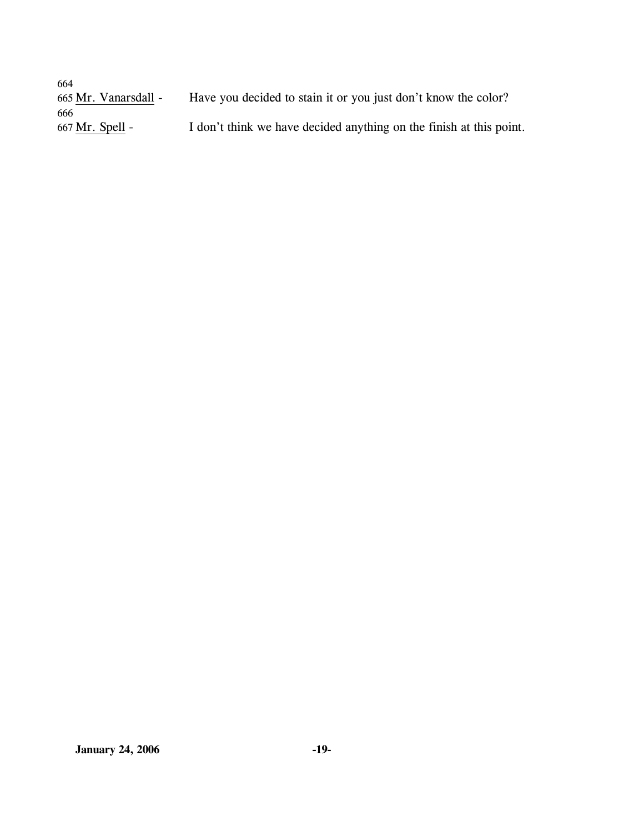Mr. Vanarsdall - Have you decided to stain it or you just don't know the color? Mr. Spell - I don't think we have decided anything on the finish at this point.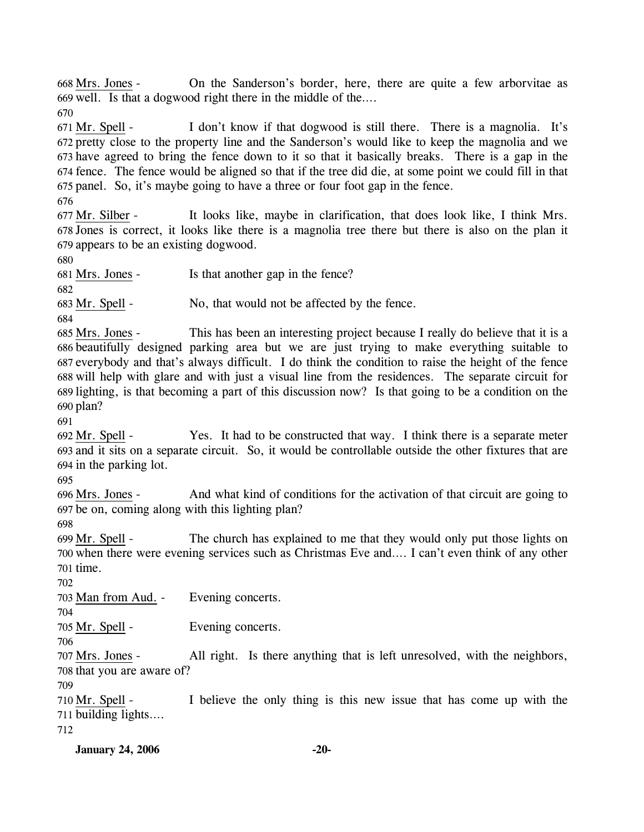On the Sanderson's border, here, there are quite a few arborvitae as well. Is that a dogwood right there in the middle of the…. 669 668 Mrs. Jones -

670

I don't know if that dogwood is still there. There is a magnolia. It's 672 pretty close to the property line and the Sanderson's would like to keep the magnolia and we 673 have agreed to bring the fence down to it so that it basically breaks. There is a gap in the fence. The fence would be aligned so that if the tree did die, at some point we could fill in that 674 675 panel. So, it's maybe going to have a three or four foot gap in the fence. 671 Mr. Spell -

676

It looks like, maybe in clarification, that does look like, I think Mrs. Jones is correct, it looks like there is a magnolia tree there but there is also on the plan it 678 679 appears to be an existing dogwood.  $677$  Mr. Silber -

680

681 Mrs. Jones - Is that another gap in the fence?

682

683 Mr. Spell - No, that would not be affected by the fence.

684

This has been an interesting project because I really do believe that it is a 686 beautifully designed parking area but we are just trying to make everything suitable to everybody and that's always difficult. I do think the condition to raise the height of the fence 687 688 will help with glare and with just a visual line from the residences. The separate circuit for 689 lighting, is that becoming a part of this discussion now? Is that going to be a condition on the 690 plan? 685 Mrs. Jones -

691

Yes. It had to be constructed that way. I think there is a separate meter and it sits on a separate circuit. So, it would be controllable outside the other fixtures that are 693 694 in the parking lot. 692 Mr. Spell -

695

And what kind of conditions for the activation of that circuit are going to 697 be on, coming along with this lighting plan? 696 Mrs. Jones -

698

The church has explained to me that they would only put those lights on 700 when there were evening services such as Christmas Eve and.... I can't even think of any other 701 time. 699 Mr. Spell -

702

703 Man from Aud. - Evening concerts.

704

705 Mr. Spell - Evening concerts.

706

All right. Is there anything that is left unresolved, with the neighbors, 708 that you are aware of? 707 Mrs. Jones -

709

I believe the only thing is this new issue that has come up with the 711 building lights.... 710 Mr. Spell -

712

**January 24, 2006 -20-**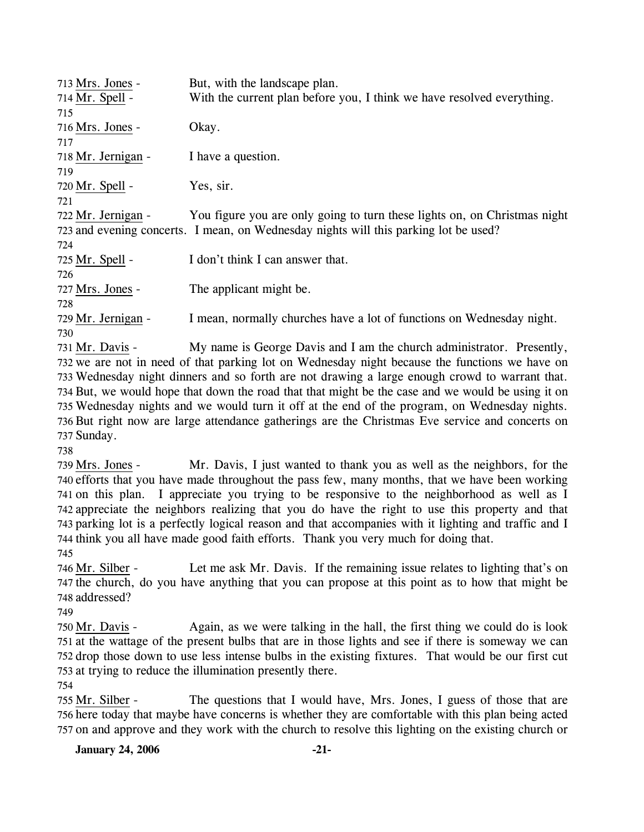| 713 Mrs. Jones -   | But, with the landscape plan.                                                        |
|--------------------|--------------------------------------------------------------------------------------|
| 714 Mr. Spell -    | With the current plan before you, I think we have resolved everything.               |
| 715                |                                                                                      |
| 716 Mrs. Jones -   | Okay.                                                                                |
| 717                |                                                                                      |
| 718 Mr. Jernigan - | I have a question.                                                                   |
| 719                |                                                                                      |
| 720 Mr. Spell -    | Yes, sir.                                                                            |
| 721                |                                                                                      |
| 722 Mr. Jernigan - | You figure you are only going to turn these lights on, on Christmas night            |
|                    | 723 and evening concerts. I mean, on Wednesday nights will this parking lot be used? |
| 724                |                                                                                      |
| 725 Mr. Spell -    | I don't think I can answer that.                                                     |
| 726                |                                                                                      |
| 727 Mrs. Jones -   | The applicant might be.                                                              |
| 728                |                                                                                      |
| 729 Mr. Jernigan - | I mean, normally churches have a lot of functions on Wednesday night.                |
| 730                |                                                                                      |

My name is George Davis and I am the church administrator. Presently, 732 we are not in need of that parking lot on Wednesday night because the functions we have on Wednesday night dinners and so forth are not drawing a large enough crowd to warrant that. 733 734 But, we would hope that down the road that that might be the case and we would be using it on 735 Wednesday nights and we would turn it off at the end of the program, on Wednesday nights. 736 But right now are large attendance gatherings are the Christmas Eve service and concerts on 737 Sunday. 731 Mr. Davis -

738

Mr. Davis, I just wanted to thank you as well as the neighbors, for the 740 efforts that you have made throughout the pass few, many months, that we have been working 741 on this plan. I appreciate you trying to be responsive to the neighborhood as well as I 742 appreciate the neighbors realizing that you do have the right to use this property and that 743 parking lot is a perfectly logical reason and that accompanies with it lighting and traffic and I 744 think you all have made good faith efforts. Thank you very much for doing that. 739 Mrs. Jones -745

Let me ask Mr. Davis. If the remaining issue relates to lighting that's on 747 the church, do you have anything that you can propose at this point as to how that might be 748 addressed? 746 Mr. Silber -

749

Again, as we were talking in the hall, the first thing we could do is look 751 at the wattage of the present bulbs that are in those lights and see if there is someway we can 752 drop those down to use less intense bulbs in the existing fixtures. That would be our first cut 753 at trying to reduce the illumination presently there. 750 Mr. Davis -

754

The questions that I would have, Mrs. Jones, I guess of those that are 756 here today that maybe have concerns is whether they are comfortable with this plan being acted 757 on and approve and they work with the church to resolve this lighting on the existing church or 755 Mr. Silber -

**January 24, 2006 -21-**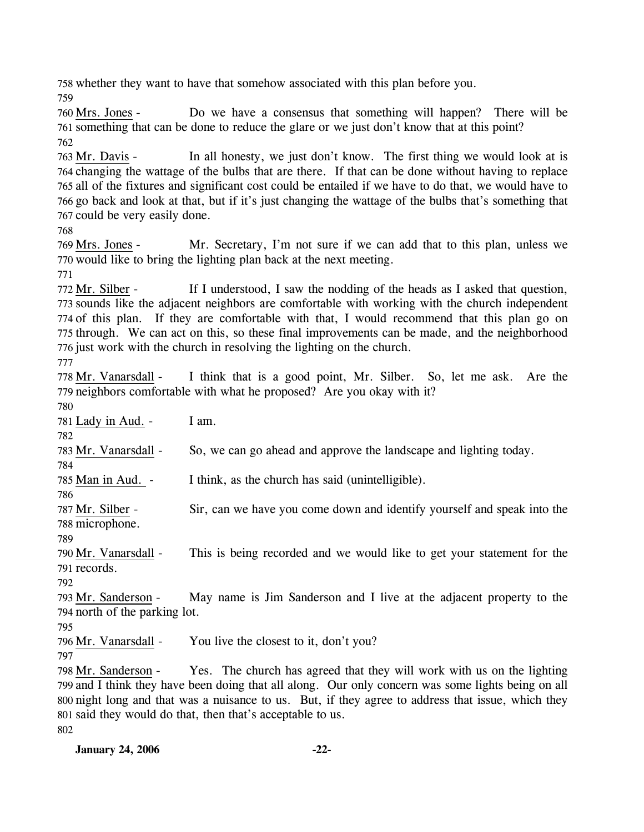758 whether they want to have that somehow associated with this plan before you.

759

Do we have a consensus that something will happen? There will be 761 something that can be done to reduce the glare or we just don't know that at this point? 760 Mrs. Jones -

762

In all honesty, we just don't know. The first thing we would look at is 764 changing the wattage of the bulbs that are there. If that can be done without having to replace 765 all of the fixtures and significant cost could be entailed if we have to do that, we would have to 766 go back and look at that, but if it's just changing the wattage of the bulbs that's something that 767 could be very easily done. 763 Mr. Davis -

768

Mr. Secretary, I'm not sure if we can add that to this plan, unless we 770 would like to bring the lighting plan back at the next meeting. 769 Mrs. Jones -

771

If I understood, I saw the nodding of the heads as I asked that question, 773 sounds like the adjacent neighbors are comfortable with working with the church independent 774 of this plan. If they are comfortable with that, I would recommend that this plan go on 775 through. We can act on this, so these final improvements can be made, and the neighborhood 776 just work with the church in resolving the lighting on the church. 772 Mr. Silber -

777

I think that is a good point, Mr. Silber. So, let me ask. Are the 779 neighbors comfortable with what he proposed? Are you okay with it? 778 Mr. Vanarsdall -

780

782

781 Lady in Aud. - I am.

783 Mr. Vanarsdall - So, we can go ahead and approve the landscape and lighting today.

784

786

785 Man in Aud. - I think, as the church has said (unintelligible).

Sir, can we have you come down and identify yourself and speak into the 788 microphone. 787 Mr. Silber -

789

This is being recorded and we would like to get your statement for the 791 records. 790 Mr. Vanarsdall -

792

May name is Jim Sanderson and I live at the adjacent property to the 794 north of the parking lot. 793 Mr. Sanderson -

795

796 Mr. Vanarsdall - You live the closest to it, don't you?

797

Yes. The church has agreed that they will work with us on the lighting 799 and I think they have been doing that all along. Our only concern was some lights being on all 800 night long and that was a nuisance to us. But, if they agree to address that issue, which they said they would do that, then that's acceptable to us. 801 798 Mr. Sanderson -802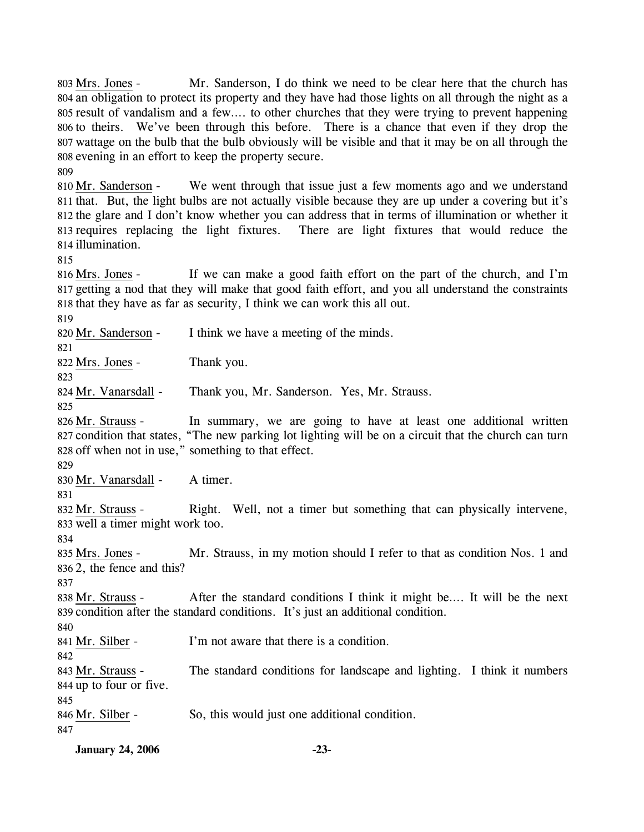Mr. Sanderson, I do think we need to be clear here that the church has 804 an obligation to protect its property and they have had those lights on all through the night as a 805 result of vandalism and a few.... to other churches that they were trying to prevent happening 806 to theirs. We've been through this before. There is a chance that even if they drop the 807 wattage on the bulb that the bulb obviously will be visible and that it may be on all through the 808 evening in an effort to keep the property secure. 803 Mrs. Jones -809 We went through that issue just a few moments ago and we understand 811 that. But, the light bulbs are not actually visible because they are up under a covering but it's 812 the glare and I don't know whether you can address that in terms of illumination or whether it 813 requires replacing the light fixtures. There are light fixtures that would reduce the 814 illumination. 810 Mr. Sanderson -815 If we can make a good faith effort on the part of the church, and I'm 817 getting a nod that they will make that good faith effort, and you all understand the constraints 818 that they have as far as security, I think we can work this all out. 816 Mrs. Jones -819 820 Mr. Sanderson - I think we have a meeting of the minds. 821 822 Mrs. Jones - Thank you. 823 824 Mr. Vanarsdall - Thank you, Mr. Sanderson. Yes, Mr. Strauss. 825 In summary, we are going to have at least one additional written 827 condition that states, "The new parking lot lighting will be on a circuit that the church can turn 828 off when not in use," something to that effect. 826 Mr. Strauss -829 830 Mr. Vanarsdall - A timer. 831 Right. Well, not a timer but something that can physically intervene, 833 well a timer might work too. 832 Mr. Strauss -834 Mr. Strauss, in my motion should I refer to that as condition Nos. 1 and 2, the fence and this? 836 835 Mrs. Jones -837 After the standard conditions I think it might be…. It will be the next 839 condition after the standard conditions. It's just an additional condition. 838 Mr. Strauss -840 841 Mr. Silber - I'm not aware that there is a condition. 842 The standard conditions for landscape and lighting. I think it numbers 844 up to four or five. 843 Mr. Strauss -845 846 Mr. Silber - So, this would just one additional condition. 847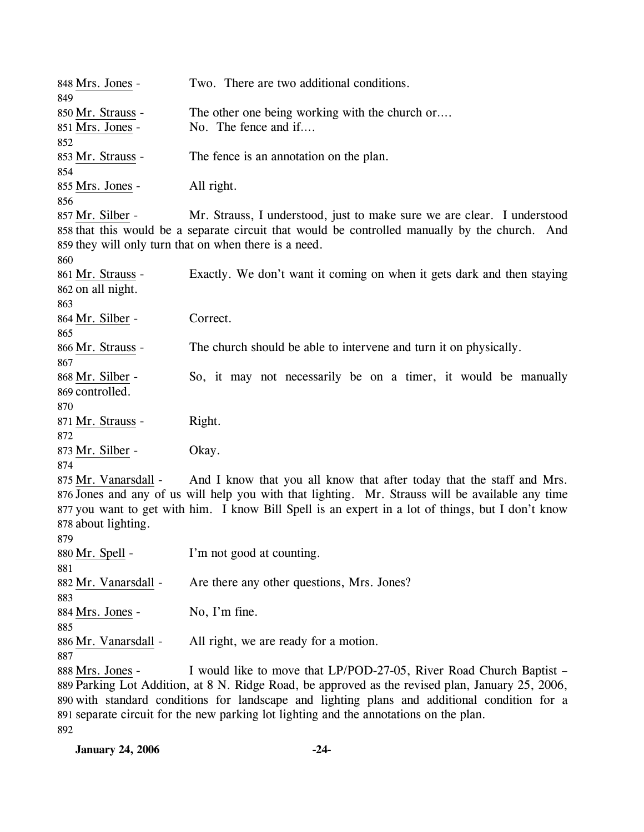| 848 Mrs. Jones -                                                                                 | Two. There are two additional conditions.                                                         |  |  |  |  |
|--------------------------------------------------------------------------------------------------|---------------------------------------------------------------------------------------------------|--|--|--|--|
| 849                                                                                              |                                                                                                   |  |  |  |  |
| 850 Mr. Strauss -                                                                                | The other one being working with the church or                                                    |  |  |  |  |
| 851 Mrs. Jones -                                                                                 | No. The fence and if                                                                              |  |  |  |  |
| 852                                                                                              |                                                                                                   |  |  |  |  |
| 853 Mr. Strauss -                                                                                | The fence is an annotation on the plan.                                                           |  |  |  |  |
| 854                                                                                              |                                                                                                   |  |  |  |  |
| 855 Mrs. Jones -                                                                                 | All right.                                                                                        |  |  |  |  |
| 856                                                                                              |                                                                                                   |  |  |  |  |
| 857 Mr. Silber -                                                                                 |                                                                                                   |  |  |  |  |
|                                                                                                  | Mr. Strauss, I understood, just to make sure we are clear. I understood                           |  |  |  |  |
|                                                                                                  | 858 that this would be a separate circuit that would be controlled manually by the church. And    |  |  |  |  |
|                                                                                                  | 859 they will only turn that on when there is a need.                                             |  |  |  |  |
| 860                                                                                              |                                                                                                   |  |  |  |  |
| 861 Mr. Strauss -                                                                                | Exactly. We don't want it coming on when it gets dark and then staying                            |  |  |  |  |
| 862 on all night.                                                                                |                                                                                                   |  |  |  |  |
| 863                                                                                              |                                                                                                   |  |  |  |  |
| 864 Mr. Silber -                                                                                 | Correct.                                                                                          |  |  |  |  |
| 865                                                                                              |                                                                                                   |  |  |  |  |
|                                                                                                  |                                                                                                   |  |  |  |  |
| 866 Mr. Strauss -                                                                                | The church should be able to intervene and turn it on physically.                                 |  |  |  |  |
| 867                                                                                              |                                                                                                   |  |  |  |  |
| 868 Mr. Silber -                                                                                 | So, it may not necessarily be on a timer, it would be manually                                    |  |  |  |  |
| 869 controlled.                                                                                  |                                                                                                   |  |  |  |  |
| 870                                                                                              |                                                                                                   |  |  |  |  |
| 871 Mr. Strauss -                                                                                | Right.                                                                                            |  |  |  |  |
| 872                                                                                              |                                                                                                   |  |  |  |  |
| 873 Mr. Silber -                                                                                 | Okay.                                                                                             |  |  |  |  |
|                                                                                                  |                                                                                                   |  |  |  |  |
| 874                                                                                              |                                                                                                   |  |  |  |  |
| 875 Mr. Vanarsdall -                                                                             | And I know that you all know that after today that the staff and Mrs.                             |  |  |  |  |
|                                                                                                  | 876 Jones and any of us will help you with that lighting. Mr. Strauss will be available any time  |  |  |  |  |
|                                                                                                  | 877 you want to get with him. I know Bill Spell is an expert in a lot of things, but I don't know |  |  |  |  |
| 878 about lighting.                                                                              |                                                                                                   |  |  |  |  |
| 879                                                                                              |                                                                                                   |  |  |  |  |
| 880 Mr. Spell -                                                                                  | I'm not good at counting.                                                                         |  |  |  |  |
| 881                                                                                              |                                                                                                   |  |  |  |  |
|                                                                                                  | Are there any other questions, Mrs. Jones?                                                        |  |  |  |  |
| 882 Mr. Vanarsdall -                                                                             |                                                                                                   |  |  |  |  |
| 883                                                                                              |                                                                                                   |  |  |  |  |
| 884 Mrs. Jones -                                                                                 | No, I'm fine.                                                                                     |  |  |  |  |
| 885                                                                                              |                                                                                                   |  |  |  |  |
| 886 Mr. Vanarsdall -                                                                             | All right, we are ready for a motion.                                                             |  |  |  |  |
| 887                                                                                              |                                                                                                   |  |  |  |  |
| 888 Mrs. Jones -                                                                                 | I would like to move that LP/POD-27-05, River Road Church Baptist –                               |  |  |  |  |
| 889 Parking Lot Addition, at 8 N. Ridge Road, be approved as the revised plan, January 25, 2006, |                                                                                                   |  |  |  |  |
|                                                                                                  | 890 with standard conditions for landscape and lighting plans and additional condition for a      |  |  |  |  |
|                                                                                                  | 891 separate circuit for the new parking lot lighting and the annotations on the plan.            |  |  |  |  |
|                                                                                                  |                                                                                                   |  |  |  |  |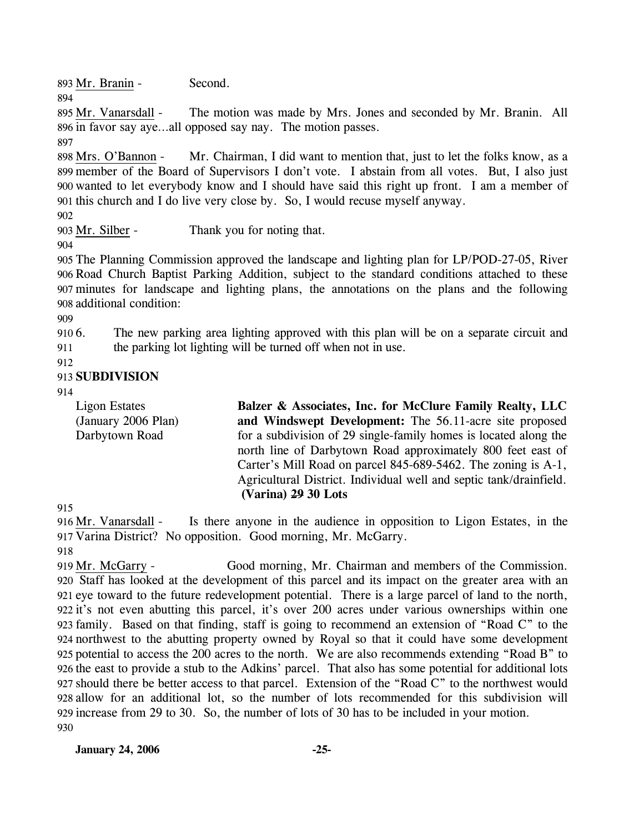893 Mr. Branin - Second.

894

The motion was made by Mrs. Jones and seconded by Mr. Branin. All 896 in favor say aye...all opposed say nay. The motion passes. 895 Mr. Vanarsdall -

897

Mr. Chairman, I did want to mention that, just to let the folks know, as a member of the Board of Supervisors I don't vote. I abstain from all votes. But, I also just 899 900 wanted to let everybody know and I should have said this right up front. I am a member of 901 this church and I do live very close by. So, I would recuse myself anyway. 898 Mrs. O'Bannon -

902

903 Mr. Silber - Thank you for noting that.

904

 The Planning Commission approved the landscape and lighting plan for LP/POD-27-05, River Road Church Baptist Parking Addition, subject to the standard conditions attached to these minutes for landscape and lighting plans, the annotations on the plans and the following additional condition:

909

 $9106.$ 911 The new parking area lighting approved with this plan will be on a separate circuit and the parking lot lighting will be turned off when not in use.

912

# 913 **SUBDIVISION**

Ligon Estates

914

(January 2006 Plan) Darbytown Road **Balzer & Associates, Inc. for McClure Family Realty, LLC and Windswept Development:** The 56.11-acre site proposed for a subdivision of 29 single-family homes is located along the north line of Darbytown Road approximately 800 feet east of Carter's Mill Road on parcel 845-689-5462. The zoning is A-1, Agricultural District. Individual well and septic tank/drainfield. **(Varina) 29 30 Lots** 

915

Is there anyone in the audience in opposition to Ligon Estates, in the Varina District? No opposition. Good morning, Mr. McGarry. 917 916 Mr. Vanarsdall -

918

Good morning, Mr. Chairman and members of the Commission. 920 Staff has looked at the development of this parcel and its impact on the greater area with an 921 eye toward to the future redevelopment potential. There is a large parcel of land to the north, 922 it's not even abutting this parcel, it's over 200 acres under various ownerships within one 923 family. Based on that finding, staff is going to recommend an extension of "Road C" to the northwest to the abutting property owned by Royal so that it could have some development 924 925 potential to access the 200 acres to the north. We are also recommends extending "Road B" to 926 the east to provide a stub to the Adkins' parcel. That also has some potential for additional lots 927 should there be better access to that parcel. Extension of the "Road C" to the northwest would 928 allow for an additional lot, so the number of lots recommended for this subdivision will 929 increase from 29 to 30. So, the number of lots of 30 has to be included in your motion. 919 Mr. McGarry -930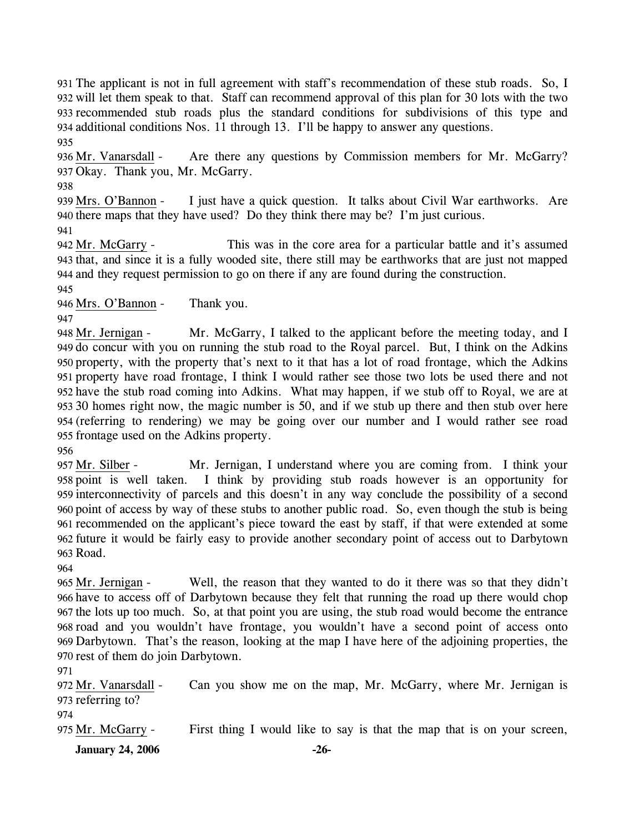The applicant is not in full agreement with staff's recommendation of these stub roads. So, I will let them speak to that. Staff can recommend approval of this plan for 30 lots with the two recommended stub roads plus the standard conditions for subdivisions of this type and additional conditions Nos. 11 through 13. I'll be happy to answer any questions. 935

Are there any questions by Commission members for Mr. McGarry? 937 Okay. Thank you, Mr. McGarry. 936 Mr. Vanarsdall -

938

I just have a quick question. It talks about Civil War earthworks. Are 940 there maps that they have used? Do they think there may be? I'm just curious. 939 Mrs. O'Bannon -941

This was in the core area for a particular battle and it's assumed 943 that, and since it is a fully wooded site, there still may be earthworks that are just not mapped and they request permission to go on there if any are found during the construction. 944 942 Mr. McGarry -

945

946 Mrs. O'Bannon - Thank you.

947

Mr. McGarry, I talked to the applicant before the meeting today, and I 949 do concur with you on running the stub road to the Royal parcel. But, I think on the Adkins property, with the property that's next to it that has a lot of road frontage, which the Adkins 950 property have road frontage, I think I would rather see those two lots be used there and not 951 952 have the stub road coming into Adkins. What may happen, if we stub off to Royal, we are at 30 homes right now, the magic number is 50, and if we stub up there and then stub over here 953 (referring to rendering) we may be going over our number and I would rather see road 954 955 frontage used on the Adkins property. 948 Mr. Jernigan -

956

Mr. Jernigan, I understand where you are coming from. I think your 958 point is well taken. I think by providing stub roads however is an opportunity for 959 interconnectivity of parcels and this doesn't in any way conclude the possibility of a second 960 point of access by way of these stubs to another public road. So, even though the stub is being 961 recommended on the applicant's piece toward the east by staff, if that were extended at some 962 future it would be fairly easy to provide another secondary point of access out to Darbytown 963 Road. 957 Mr. Silber -

964

Well, the reason that they wanted to do it there was so that they didn't 966 have to access off of Darbytown because they felt that running the road up there would chop 967 the lots up too much. So, at that point you are using, the stub road would become the entrance 968 road and you wouldn't have frontage, you wouldn't have a second point of access onto 969 Darbytown. That's the reason, looking at the map I have here of the adjoining properties, the 970 rest of them do join Darbytown. 965 Mr. Jernigan -

971

Can you show me on the map, Mr. McGarry, where Mr. Jernigan is 973 referring to? 972 Mr. Vanarsdall -

974

975 Mr. McGarry - First thing I would like to say is that the map that is on your screen,

**January 24, 2006 -26-**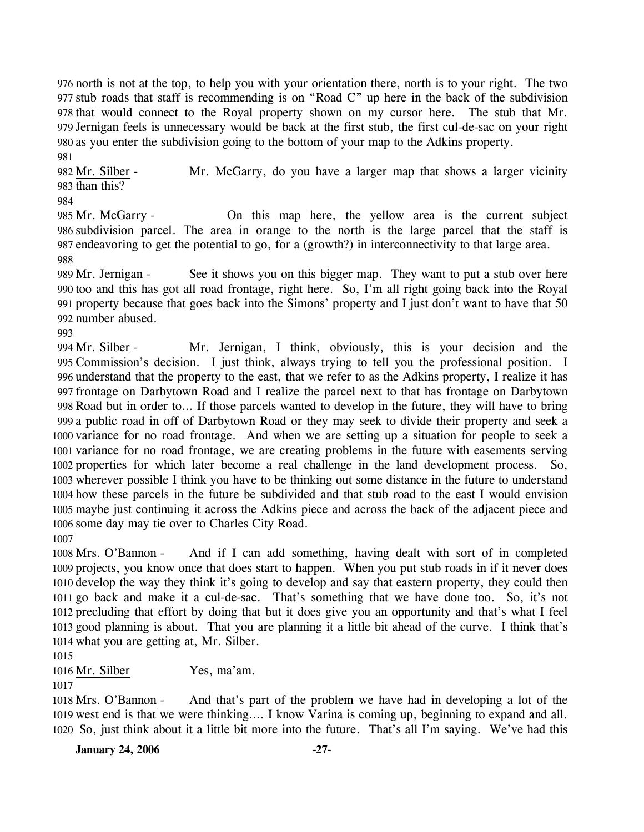north is not at the top, to help you with your orientation there, north is to your right. The two stub roads that staff is recommending is on "Road C" up here in the back of the subdivision that would connect to the Royal property shown on my cursor here. The stub that Mr. Jernigan feels is unnecessary would be back at the first stub, the first cul-de-sac on your right as you enter the subdivision going to the bottom of your map to the Adkins property. 981

Mr. McGarry, do you have a larger map that shows a larger vicinity 983 than this? 982 Mr. Silber -

984

On this map here, the yellow area is the current subject 986 subdivision parcel. The area in orange to the north is the large parcel that the staff is 987 endeavoring to get the potential to go, for a (growth?) in interconnectivity to that large area. 985 Mr. McGarry -988

See it shows you on this bigger map. They want to put a stub over here 990 too and this has got all road frontage, right here. So, I'm all right going back into the Royal property because that goes back into the Simons' property and I just don't want to have that 50 991 992 number abused. 989 Mr. Jernigan -

993

Mr. Jernigan, I think, obviously, this is your decision and the 995 Commission's decision. I just think, always trying to tell you the professional position. I 996 understand that the property to the east, that we refer to as the Adkins property, I realize it has frontage on Darbytown Road and I realize the parcel next to that has frontage on Darbytown 997 998 Road but in order to... If those parcels wanted to develop in the future, they will have to bring 999 a public road in off of Darbytown Road or they may seek to divide their property and seek a 1000 variance for no road frontage. And when we are setting up a situation for people to seek a 1001 variance for no road frontage, we are creating problems in the future with easements serving 1002 properties for which later become a real challenge in the land development process. So, 1003 wherever possible I think you have to be thinking out some distance in the future to understand 1004 how these parcels in the future be subdivided and that stub road to the east I would envision 1005 maybe just continuing it across the Adkins piece and across the back of the adjacent piece and 1006 some day may tie over to Charles City Road. 994 Mr. Silber -

1007

And if I can add something, having dealt with sort of in completed 1009 projects, you know once that does start to happen. When you put stub roads in if it never does 1010 develop the way they think it's going to develop and say that eastern property, they could then 1011 go back and make it a cul-de-sac. That's something that we have done too. So, it's not 1012 precluding that effort by doing that but it does give you an opportunity and that's what I feel 1013 good planning is about. That you are planning it a little bit ahead of the curve. I think that's 1014 what you are getting at, Mr. Silber. 1008 Mrs. O'Bannon -

1015

1016 Mr. Silber Yes, ma'am.

1017

And that's part of the problem we have had in developing a lot of the 1019 west end is that we were thinking.... I know Varina is coming up, beginning to expand and all. 1020 So, just think about it a little bit more into the future. That's all I'm saying. We've had this 1018 Mrs. O'Bannon -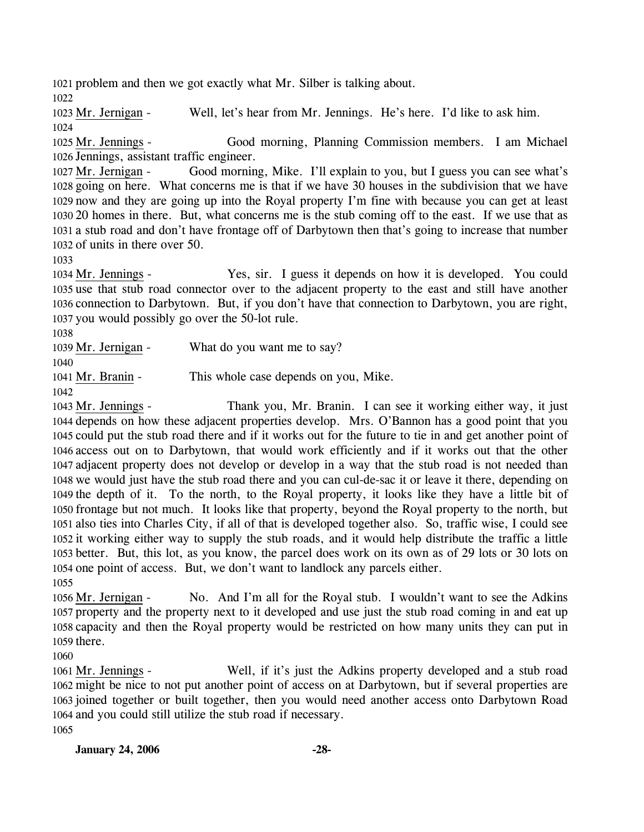1021 problem and then we got exactly what Mr. Silber is talking about.

1022

1023 Mr. Jernigan - Well, let's hear from Mr. Jennings. He's here. I'd like to ask him. 1024

Good morning, Planning Commission members. I am Michael 1026 Jennings, assistant traffic engineer. 1025 Mr. Jennings -

Good morning, Mike. I'll explain to you, but I guess you can see what's 1028 going on here. What concerns me is that if we have 30 houses in the subdivision that we have 1029 now and they are going up into the Royal property I'm fine with because you can get at least 20 homes in there. But, what concerns me is the stub coming off to the east. If we use that as 1030 1031 a stub road and don't have frontage off of Darbytown then that's going to increase that number 1032 of units in there over  $50$ . 1027 Mr. Jernigan -

1033

Yes, sir. I guess it depends on how it is developed. You could 1035 use that stub road connector over to the adjacent property to the east and still have another 1036 connection to Darbytown. But, if you don't have that connection to Darbytown, you are right, 1037 you would possibly go over the 50-lot rule. 1034 Mr. Jennings -

1038

1039 Mr. Jernigan - What do you want me to say?

1040

1041 Mr. Branin - This whole case depends on you, Mike.

1042

Thank you, Mr. Branin. I can see it working either way, it just 1044 depends on how these adjacent properties develop. Mrs. O'Bannon has a good point that you 1045 could put the stub road there and if it works out for the future to tie in and get another point of 1046 access out on to Darbytown, that would work efficiently and if it works out that the other 1047 adjacent property does not develop or develop in a way that the stub road is not needed than 1048 we would just have the stub road there and you can cul-de-sac it or leave it there, depending on 1049 the depth of it. To the north, to the Royal property, it looks like they have a little bit of 1050 frontage but not much. It looks like that property, beyond the Royal property to the north, but 1051 also ties into Charles City, if all of that is developed together also. So, traffic wise, I could see 1052 it working either way to supply the stub roads, and it would help distribute the traffic a little 1053 better. But, this lot, as you know, the parcel does work on its own as of 29 lots or 30 lots on 1054 one point of access. But, we don't want to landlock any parcels either. 1043 Mr. Jennings -

1055

No. And I'm all for the Royal stub. I wouldn't want to see the Adkins 1057 property and the property next to it developed and use just the stub road coming in and eat up 1058 capacity and then the Royal property would be restricted on how many units they can put in 1059 there. 1056 Mr. Jernigan -

1060

Well, if it's just the Adkins property developed and a stub road 1062 might be nice to not put another point of access on at Darbytown, but if several properties are 1063 joined together or built together, then you would need another access onto Darbytown Road 1064 and you could still utilize the stub road if necessary. 1061 Mr. Jennings -1065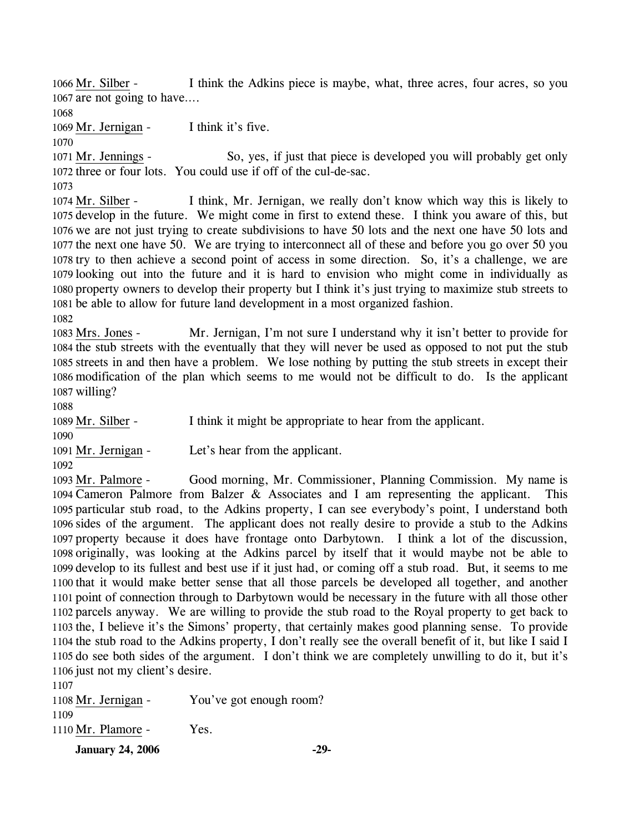I think the Adkins piece is maybe, what, three acres, four acres, so you 1067 are not going to have.... 1066 Mr. Silber -

1068

1069 Mr. Jernigan - I think it's five.

1070

So, yes, if just that piece is developed you will probably get only 1072 three or four lots. You could use if off of the cul-de-sac. 1071 Mr. Jennings -

1073

I think, Mr. Jernigan, we really don't know which way this is likely to 1075 develop in the future. We might come in first to extend these. I think you aware of this, but 1076 we are not just trying to create subdivisions to have 50 lots and the next one have 50 lots and 1077 the next one have 50. We are trying to interconnect all of these and before you go over 50 you 1078 try to then achieve a second point of access in some direction. So, it's a challenge, we are 1079 looking out into the future and it is hard to envision who might come in individually as 1080 property owners to develop their property but I think it's just trying to maximize stub streets to 1081 be able to allow for future land development in a most organized fashion. 1074 Mr. Silber -

1082

Mr. Jernigan, I'm not sure I understand why it isn't better to provide for 1084 the stub streets with the eventually that they will never be used as opposed to not put the stub 1085 streets in and then have a problem. We lose nothing by putting the stub streets in except their 1086 modification of the plan which seems to me would not be difficult to do. Is the applicant willing? 1087 1083 Mrs. Jones -

1088

1092

1089 Mr. Silber - I think it might be appropriate to hear from the applicant. 1090

1091 Mr. Jernigan - Let's hear from the applicant.

Good morning, Mr. Commissioner, Planning Commission. My name is 1094 Cameron Palmore from Balzer & Associates and I am representing the applicant. This 1095 particular stub road, to the Adkins property, I can see everybody's point, I understand both 1096 sides of the argument. The applicant does not really desire to provide a stub to the Adkins 1097 property because it does have frontage onto Darbytown. I think a lot of the discussion, 1098 originally, was looking at the Adkins parcel by itself that it would maybe not be able to 1099 develop to its fullest and best use if it just had, or coming off a stub road. But, it seems to me 1100 that it would make better sense that all those parcels be developed all together, and another 1101 point of connection through to Darbytown would be necessary in the future with all those other 1102 parcels anyway. We are willing to provide the stub road to the Royal property to get back to 1103 the, I believe it's the Simons' property, that certainly makes good planning sense. To provide 1104 the stub road to the Adkins property, I don't really see the overall benefit of it, but like I said I 1105 do see both sides of the argument. I don't think we are completely unwilling to do it, but it's 1106 just not my client's desire. 1093 Mr. Palmore -

1107

| $-29-$                  |
|-------------------------|
| Yes.                    |
|                         |
| You've got enough room? |
|                         |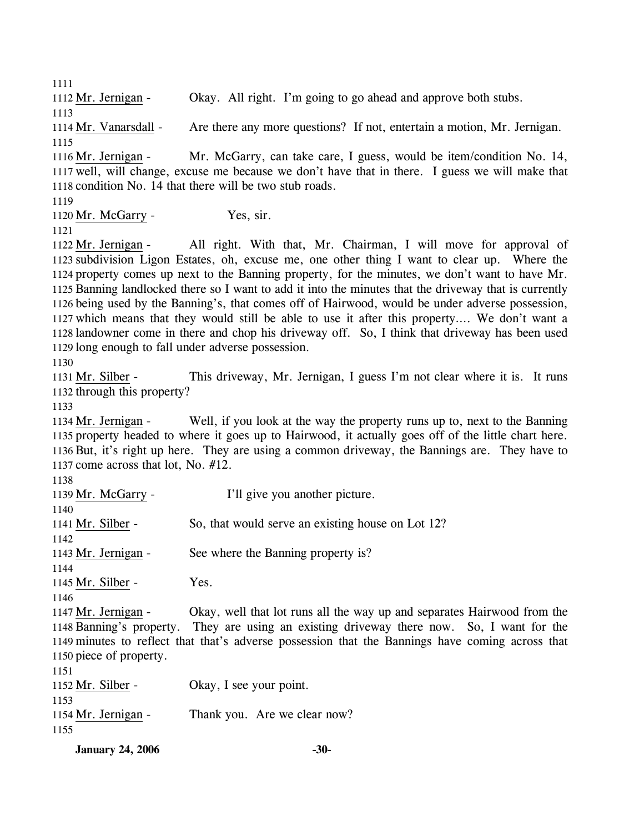1111 1112 Mr. Jernigan - Okay. All right. I'm going to go ahead and approve both stubs. 1113 1114 Mr. Vanarsdall - Are there any more questions? If not, entertain a motion, Mr. Jernigan. 1115 Mr. McGarry, can take care, I guess, would be item/condition No. 14, 1117 well, will change, excuse me because we don't have that in there. I guess we will make that 1118 condition No. 14 that there will be two stub roads. 1116 Mr. Jernigan -1119 1120 Mr. McGarry - Yes, sir. 1121 All right. With that, Mr. Chairman, I will move for approval of 1123 subdivision Ligon Estates, oh, excuse me, one other thing I want to clear up. Where the 1124 property comes up next to the Banning property, for the minutes, we don't want to have Mr. 1125 Banning landlocked there so I want to add it into the minutes that the driveway that is currently 1126 being used by the Banning's, that comes off of Hairwood, would be under adverse possession, 1127 which means that they would still be able to use it after this property.... We don't want a 1128 landowner come in there and chop his driveway off. So, I think that driveway has been used 1129 long enough to fall under adverse possession. 1122 Mr. Jernigan -1130 This driveway, Mr. Jernigan, I guess I'm not clear where it is. It runs 1132 through this property? 1131 Mr. Silber -1133 Well, if you look at the way the property runs up to, next to the Banning 1135 property headed to where it goes up to Hairwood, it actually goes off of the little chart here. 1136 But, it's right up here. They are using a common driveway, the Bannings are. They have to 1137 come across that lot, No.  $#12$ . 1134 Mr. Jernigan -1138 1139 Mr. McGarry - I'll give you another picture. 1140 1141 Mr. Silber - So, that would serve an existing house on Lot 12? 1142 1143 Mr. Jernigan - See where the Banning property is? 1144 1145 Mr. Silber - Yes. 1146 Okay, well that lot runs all the way up and separates Hairwood from the 1148 Banning's property. They are using an existing driveway there now. So, I want for the 1149 minutes to reflect that that's adverse possession that the Bannings have coming across that 1150 piece of property. 1147 Mr. Jernigan -1151 1152 Mr. Silber - Okay, I see your point. 1153 1154 Mr. Jernigan - Thank you. Are we clear now? 1155

**January 24, 2006** -30-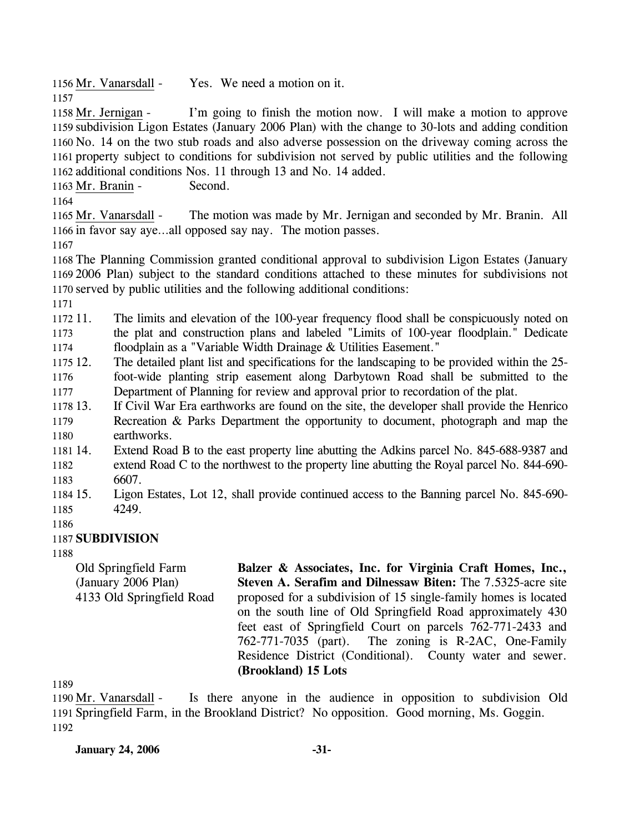1156 Mr. Vanarsdall - Yes. We need a motion on it.

1157

I'm going to finish the motion now. I will make a motion to approve 1159 subdivision Ligon Estates (January 2006 Plan) with the change to 30-lots and adding condition 1160 No. 14 on the two stub roads and also adverse possession on the driveway coming across the 1161 property subject to conditions for subdivision not served by public utilities and the following 1162 additional conditions Nos. 11 through 13 and No. 14 added. 1158 Mr. Jernigan -

1163 Mr. Branin - Second.

1164

The motion was made by Mr. Jernigan and seconded by Mr. Branin. All 1166 in favor say aye...all opposed say nay. The motion passes. 1165 Mr. Vanarsdall -

1167

1168 The Planning Commission granted conditional approval to subdivision Ligon Estates (January 1169 2006 Plan) subject to the standard conditions attached to these minutes for subdivisions not 1170 served by public utilities and the following additional conditions:

1171

1172 11. 1173 1174 The limits and elevation of the 100-year frequency flood shall be conspicuously noted on the plat and construction plans and labeled "Limits of 100-year floodplain." Dedicate floodplain as a "Variable Width Drainage & Utilities Easement."

1175 12. 1176 1177 12. The detailed plant list and specifications for the landscaping to be provided within the 25 foot-wide planting strip easement along Darbytown Road shall be submitted to the Department of Planning for review and approval prior to recordation of the plat.

1178 13. 1179 1180 13. If Civil War Era earthworks are found on the site, the developer shall provide the Henrico Recreation & Parks Department the opportunity to document, photograph and map the earthworks.

1181 14. 1182 1183 Extend Road B to the east property line abutting the Adkins parcel No. 845-688-9387 and extend Road C to the northwest to the property line abutting the Royal parcel No. 844-690- 6607.

1184 15. 1185 15. Ligon Estates, Lot 12, shall provide continued access to the Banning parcel No. 845-690- 4249.

1186

## 1187 **SUBDIVISION**

1188

Old Springfield Farm (January 2006 Plan) 4133 Old Springfield Road **Balzer & Associates, Inc. for Virginia Craft Homes, Inc., Steven A. Serafim and Dilnessaw Biten:** The 7.5325-acre site proposed for a subdivision of 15 single-family homes is located on the south line of Old Springfield Road approximately 430 feet east of Springfield Court on parcels 762-771-2433 and 762-771-7035 (part). The zoning is R-2AC, One-Family Residence District (Conditional). County water and sewer. **(Brookland) 15 Lots** 

1189

Is there anyone in the audience in opposition to subdivision Old 1191 Springfield Farm, in the Brookland District? No opposition. Good morning, Ms. Goggin. 1190 Mr. Vanarsdall -1192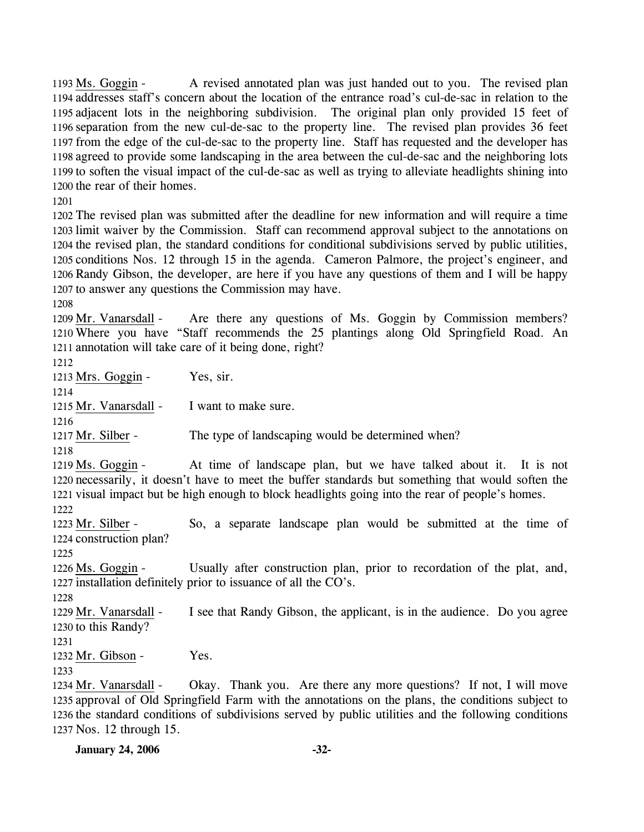A revised annotated plan was just handed out to you. The revised plan 1194 addresses staff's concern about the location of the entrance road's cul-de-sac in relation to the 1195 adjacent lots in the neighboring subdivision. The original plan only provided 15 feet of 1196 separation from the new cul-de-sac to the property line. The revised plan provides 36 feet 1197 from the edge of the cul-de-sac to the property line. Staff has requested and the developer has 1198 agreed to provide some landscaping in the area between the cul-de-sac and the neighboring lots 1199 to soften the visual impact of the cul-de-sac as well as trying to alleviate headlights shining into 1200 the rear of their homes. 1193 Ms. Goggin -

1201

 The revised plan was submitted after the deadline for new information and will require a time limit waiver by the Commission. Staff can recommend approval subject to the annotations on the revised plan, the standard conditions for conditional subdivisions served by public utilities, conditions Nos. 12 through 15 in the agenda. Cameron Palmore, the project's engineer, and Randy Gibson, the developer, are here if you have any questions of them and I will be happy to answer any questions the Commission may have.

1208

Are there any questions of Ms. Goggin by Commission members? Where you have "Staff recommends the 25 plantings along Old Springfield Road. An 1210 1211 annotation will take care of it being done, right? 1209 Mr. Vanarsdall -

1212

1213 Mrs. Goggin - Yes, sir.

1214

1215 Mr. Vanarsdall - I want to make sure. 1216

1217 Mr. Silber - The type of landscaping would be determined when?

1218

At time of landscape plan, but we have talked about it. It is not 1220 necessarily, it doesn't have to meet the buffer standards but something that would soften the 1221 visual impact but be high enough to block headlights going into the rear of people's homes. 1219 Ms. Goggin -

1222

So, a separate landscape plan would be submitted at the time of 1224 construction plan? 1223 Mr. Silber -

1225

Usually after construction plan, prior to recordation of the plat, and, 1227 installation definitely prior to issuance of all the CO's. 1226 Ms. Goggin -

1228

I see that Randy Gibson, the applicant, is in the audience. Do you agree 1230 to this Randy? 1229 Mr. Vanarsdall -

1231

1232 Mr. Gibson - Yes.

1233

Okay. Thank you. Are there any more questions? If not, I will move 1235 approval of Old Springfield Farm with the annotations on the plans, the conditions subject to 1236 the standard conditions of subdivisions served by public utilities and the following conditions 1237 Nos. 12 through 15. 1234 Mr. Vanarsdall -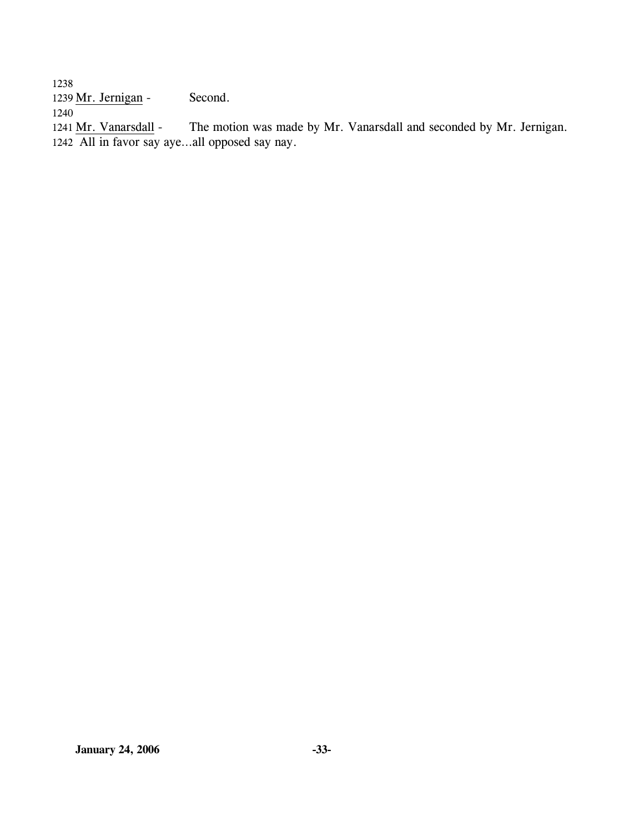1238

1239 Mr. Jernigan - Second.

1240

The motion was made by Mr. Vanarsdall and seconded by Mr. Jernigan. 1242 All in favor say aye...all opposed say nay. 1241 Mr. Vanarsdall -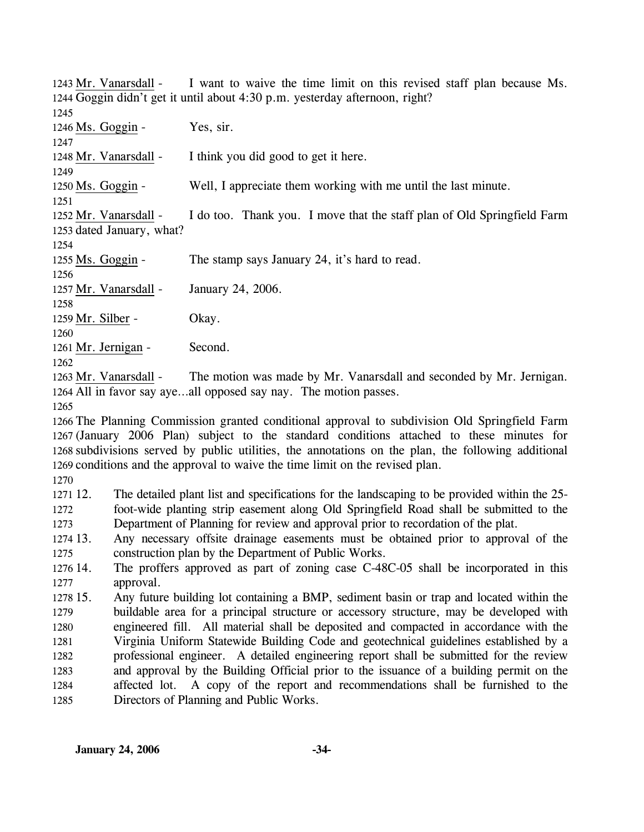I want to waive the time limit on this revised staff plan because Ms. 1244 Goggin didn't get it until about 4:30 p.m. yesterday afternoon, right? 1243 Mr. Vanarsdall -1245 1246 Ms. Goggin - Yes, sir. 1247 1248 Mr. Vanarsdall - I think you did good to get it here. 1249 1250 Ms. Goggin - Well, I appreciate them working with me until the last minute. 1251 I do too. Thank you. I move that the staff plan of Old Springfield Farm 1253 dated January, what? 1252 Mr. Vanarsdall -1254 1255 Ms. Goggin - The stamp says January 24, it's hard to read. 1256 1257 Mr. Vanarsdall - January 24, 2006. 1258 1259 Mr. Silber - Okay. 1260 1261 Mr. Jernigan - Second. 1262 The motion was made by Mr. Vanarsdall and seconded by Mr. Jernigan. 1264 All in favor say aye...all opposed say nay. The motion passes. 1263 Mr. Vanarsdall -

1265

 The Planning Commission granted conditional approval to subdivision Old Springfield Farm (January 2006 Plan) subject to the standard conditions attached to these minutes for subdivisions served by public utilities, the annotations on the plan, the following additional conditions and the approval to waive the time limit on the revised plan.

1270

- 1271 12. 1272 The detailed plant list and specifications for the landscaping to be provided within the 25foot-wide planting strip easement along Old Springfield Road shall be submitted to the
- 1273 Department of Planning for review and approval prior to recordation of the plat.

1274 13. 1275 Any necessary offsite drainage easements must be obtained prior to approval of the construction plan by the Department of Public Works.

1276 14. 1277 The proffers approved as part of zoning case C-48C-05 shall be incorporated in this approval.

1278 15. 1279 1280 1281 1282 1283 1284 1285 15. Any future building lot containing a BMP, sediment basin or trap and located within the buildable area for a principal structure or accessory structure, may be developed with engineered fill. All material shall be deposited and compacted in accordance with the Virginia Uniform Statewide Building Code and geotechnical guidelines established by a professional engineer. A detailed engineering report shall be submitted for the review and approval by the Building Official prior to the issuance of a building permit on the affected lot. A copy of the report and recommendations shall be furnished to the Directors of Planning and Public Works.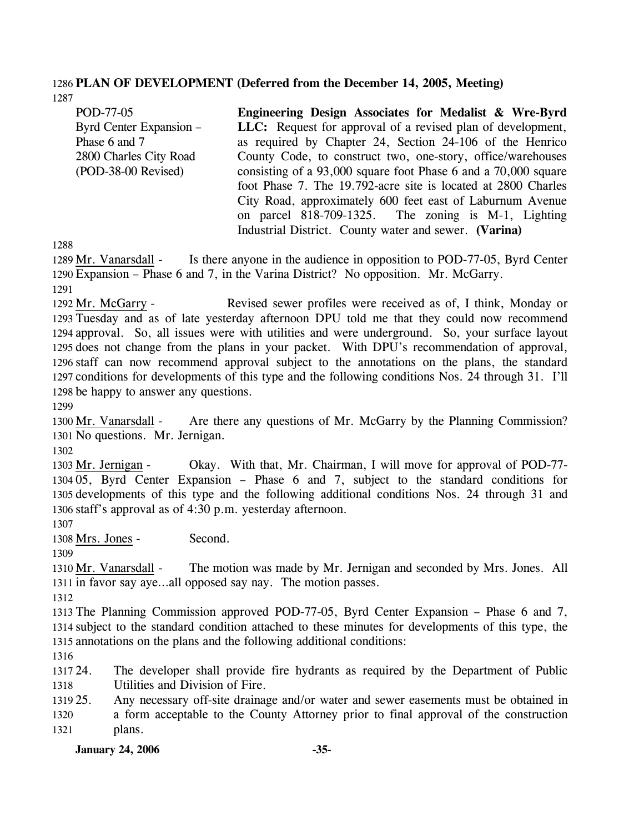#### 1286 **PLAN OF DEVELOPMENT (Deferred from the December 14, 2005, Meeting)**  1287

| POD-77-05               | Engineering Design Associates for Medalist & Wre-Byrd          |
|-------------------------|----------------------------------------------------------------|
| Byrd Center Expansion – | LLC: Request for approval of a revised plan of development,    |
| Phase 6 and 7           | as required by Chapter 24, Section 24-106 of the Henrico       |
| 2800 Charles City Road  | County Code, to construct two, one-story, office/warehouses    |
| (POD-38-00 Revised)     | consisting of a 93,000 square foot Phase 6 and a 70,000 square |
|                         | foot Phase 7. The 19.792-acre site is located at 2800 Charles  |
|                         | City Road, approximately 600 feet east of Laburnum Avenue      |
|                         | on parcel 818-709-1325. The zoning is M-1, Lighting            |
|                         | Industrial District. County water and sewer. (Varina)          |

1288

Is there anyone in the audience in opposition to POD-77-05, Byrd Center Expansion – Phase 6 and 7, in the Varina District? No opposition. Mr. McGarry. 1290 1289 Mr. Vanarsdall -

1291

Revised sewer profiles were received as of, I think, Monday or 1293 Tuesday and as of late yesterday afternoon DPU told me that they could now recommend 1294 approval. So, all issues were with utilities and were underground. So, your surface layout 1295 does not change from the plans in your packet. With DPU's recommendation of approval, 1296 staff can now recommend approval subject to the annotations on the plans, the standard 1297 conditions for developments of this type and the following conditions Nos. 24 through 31. I'll 1298 be happy to answer any questions. 1292 Mr. McGarry -

1299

Are there any questions of Mr. McGarry by the Planning Commission? 1301 No questions. Mr. Jernigan. 1300 Mr. Vanarsdall -

1302

Okay. With that, Mr. Chairman, I will move for approval of POD-77-1304 05, Byrd Center Expansion - Phase 6 and 7, subject to the standard conditions for 1305 developments of this type and the following additional conditions Nos. 24 through 31 and 1306 staff's approval as of 4:30 p.m. yesterday afternoon. 1303 Mr. Jernigan -

1307

1308 Mrs. Jones - Second.

1309

The motion was made by Mr. Jernigan and seconded by Mrs. Jones. All 1311 in favor say aye...all opposed say nay. The motion passes.  $1310$  Mr. Vanarsdall -

1312

1313 The Planning Commission approved POD-77-05, Byrd Center Expansion – Phase 6 and 7, 1314 subject to the standard condition attached to these minutes for developments of this type, the 1315 annotations on the plans and the following additional conditions:

1316

1317 24. 1318 The developer shall provide fire hydrants as required by the Department of Public Utilities and Division of Fire.

1319 25. 1320 1321 Any necessary off-site drainage and/or water and sewer easements must be obtained in a form acceptable to the County Attorney prior to final approval of the construction plans.

**January 24, 2006 -35-**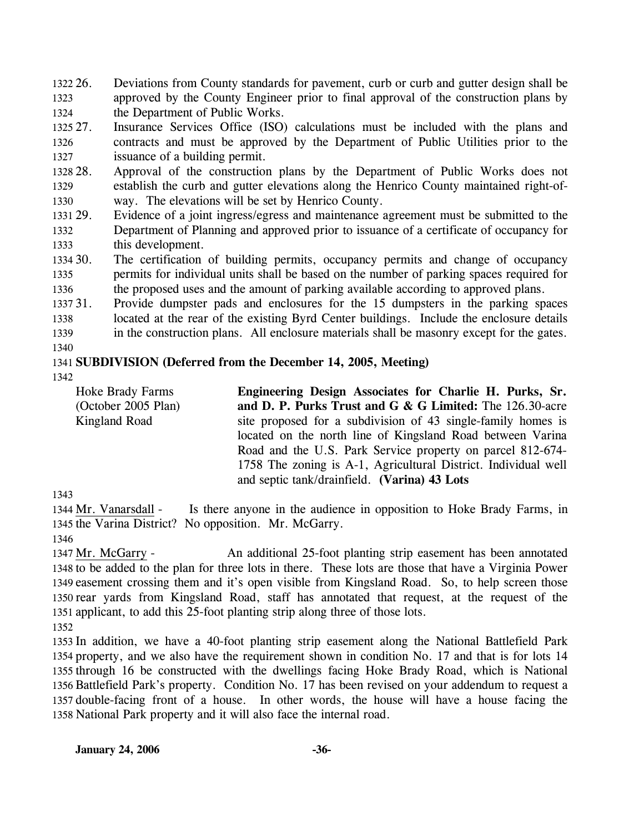1322 26. 1323 1324 26. Deviations from County standards for pavement, curb or curb and gutter design shall be approved by the County Engineer prior to final approval of the construction plans by the Department of Public Works.

1325 27. 1326 1327 Insurance Services Office (ISO) calculations must be included with the plans and contracts and must be approved by the Department of Public Utilities prior to the issuance of a building permit.

1328 28. 1329 1330 Approval of the construction plans by the Department of Public Works does not establish the curb and gutter elevations along the Henrico County maintained right-ofway. The elevations will be set by Henrico County.

1331 29. 1332 1333 29. Evidence of a joint ingress/egress and maintenance agreement must be submitted to the Department of Planning and approved prior to issuance of a certificate of occupancy for this development.

1334 30. 1335 1336 The certification of building permits, occupancy permits and change of occupancy permits for individual units shall be based on the number of parking spaces required for the proposed uses and the amount of parking available according to approved plans.

1337 31. 1338 1339 31. Provide dumpster pads and enclosures for the 15 dumpsters in the parking spaces located at the rear of the existing Byrd Center buildings. Include the enclosure details in the construction plans. All enclosure materials shall be masonry except for the gates.

1340

## 1341 **SUBDIVISION (Deferred from the December 14, 2005, Meeting)**

1342

Hoke Brady Farms (October 2005 Plan) Kingland Road **Engineering Design Associates for Charlie H. Purks, Sr. and D. P. Purks Trust and G & G Limited:** The 126.30-acre site proposed for a subdivision of 43 single-family homes is located on the north line of Kingsland Road between Varina Road and the U.S. Park Service property on parcel 812-674- 1758 The zoning is A-1, Agricultural District. Individual well and septic tank/drainfield. **(Varina) 43 Lots** 

1343

Is there anyone in the audience in opposition to Hoke Brady Farms, in 1345 the Varina District? No opposition. Mr. McGarry. 1344 Mr. Vanarsdall -

1346

An additional 25-foot planting strip easement has been annotated 1348 to be added to the plan for three lots in there. These lots are those that have a Virginia Power 1349 easement crossing them and it's open visible from Kingsland Road. So, to help screen those 1350 rear yards from Kingsland Road, staff has annotated that request, at the request of the 1351 applicant, to add this 25-foot planting strip along three of those lots. 1347 Mr. McGarry -

1352

 In addition, we have a 40-foot planting strip easement along the National Battlefield Park property, and we also have the requirement shown in condition No. 17 and that is for lots 14 through 16 be constructed with the dwellings facing Hoke Brady Road, which is National Battlefield Park's property. Condition No. 17 has been revised on your addendum to request a double-facing front of a house. In other words, the house will have a house facing the National Park property and it will also face the internal road.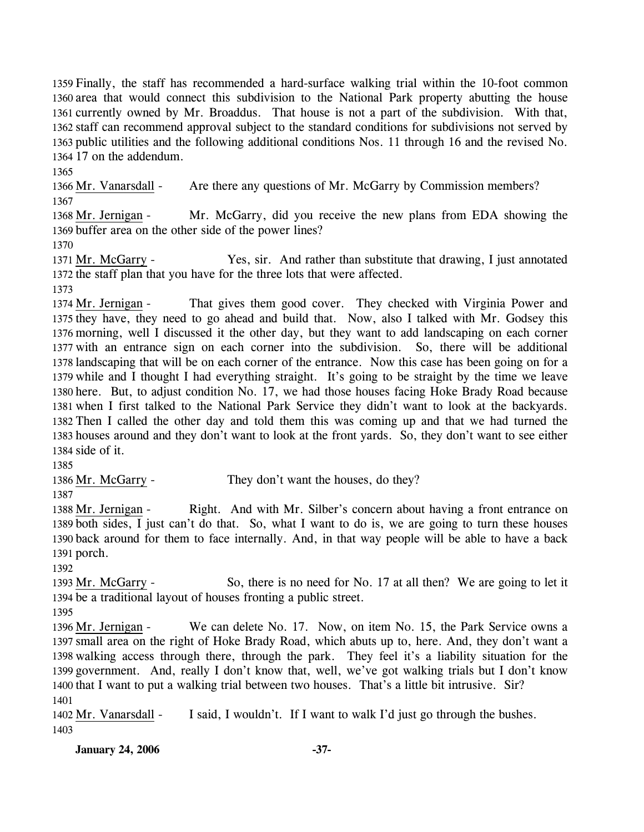Finally, the staff has recommended a hard-surface walking trial within the 10-foot common area that would connect this subdivision to the National Park property abutting the house currently owned by Mr. Broaddus. That house is not a part of the subdivision. With that, staff can recommend approval subject to the standard conditions for subdivisions not served by public utilities and the following additional conditions Nos. 11 through 16 and the revised No. 17 on the addendum.

1365

1366 Mr. Vanarsdall - Are there any questions of Mr. McGarry by Commission members? 1367

Mr. McGarry, did you receive the new plans from EDA showing the 1369 buffer area on the other side of the power lines? 1368 Mr. Jernigan -

1370

Yes, sir. And rather than substitute that drawing, I just annotated 1372 the staff plan that you have for the three lots that were affected. 1371 Mr. McGarry -

1373

That gives them good cover. They checked with Virginia Power and 1375 they have, they need to go ahead and build that. Now, also I talked with Mr. Godsey this 1376 morning, well I discussed it the other day, but they want to add landscaping on each corner 1377 with an entrance sign on each corner into the subdivision. So, there will be additional 1378 landscaping that will be on each corner of the entrance. Now this case has been going on for a 1379 while and I thought I had everything straight. It's going to be straight by the time we leave 1380 here. But, to adjust condition No. 17, we had those houses facing Hoke Brady Road because 1381 when I first talked to the National Park Service they didn't want to look at the backyards. 1382 Then I called the other day and told them this was coming up and that we had turned the 1383 houses around and they don't want to look at the front yards. So, they don't want to see either  $1384$  side of it. 1374 Mr. Jernigan -

1385

1386 Mr. McGarry - They don't want the houses, do they?

1387

Right. And with Mr. Silber's concern about having a front entrance on 1389 both sides, I just can't do that. So, what I want to do is, we are going to turn these houses 1390 back around for them to face internally. And, in that way people will be able to have a back 1391 porch. 1388 Mr. Jernigan -

1392

So, there is no need for No. 17 at all then? We are going to let it 1394 be a traditional layout of houses fronting a public street. 1393 Mr. McGarry -

1395

We can delete No. 17. Now, on item No. 15, the Park Service owns a 1397 small area on the right of Hoke Brady Road, which abuts up to, here. And, they don't want a 1398 walking access through there, through the park. They feel it's a liability situation for the 1399 government. And, really I don't know that, well, we've got walking trials but I don't know 1400 that I want to put a walking trial between two houses. That's a little bit intrusive. Sir? 1396 Mr. Jernigan -1401

1402 Mr. Vanarsdall - I said, I wouldn't. If I want to walk I'd just go through the bushes. 1403

**January 24, 2006 -37-**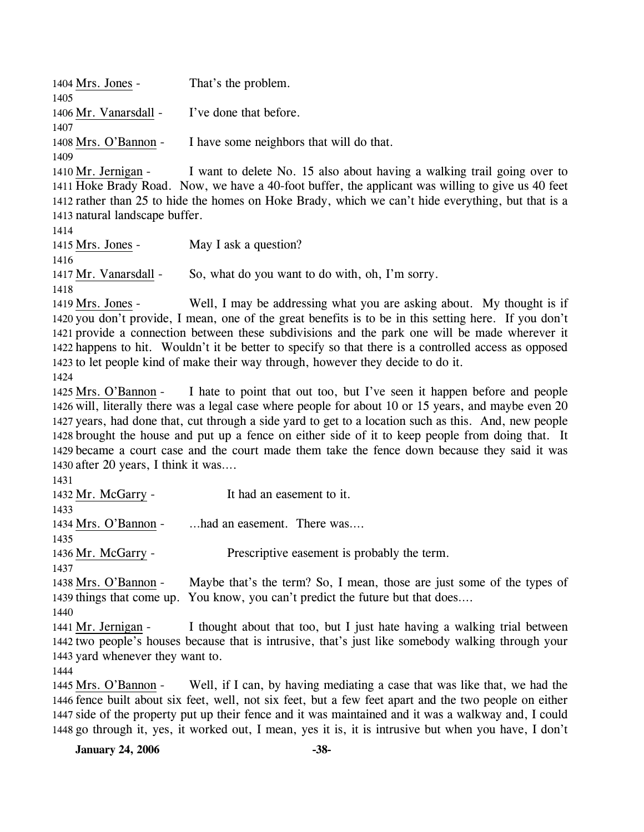1404 Mrs. Jones - That's the problem. 1405 1406 Mr. Vanarsdall - I've done that before. 1407 1408 Mrs. O'Bannon - I have some neighbors that will do that. 1409 I want to delete No. 15 also about having a walking trail going over to 1411 Hoke Brady Road. Now, we have a 40-foot buffer, the applicant was willing to give us 40 feet 1412 rather than 25 to hide the homes on Hoke Brady, which we can't hide everything, but that is a 1413 natural landscape buffer. 1410 Mr. Jernigan -1414 1415 Mrs. Jones - May I ask a question? 1416 1417 Mr. Vanarsdall - So, what do you want to do with, oh, I'm sorry. 1418 Well, I may be addressing what you are asking about. My thought is if 1420 you don't provide, I mean, one of the great benefits is to be in this setting here. If you don't 1421 provide a connection between these subdivisions and the park one will be made wherever it 1422 happens to hit. Wouldn't it be better to specify so that there is a controlled access as opposed 1423 to let people kind of make their way through, however they decide to do it. 1419 Mrs. Jones -1424 I hate to point that out too, but I've seen it happen before and people 1426 will, literally there was a legal case where people for about 10 or 15 years, and maybe even 20 1427 years, had done that, cut through a side yard to get to a location such as this. And, new people 1428 brought the house and put up a fence on either side of it to keep people from doing that. It 1429 became a court case and the court made them take the fence down because they said it was 1430 after 20 years, I think it was.... 1425 Mrs. O'Bannon -1431 1432 Mr. McGarry - It had an easement to it. 1433 1434 Mrs. O'Bannon - …had an easement. There was…. 1435 1436 Mr. McGarry - Prescriptive easement is probably the term. 1437 Maybe that's the term? So, I mean, those are just some of the types of 1439 things that come up. You know, you can't predict the future but that does.... 1438 Mrs. O'Bannon -1440 I thought about that too, but I just hate having a walking trial between 1442 two people's houses because that is intrusive, that's just like somebody walking through your 1443 yard whenever they want to. 1441 Mr. Jernigan -1444 Well, if I can, by having mediating a case that was like that, we had the 1446 fence built about six feet, well, not six feet, but a few feet apart and the two people on either 1445 Mrs. O'Bannon -

1447 side of the property put up their fence and it was maintained and it was a walkway and, I could 1448 go through it, yes, it worked out, I mean, yes it is, it is intrusive but when you have, I don't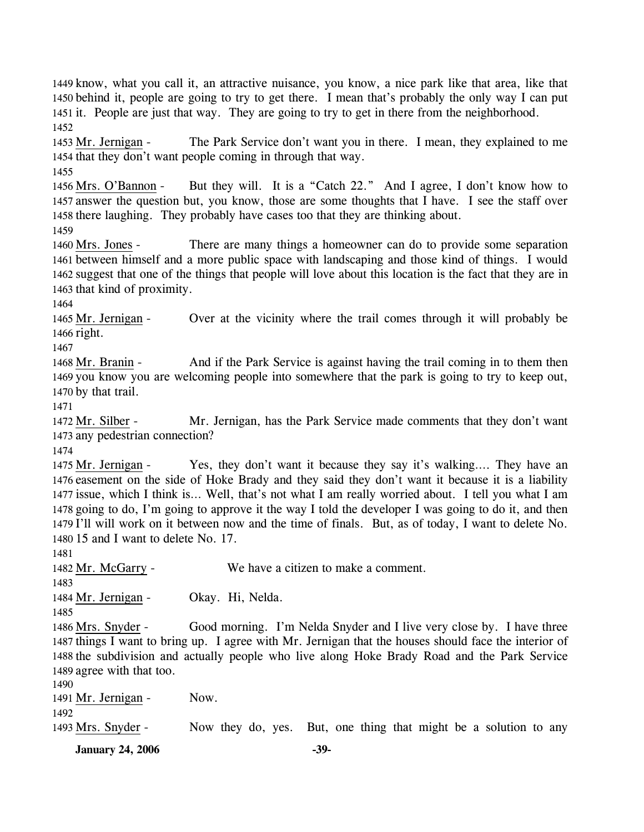**January 24, 2006** -39-1449 know, what you call it, an attractive nuisance, you know, a nice park like that area, like that 1450 behind it, people are going to try to get there. I mean that's probably the only way I can put 1451 it. People are just that way. They are going to try to get in there from the neighborhood. 1452 The Park Service don't want you in there. I mean, they explained to me 1454 that they don't want people coming in through that way. 1453 Mr. Jernigan -1455 But they will. It is a "Catch  $22$ ." And I agree, I don't know how to 1457 answer the question but, you know, those are some thoughts that I have. I see the staff over 1458 there laughing. They probably have cases too that they are thinking about. 1456 Mrs. O'Bannon -1459 There are many things a homeowner can do to provide some separation 1461 between himself and a more public space with landscaping and those kind of things. I would 1462 suggest that one of the things that people will love about this location is the fact that they are in 1463 that kind of proximity. 1460 Mrs. Jones -1464 Over at the vicinity where the trail comes through it will probably be 1466 right. 1465 Mr. Jernigan -1467 And if the Park Service is against having the trail coming in to them then 1469 you know you are welcoming people into somewhere that the park is going to try to keep out, 1470 by that trail. 1468 Mr. Branin -1471 Mr. Jernigan, has the Park Service made comments that they don't want 1473 any pedestrian connection? 1472 Mr. Silber -1474 Yes, they don't want it because they say it's walking.... They have an 1476 easement on the side of Hoke Brady and they said they don't want it because it is a liability 1477 issue, which I think is... Well, that's not what I am really worried about. I tell you what I am 1478 going to do, I'm going to approve it the way I told the developer I was going to do it, and then 1479 I'll will work on it between now and the time of finals. But, as of today, I want to delete No. 1480 15 and I want to delete No. 17. 1475 Mr. Jernigan -1481 1482 Mr. McGarry - We have a citizen to make a comment. 1483 1484 Mr. Jernigan - Okay. Hi, Nelda. 1485 Good morning. I'm Nelda Snyder and I live very close by. I have three 1487 things I want to bring up. I agree with Mr. Jernigan that the houses should face the interior of 1488 the subdivision and actually people who live along Hoke Brady Road and the Park Service 1489 agree with that too. 1486 Mrs. Snyder -1490 1491 Mr. Jernigan - Now. 1492 1493 Mrs. Snyder - Now they do, yes. But, one thing that might be a solution to any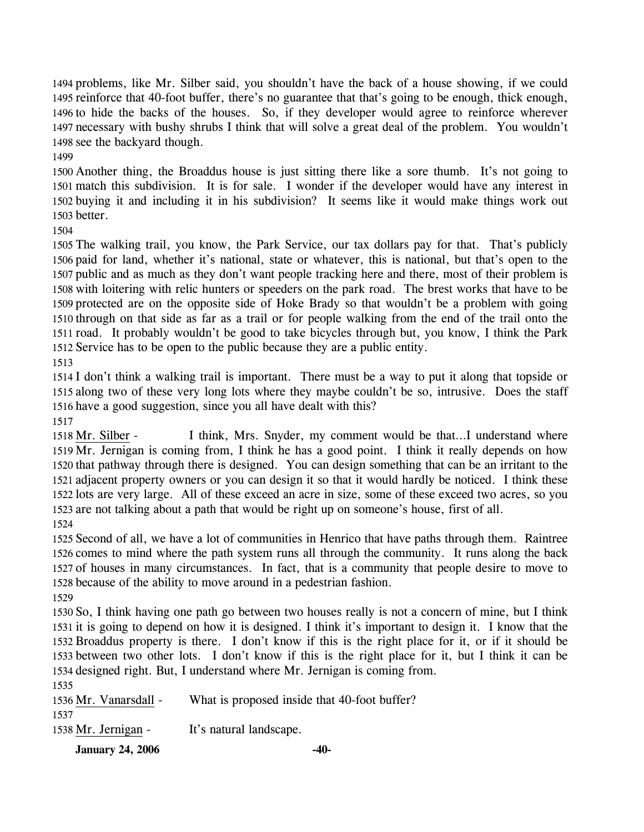problems, like Mr. Silber said, you shouldn't have the back of a house showing, if we could reinforce that 40-foot buffer, there's no guarantee that that's going to be enough, thick enough, to hide the backs of the houses. So, if they developer would agree to reinforce wherever necessary with bushy shrubs I think that will solve a great deal of the problem. You wouldn't see the backyard though.

 Another thing, the Broaddus house is just sitting there like a sore thumb. It's not going to match this subdivision. It is for sale. I wonder if the developer would have any interest in buying it and including it in his subdivision? It seems like it would make things work out better.

 The walking trail, you know, the Park Service, our tax dollars pay for that. That's publicly paid for land, whether it's national, state or whatever, this is national, but that's open to the public and as much as they don't want people tracking here and there, most of their problem is with loitering with relic hunters or speeders on the park road. The brest works that have to be protected are on the opposite side of Hoke Brady so that wouldn't be a problem with going through on that side as far as a trail or for people walking from the end of the trail onto the road. It probably wouldn't be good to take bicycles through but, you know, I think the Park Service has to be open to the public because they are a public entity.

 I don't think a walking trail is important. There must be a way to put it along that topside or along two of these very long lots where they maybe couldn't be so, intrusive. Does the staff have a good suggestion, since you all have dealt with this?

I think, Mrs. Snyder, my comment would be that...I understand where 1519 Mr. Jernigan is coming from, I think he has a good point. I think it really depends on how 1520 that pathway through there is designed. You can design something that can be an irritant to the 1521 adjacent property owners or you can design it so that it would hardly be noticed. I think these 1522 lots are very large. All of these exceed an acre in size, some of these exceed two acres, so you 1523 are not talking about a path that would be right up on someone's house, first of all. 1518 Mr. Silber -

 Second of all, we have a lot of communities in Henrico that have paths through them. Raintree comes to mind where the path system runs all through the community. It runs along the back of houses in many circumstances. In fact, that is a community that people desire to move to because of the ability to move around in a pedestrian fashion.

 So, I think having one path go between two houses really is not a concern of mine, but I think it is going to depend on how it is designed. I think it's important to design it. I know that the Broaddus property is there. I don't know if this is the right place for it, or if it should be between two other lots. I don't know if this is the right place for it, but I think it can be designed right. But, I understand where Mr. Jernigan is coming from. 

| 1999.<br>1536 Mr. Vanarsdall - | What is proposed inside that 40-foot buffer? |
|--------------------------------|----------------------------------------------|
| 1537                           |                                              |
| 1538 Mr. Jernigan -            | It's natural landscape.                      |

**January 24, 2006 -40-**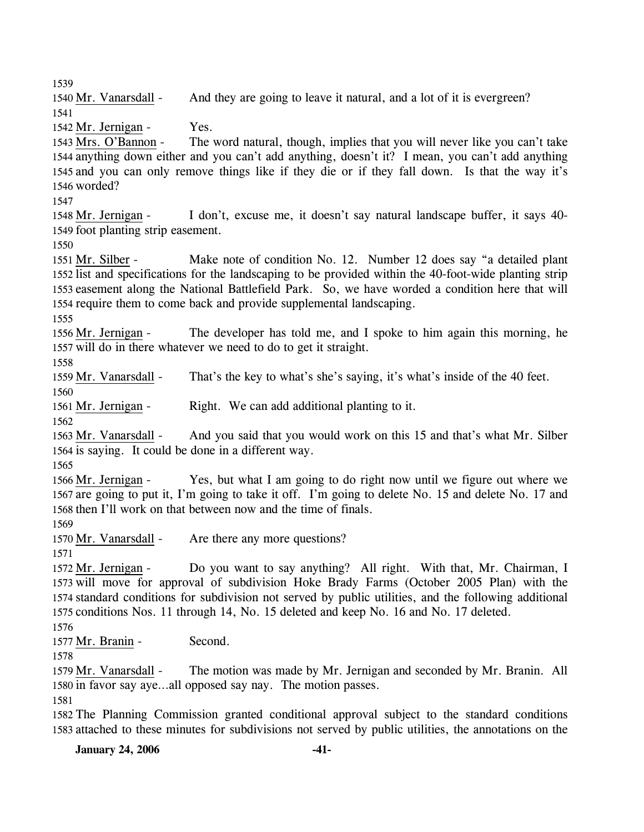1540 Mr. Vanarsdall - And they are going to leave it natural, and a lot of it is evergreen? 1541 1542 Mr. Jernigan - Yes. The word natural, though, implies that you will never like you can't take 1544 anything down either and you can't add anything, doesn't it? I mean, you can't add anything 1545 and you can only remove things like if they die or if they fall down. Is that the way it's worded? 1546 1543 Mrs. O'Bannon -1547 I don't, excuse me, it doesn't say natural landscape buffer, it says 40-1549 foot planting strip easement. 1548 Mr. Jernigan -1550 Make note of condition No. 12. Number 12 does say "a detailed plant 1552 list and specifications for the landscaping to be provided within the 40-foot-wide planting strip 1553 easement along the National Battlefield Park. So, we have worded a condition here that will 1554 require them to come back and provide supplemental landscaping. 1551 Mr. Silber -1555 The developer has told me, and I spoke to him again this morning, he 1557 will do in there whatever we need to do to get it straight. 1556 Mr. Jernigan -1558 1559 Mr. Vanarsdall - That's the key to what's she's saying, it's what's inside of the 40 feet. 1560 1561 Mr. Jernigan - Right. We can add additional planting to it. 1562 And you said that you would work on this 15 and that's what Mr. Silber 1564 is saying. It could be done in a different way. 1563 Mr. Vanarsdall -1565 Yes, but what I am going to do right now until we figure out where we 1567 are going to put it, I'm going to take it off. I'm going to delete No. 15 and delete No. 17 and 1568 then I'll work on that between now and the time of finals. 1566 Mr. Jernigan -1569 1570 Mr. Vanarsdall - Are there any more questions? 1571 Do you want to say anything? All right. With that, Mr. Chairman, I 1573 will move for approval of subdivision Hoke Brady Farms (October 2005 Plan) with the 1574 standard conditions for subdivision not served by public utilities, and the following additional 1575 conditions Nos. 11 through 14, No. 15 deleted and keep No. 16 and No. 17 deleted. 1572 Mr. Jernigan -1576 1577 Mr. Branin - Second. 1578 The motion was made by Mr. Jernigan and seconded by Mr. Branin. All 1580 in favor say aye...all opposed say nay. The motion passes. 1579 Mr. Vanarsdall -1581 1582 The Planning Commission granted conditional approval subject to the standard conditions 1583 attached to these minutes for subdivisions not served by public utilities, the annotations on the

**January 24, 2006 -41-**

1539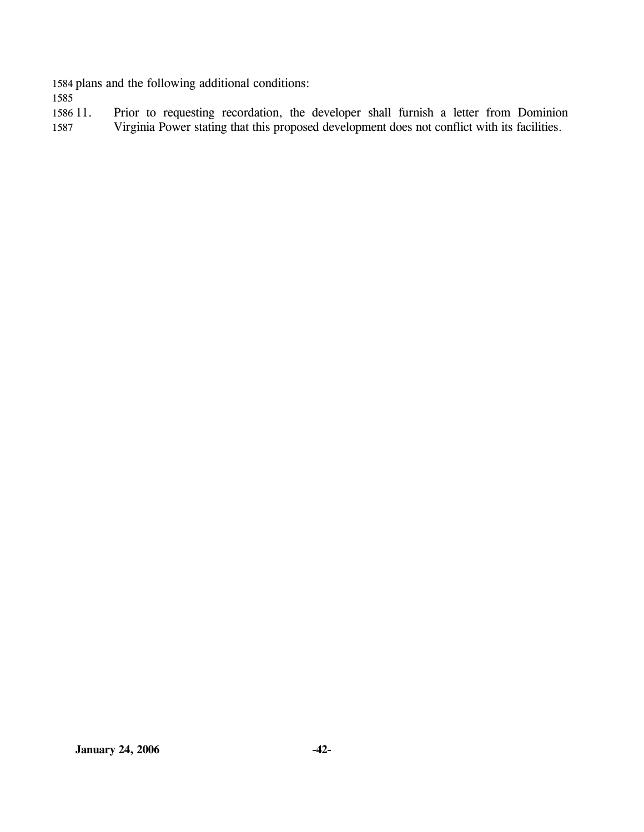1584 plans and the following additional conditions:

1585

1586 11. 1587 Prior to requesting recordation, the developer shall furnish a letter from Dominion Virginia Power stating that this proposed development does not conflict with its facilities.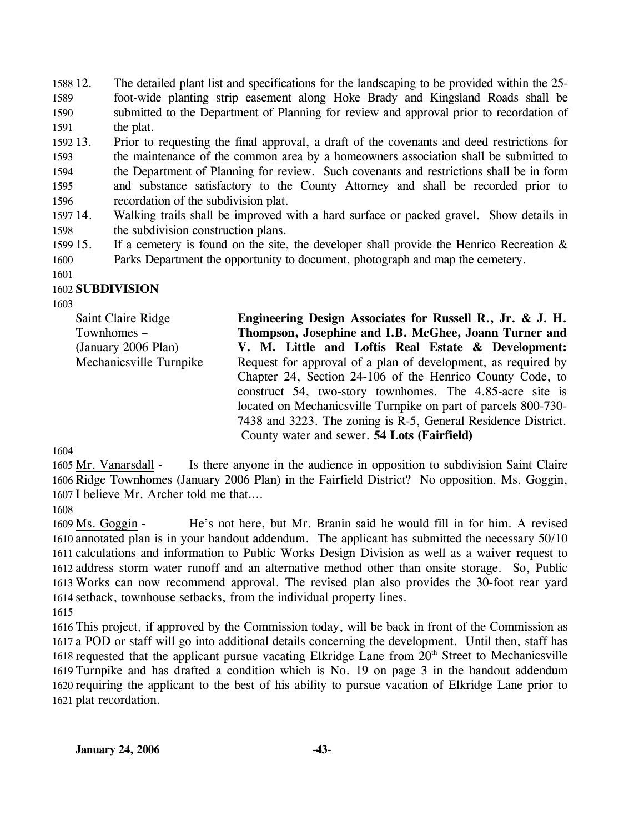1588 12. 1589 1590 1591 The detailed plant list and specifications for the landscaping to be provided within the 25foot-wide planting strip easement along Hoke Brady and Kingsland Roads shall be submitted to the Department of Planning for review and approval prior to recordation of the plat.

1592.13. 1593 1594 1595 1596 13. Prior to requesting the final approval, a draft of the covenants and deed restrictions for the maintenance of the common area by a homeowners association shall be submitted to the Department of Planning for review. Such covenants and restrictions shall be in form and substance satisfactory to the County Attorney and shall be recorded prior to recordation of the subdivision plat.

- 1597 14. 1598 Walking trails shall be improved with a hard surface or packed gravel. Show details in the subdivision construction plans.
- 1599 15. 1600 If a cemetery is found on the site, the developer shall provide the Henrico Recreation  $\&$ Parks Department the opportunity to document, photograph and map the cemetery.
- 1601

## 1602 **SUBDIVISION**

1603

| Saint Claire Ridge<br>Townhomes - | Engineering Design Associates for Russell R., Jr. & J. H.<br>Thompson, Josephine and I.B. McGhee, Joann Turner and |
|-----------------------------------|--------------------------------------------------------------------------------------------------------------------|
| (January 2006 Plan)               | V. M. Little and Loftis Real Estate & Development:                                                                 |
| Mechanicsville Turnpike           | Request for approval of a plan of development, as required by                                                      |
|                                   | Chapter 24, Section 24-106 of the Henrico County Code, to                                                          |
|                                   | construct 54, two-story townhomes. The 4.85-acre site is                                                           |
|                                   | located on Mechanicsville Turnpike on part of parcels 800-730-                                                     |
|                                   | 7438 and 3223. The zoning is R-5, General Residence District.                                                      |
|                                   | County water and sewer. 54 Lots (Fairfield)                                                                        |

1604

Is there anyone in the audience in opposition to subdivision Saint Claire 1606 Ridge Townhomes (January 2006 Plan) in the Fairfield District? No opposition. Ms. Goggin, 1607 I believe Mr. Archer told me that.... 1605 Mr. Vanarsdall -

1608

He's not here, but Mr. Branin said he would fill in for him. A revised 1610 annotated plan is in your handout addendum. The applicant has submitted the necessary 50/10 1611 calculations and information to Public Works Design Division as well as a waiver request to 1612 address storm water runoff and an alternative method other than onsite storage. So, Public 1613 Works can now recommend approval. The revised plan also provides the 30-foot rear yard 1614 setback, townhouse setbacks, from the individual property lines. 1609 Ms. Goggin -

1615

 This project, if approved by the Commission today, will be back in front of the Commission as a POD or staff will go into additional details concerning the development. Until then, staff has 1618 requested that the applicant pursue vacating Elkridge Lane from 20<sup>th</sup> Street to Mechanicsville Turnpike and has drafted a condition which is No. 19 on page 3 in the handout addendum requiring the applicant to the best of his ability to pursue vacation of Elkridge Lane prior to plat recordation.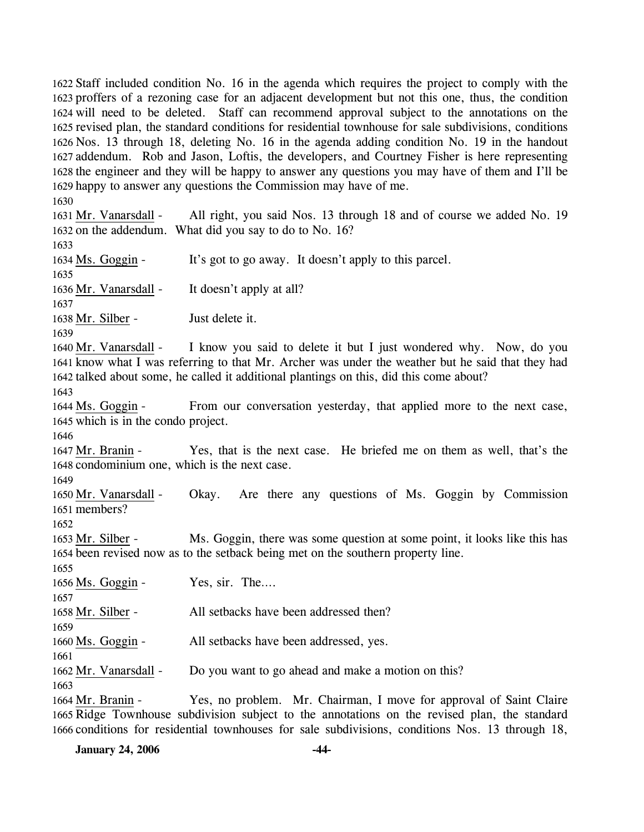1622 Staff included condition No. 16 in the agenda which requires the project to comply with the 1623 proffers of a rezoning case for an adjacent development but not this one, thus, the condition 1624 will need to be deleted. Staff can recommend approval subject to the annotations on the 1625 revised plan, the standard conditions for residential townhouse for sale subdivisions, conditions 1626 Nos. 13 through 18, deleting No. 16 in the agenda adding condition No. 19 in the handout 1627 addendum. Rob and Jason, Loftis, the developers, and Courtney Fisher is here representing 1628 the engineer and they will be happy to answer any questions you may have of them and I'll be 1629 happy to answer any questions the Commission may have of me. 1630 All right, you said Nos. 13 through 18 and of course we added No. 19 1632 on the addendum. What did you say to do to No. 16? 1631 Mr. Vanarsdall -1633 1634 Ms. Goggin - It's got to go away. It doesn't apply to this parcel. 1635 1636 Mr. Vanarsdall - It doesn't apply at all? 1637 1638 Mr. Silber - Just delete it. 1639 I know you said to delete it but I just wondered why. Now, do you 1641 know what I was referring to that Mr. Archer was under the weather but he said that they had 1642 talked about some, he called it additional plantings on this, did this come about? 1640 Mr. Vanarsdall -1643 From our conversation yesterday, that applied more to the next case, 1645 which is in the condo project. 1644 Ms. Goggin -1646 Yes, that is the next case. He briefed me on them as well, that's the 1648 condominium one, which is the next case. 1647 Mr. Branin -1649 Okay. Are there any questions of Ms. Goggin by Commission 1651 members? 1650 Mr. Vanarsdall -1652 Ms. Goggin, there was some question at some point, it looks like this has 1654 been revised now as to the setback being met on the southern property line. 1653 Mr. Silber -1655 1656 Ms. Goggin - Yes, sir. The.... 1657 1658 Mr. Silber - All setbacks have been addressed then? 1659 1660 Ms. Goggin - All setbacks have been addressed, yes. 1661 1662 Mr. Vanarsdall - Do you want to go ahead and make a motion on this? 1663 Yes, no problem. Mr. Chairman, I move for approval of Saint Claire 1665 Ridge Townhouse subdivision subject to the annotations on the revised plan, the standard 1664 Mr. Branin -

1666 conditions for residential townhouses for sale subdivisions, conditions Nos. 13 through 18,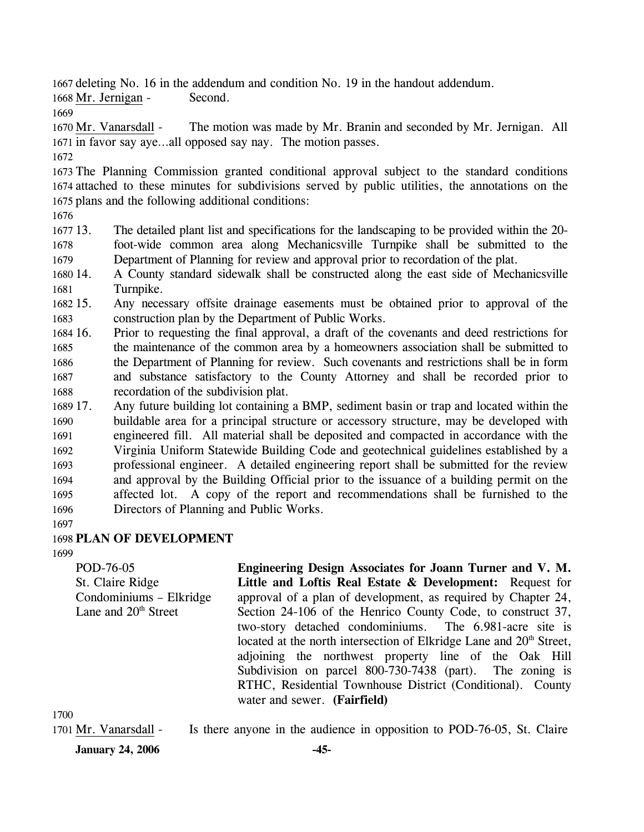1667 deleting No. 16 in the addendum and condition No. 19 in the handout addendum.

1668 Mr. Jernigan - Second.

1669

The motion was made by Mr. Branin and seconded by Mr. Jernigan. All 1671 in favor say aye...all opposed say nay. The motion passes. 1670 Mr. Vanarsdall -

1672

1673 The Planning Commission granted conditional approval subject to the standard conditions 1674 attached to these minutes for subdivisions served by public utilities, the annotations on the 1675 plans and the following additional conditions:

1676

1677 13. 1678 1679 13. The detailed plant list and specifications for the landscaping to be provided within the 20 foot-wide common area along Mechanicsville Turnpike shall be submitted to the Department of Planning for review and approval prior to recordation of the plat.

- 1680 14. 1681 14. A County standard sidewalk shall be constructed along the east side of Mechanicsville Turnpike.
- 1682.15 1683 Any necessary offsite drainage easements must be obtained prior to approval of the construction plan by the Department of Public Works.
- 1684 16. 1685 1686 1687 1688 16. Prior to requesting the final approval, a draft of the covenants and deed restrictions for the maintenance of the common area by a homeowners association shall be submitted to the Department of Planning for review. Such covenants and restrictions shall be in form and substance satisfactory to the County Attorney and shall be recorded prior to recordation of the subdivision plat.
- 1689 17. 1690 1691 1692 1693 1694 1695 1696 17. Any future building lot containing a BMP, sediment basin or trap and located within the buildable area for a principal structure or accessory structure, may be developed with engineered fill. All material shall be deposited and compacted in accordance with the Virginia Uniform Statewide Building Code and geotechnical guidelines established by a professional engineer. A detailed engineering report shall be submitted for the review and approval by the Building Official prior to the issuance of a building permit on the affected lot. A copy of the report and recommendations shall be furnished to the Directors of Planning and Public Works.
- 1697

# 1698 **PLAN OF DEVELOPMENT**

1699

POD-76-05 St. Claire Ridge Condominiums – Elkridge Lane and  $20<sup>th</sup>$  Street

**Engineering Design Associates for Joann Turner and V. M. Little and Loftis Real Estate & Development:** Request for approval of a plan of development, as required by Chapter 24, Section 24-106 of the Henrico County Code, to construct 37, two-story detached condominiums. The 6.981-acre site is located at the north intersection of Elkridge Lane and  $20<sup>th</sup>$  Street, adjoining the northwest property line of the Oak Hill Subdivision on parcel 800-730-7438 (part). The zoning is RTHC, Residential Townhouse District (Conditional). County water and sewer. **(Fairfield)**

1700

1701 Mr. Vanarsdall - Is there anyone in the audience in opposition to POD-76-05, St. Claire

**January 24, 2006 -45-**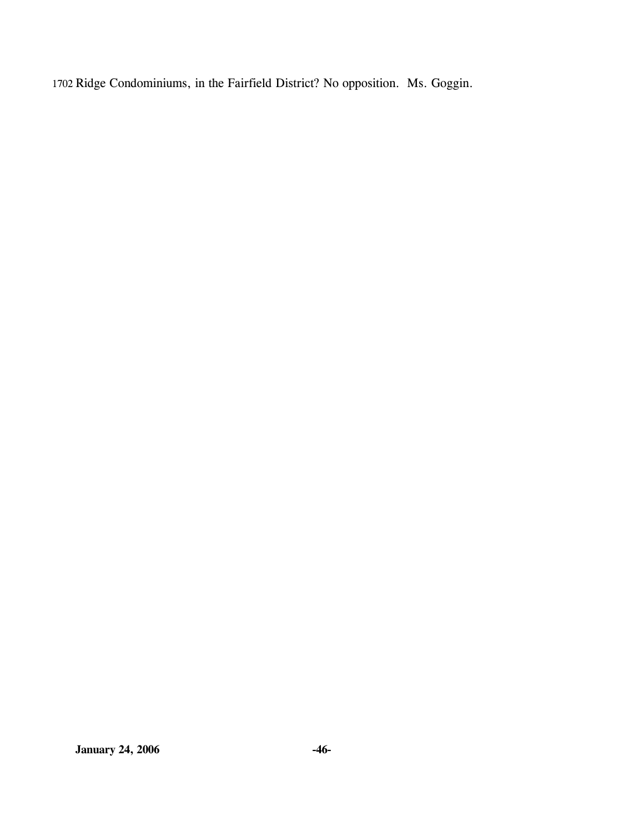1702 Ridge Condominiums, in the Fairfield District? No opposition. Ms. Goggin.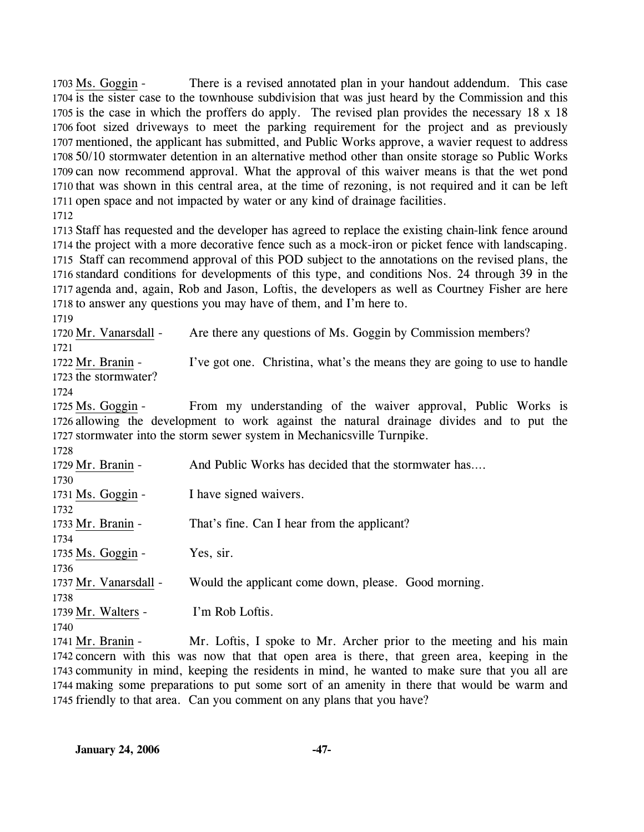There is a revised annotated plan in your handout addendum. This case 1704 is the sister case to the townhouse subdivision that was just heard by the Commission and this 1705 is the case in which the proffers do apply. The revised plan provides the necessary 18 x 18 1706 foot sized driveways to meet the parking requirement for the project and as previously 1707 mentioned, the applicant has submitted, and Public Works approve, a wavier request to address 50/10 stormwater detention in an alternative method other than onsite storage so Public Works 1708 1709 can now recommend approval. What the approval of this waiver means is that the wet pond 1710 that was shown in this central area, at the time of rezoning, is not required and it can be left 1711 open space and not impacted by water or any kind of drainage facilities. 1703 Ms. Goggin -

1712

 Staff has requested and the developer has agreed to replace the existing chain-link fence around the project with a more decorative fence such as a mock-iron or picket fence with landscaping. Staff can recommend approval of this POD subject to the annotations on the revised plans, the standard conditions for developments of this type, and conditions Nos. 24 through 39 in the agenda and, again, Rob and Jason, Loftis, the developers as well as Courtney Fisher are here to answer any questions you may have of them, and I'm here to.

1719

1720 Mr. Vanarsdall - Are there any questions of Ms. Goggin by Commission members? 1721 I've got one. Christina, what's the means they are going to use to handle 1723 the stormwater? 1722 Mr. Branin -

1724

From my understanding of the waiver approval, Public Works is 1726 allowing the development to work against the natural drainage divides and to put the 1727 stormwater into the storm sewer system in Mechanicsville Turnpike. 1725 Ms. Goggin -

1728

| 1729 Mr. Branin -     | And Public Works has decided that the stormwater has                                         |
|-----------------------|----------------------------------------------------------------------------------------------|
| 1730                  |                                                                                              |
| 1731 Ms. Goggin -     | I have signed waivers.                                                                       |
| 1732                  |                                                                                              |
| 1733 Mr. Branin -     | That's fine. Can I hear from the applicant?                                                  |
| 1734                  |                                                                                              |
| 1735 Ms. Goggin -     | Yes, sir.                                                                                    |
| 1736                  |                                                                                              |
| 1737 Mr. Vanarsdall - | Would the applicant come down, please. Good morning.                                         |
| 1738                  |                                                                                              |
| 1739 Mr. Walters -    | I'm Rob Loftis.                                                                              |
| 1740                  |                                                                                              |
| 1741 Mr. Branin -     | Mr. Loftis, I spoke to Mr. Archer prior to the meeting and his main                          |
|                       | 1742 concern with this was now that that open area is there, that green area, keeping in the |
|                       |                                                                                              |

concern with this was now that that open area is there, that green area, keeping in the 1743 community in mind, keeping the residents in mind, he wanted to make sure that you all are 1744 making some preparations to put some sort of an amenity in there that would be warm and 1745 friendly to that area. Can you comment on any plans that you have?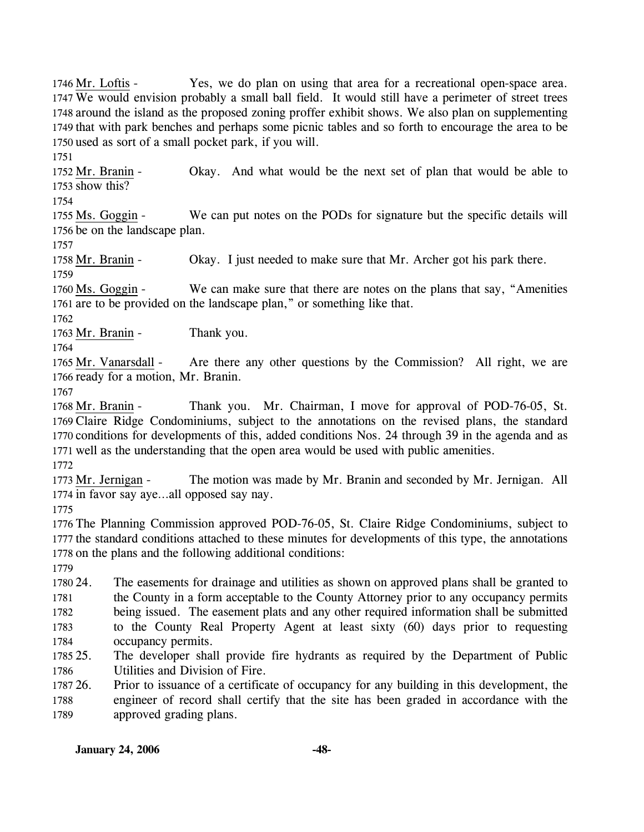Yes, we do plan on using that area for a recreational open-space area. 1747 We would envision probably a small ball field. It would still have a perimeter of street trees 1748 around the island as the proposed zoning proffer exhibit shows. We also plan on supplementing 1749 that with park benches and perhaps some picnic tables and so forth to encourage the area to be 1750 used as sort of a small pocket park, if you will. 1746 Mr. Loftis -

1751

Okay. And what would be the next set of plan that would be able to 1753 show this? 1752 Mr. Branin -

1754

We can put notes on the PODs for signature but the specific details will 1756 be on the landscape plan. 1755 Ms. Goggin -

1757

1758 Mr. Branin - Okay. I just needed to make sure that Mr. Archer got his park there.

1759

We can make sure that there are notes on the plans that say, "Amenities" 1761 are to be provided on the landscape plan," or something like that. 1760 Ms. Goggin -

1762

1763 Mr. Branin - Thank you.

1764

Are there any other questions by the Commission? All right, we are 1766 ready for a motion, Mr. Branin. 1765 Mr. Vanarsdall -

1767

Thank you. Mr. Chairman, I move for approval of POD-76-05, St. 1769 Claire Ridge Condominiums, subject to the annotations on the revised plans, the standard 1770 conditions for developments of this, added conditions Nos. 24 through 39 in the agenda and as 1771 well as the understanding that the open area would be used with public amenities. 1768 Mr. Branin -

1772

The motion was made by Mr. Branin and seconded by Mr. Jernigan. All 1774 in favor say aye...all opposed say nay. 1773 Mr. Jernigan -

1775

1776 The Planning Commission approved POD-76-05, St. Claire Ridge Condominiums, subject to 1777 the standard conditions attached to these minutes for developments of this type, the annotations 1778 on the plans and the following additional conditions:

1779

1780 24. 1781 1782 1783 1784 The easements for drainage and utilities as shown on approved plans shall be granted to the County in a form acceptable to the County Attorney prior to any occupancy permits being issued. The easement plats and any other required information shall be submitted to the County Real Property Agent at least sixty (60) days prior to requesting occupancy permits.

1785 25. 1786 The developer shall provide fire hydrants as required by the Department of Public Utilities and Division of Fire.

1787 26. 1788 1789 26. Prior to issuance of a certificate of occupancy for any building in this development, the engineer of record shall certify that the site has been graded in accordance with the approved grading plans.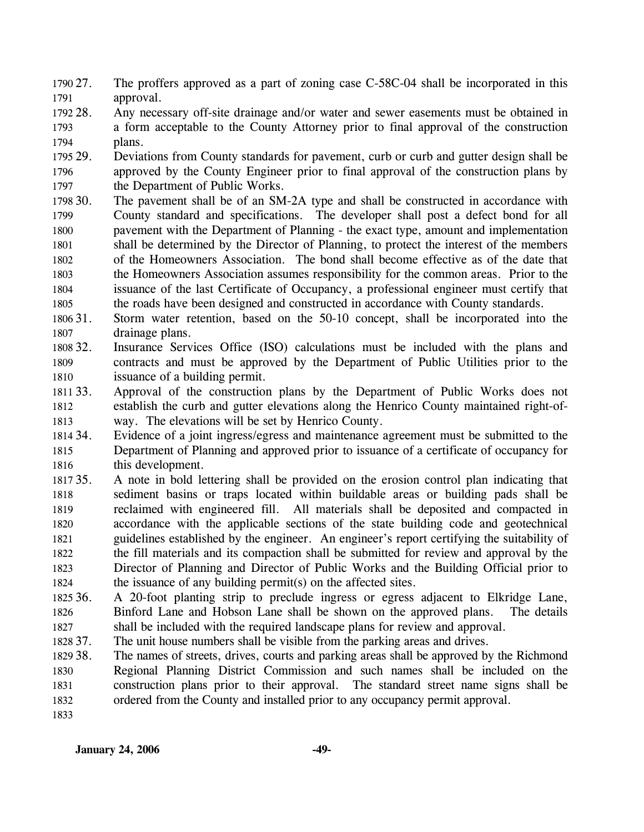1790 27. 1791 The proffers approved as a part of zoning case C-58C-04 shall be incorporated in this approval.

1792 28. 1793 1794 Any necessary off-site drainage and/or water and sewer easements must be obtained in a form acceptable to the County Attorney prior to final approval of the construction plans.

1795 29. 1796 1797 29. Deviations from County standards for pavement, curb or curb and gutter design shall be approved by the County Engineer prior to final approval of the construction plans by the Department of Public Works.

- 1798 30. 1799 1800 1801 1802 1803 1804 1805 The pavement shall be of an SM-2A type and shall be constructed in accordance with County standard and specifications. The developer shall post a defect bond for all pavement with the Department of Planning - the exact type, amount and implementation shall be determined by the Director of Planning, to protect the interest of the members of the Homeowners Association. The bond shall become effective as of the date that the Homeowners Association assumes responsibility for the common areas. Prior to the issuance of the last Certificate of Occupancy, a professional engineer must certify that the roads have been designed and constructed in accordance with County standards.
- 1806 31. 1807 Storm water retention, based on the 50-10 concept, shall be incorporated into the drainage plans.
- 1808 32. 1809 1810 Insurance Services Office (ISO) calculations must be included with the plans and contracts and must be approved by the Department of Public Utilities prior to the issuance of a building permit.
- 1811 33. 1812 1813 33. Approval of the construction plans by the Department of Public Works does not establish the curb and gutter elevations along the Henrico County maintained right-ofway. The elevations will be set by Henrico County.
- 1814 34. 1815 1816 Evidence of a joint ingress/egress and maintenance agreement must be submitted to the Department of Planning and approved prior to issuance of a certificate of occupancy for this development.
- 1817 35. 1818 1819 1820 1821 1822 1823 1824 35. A note in bold lettering shall be provided on the erosion control plan indicating that sediment basins or traps located within buildable areas or building pads shall be reclaimed with engineered fill. All materials shall be deposited and compacted in accordance with the applicable sections of the state building code and geotechnical guidelines established by the engineer. An engineer's report certifying the suitability of the fill materials and its compaction shall be submitted for review and approval by the Director of Planning and Director of Public Works and the Building Official prior to the issuance of any building permit(s) on the affected sites.
- 1825 36. 1826 1827 36. A 20-foot planting strip to preclude ingress or egress adjacent to Elkridge Lane, Binford Lane and Hobson Lane shall be shown on the approved plans. The details shall be included with the required landscape plans for review and approval.
- 1828 37. The unit house numbers shall be visible from the parking areas and drives.
- 1829 38. 1830 1831 1832 1833 The names of streets, drives, courts and parking areas shall be approved by the Richmond Regional Planning District Commission and such names shall be included on the construction plans prior to their approval. The standard street name signs shall be ordered from the County and installed prior to any occupancy permit approval.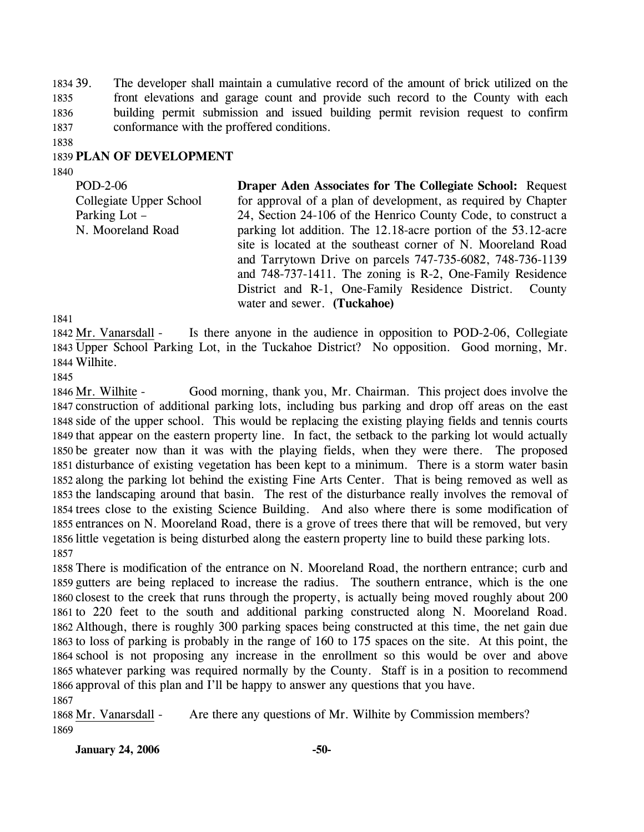1834 39. 1835 1836 1837 The developer shall maintain a cumulative record of the amount of brick utilized on the front elevations and garage count and provide such record to the County with each building permit submission and issued building permit revision request to confirm conformance with the proffered conditions.

1838

## 1839 **PLAN OF DEVELOPMENT**

1840

POD-2-06 Collegiate Upper School Parking Lot – N. Mooreland Road **Draper Aden Associates for The Collegiate School:** Request for approval of a plan of development, as required by Chapter 24, Section 24-106 of the Henrico County Code, to construct a parking lot addition. The 12.18-acre portion of the 53.12-acre site is located at the southeast corner of N. Mooreland Road and Tarrytown Drive on parcels 747-735-6082, 748-736-1139 and 748-737-1411. The zoning is R-2, One-Family Residence District and R-1, One-Family Residence District. County water and sewer. **(Tuckahoe)**

1841

Is there anyone in the audience in opposition to POD-2-06, Collegiate 1843 Upper School Parking Lot, in the Tuckahoe District? No opposition. Good morning, Mr. Wilhite. 1844 1842 Mr. Vanarsdall -

1845

Good morning, thank you, Mr. Chairman. This project does involve the 1847 construction of additional parking lots, including bus parking and drop off areas on the east 1848 side of the upper school. This would be replacing the existing playing fields and tennis courts 1849 that appear on the eastern property line. In fact, the setback to the parking lot would actually 1850 be greater now than it was with the playing fields, when they were there. The proposed 1851 disturbance of existing vegetation has been kept to a minimum. There is a storm water basin 1852 along the parking lot behind the existing Fine Arts Center. That is being removed as well as 1853 the landscaping around that basin. The rest of the disturbance really involves the removal of 1854 trees close to the existing Science Building. And also where there is some modification of 1855 entrances on N. Mooreland Road, there is a grove of trees there that will be removed, but very 1856 little vegetation is being disturbed along the eastern property line to build these parking lots. 1846 Mr. Wilhite -1857

 There is modification of the entrance on N. Mooreland Road, the northern entrance; curb and gutters are being replaced to increase the radius. The southern entrance, which is the one closest to the creek that runs through the property, is actually being moved roughly about 200 to 220 feet to the south and additional parking constructed along N. Mooreland Road. Although, there is roughly 300 parking spaces being constructed at this time, the net gain due to loss of parking is probably in the range of 160 to 175 spaces on the site. At this point, the school is not proposing any increase in the enrollment so this would be over and above whatever parking was required normally by the County. Staff is in a position to recommend approval of this plan and I'll be happy to answer any questions that you have. 1867

1868 Mr. Vanarsdall - Are there any questions of Mr. Wilhite by Commission members? 1869

**January 24, 2006 -50-**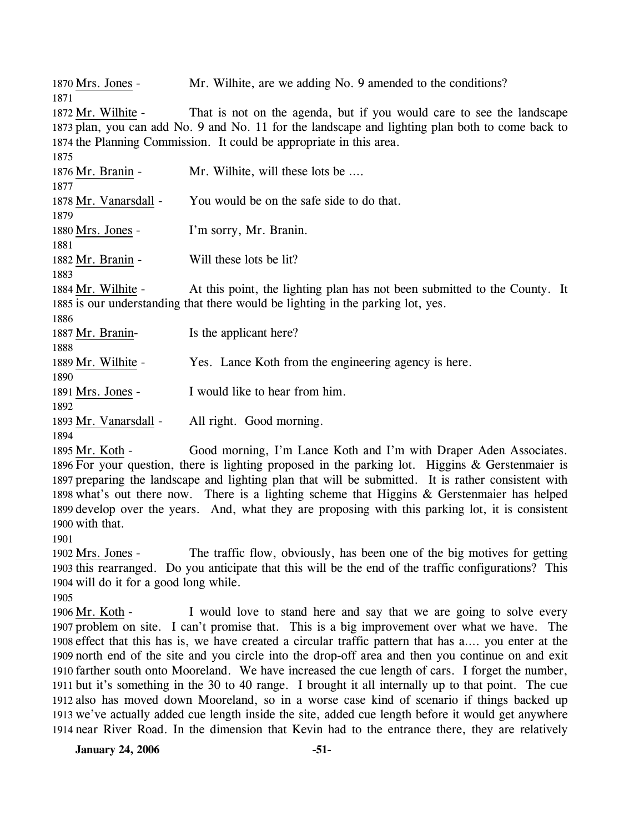1870 Mrs. Jones - Mr. Wilhite, are we adding No. 9 amended to the conditions? 1871 That is not on the agenda, but if you would care to see the landscape 1873 plan, you can add No. 9 and No. 11 for the landscape and lighting plan both to come back to 1874 the Planning Commission. It could be appropriate in this area. 1872 Mr. Wilhite -1875 1876 Mr. Branin - Mr. Wilhite, will these lots be .... 1877 1878 Mr. Vanarsdall - You would be on the safe side to do that. 1879 1880 Mrs. Jones - I'm sorry, Mr. Branin. 1881 1882 Mr. Branin - Will these lots be lit? 1883 At this point, the lighting plan has not been submitted to the County. It 1885 is our understanding that there would be lighting in the parking lot, yes. 1884 Mr. Wilhite -1886 1887 Mr. Branin- Is the applicant here? 1888 1889 Mr. Wilhite - Yes. Lance Koth from the engineering agency is here. 1890 1891 Mrs. Jones - I would like to hear from him. 1892 1893 Mr. Vanarsdall - All right. Good morning. 1894 Good morning, I'm Lance Koth and I'm with Draper Aden Associates. 1895 Mr. Koth -

1896 For your question, there is lighting proposed in the parking lot. Higgins  $&$  Gerstenmaier is 1897 preparing the landscape and lighting plan that will be submitted. It is rather consistent with 1898 what's out there now. There is a lighting scheme that Higgins  $&$  Gerstenmaier has helped 1899 develop over the years. And, what they are proposing with this parking lot, it is consistent 1900 with that.

1901

The traffic flow, obviously, has been one of the big motives for getting 1903 this rearranged. Do you anticipate that this will be the end of the traffic configurations? This 1904 will do it for a good long while. 1902 Mrs. Jones -

1905

I would love to stand here and say that we are going to solve every 1907 problem on site. I can't promise that. This is a big improvement over what we have. The 1908 effect that this has is, we have created a circular traffic pattern that has a... you enter at the 1909 north end of the site and you circle into the drop-off area and then you continue on and exit 1910 farther south onto Mooreland. We have increased the cue length of cars. I forget the number, 1911 but it's something in the 30 to 40 range. I brought it all internally up to that point. The cue 1912 also has moved down Mooreland, so in a worse case kind of scenario if things backed up 1913 we've actually added cue length inside the site, added cue length before it would get anywhere 1914 near River Road. In the dimension that Kevin had to the entrance there, they are relatively 1906 Mr. Koth -

**January 24, 2006 -51-**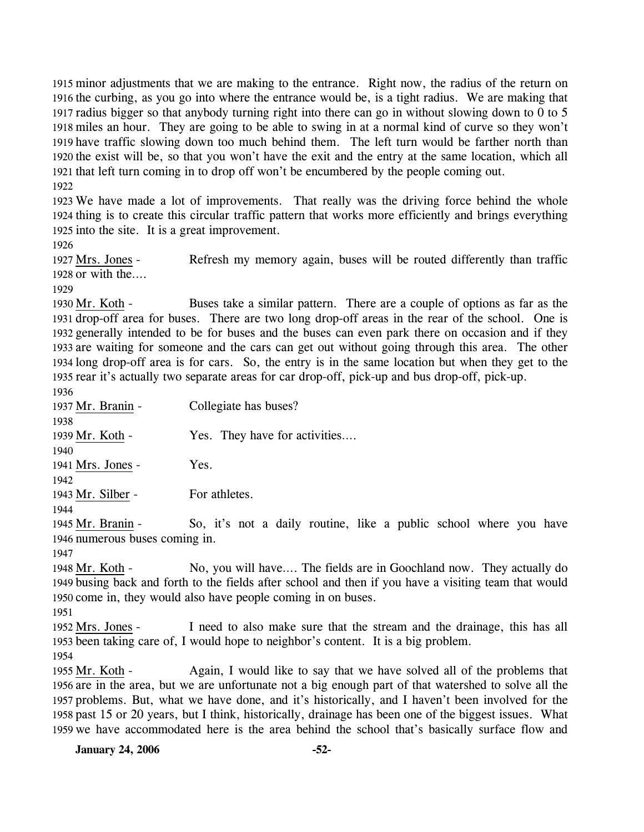minor adjustments that we are making to the entrance. Right now, the radius of the return on the curbing, as you go into where the entrance would be, is a tight radius. We are making that radius bigger so that anybody turning right into there can go in without slowing down to 0 to 5 miles an hour. They are going to be able to swing in at a normal kind of curve so they won't have traffic slowing down too much behind them. The left turn would be farther north than the exist will be, so that you won't have the exit and the entry at the same location, which all that left turn coming in to drop off won't be encumbered by the people coming out.

1922

1923 We have made a lot of improvements. That really was the driving force behind the whole 1924 thing is to create this circular traffic pattern that works more efficiently and brings everything 1925 into the site. It is a great improvement.

1926

Refresh my memory again, buses will be routed differently than traffic 1928 or with the.... 1927 Mrs. Jones -

1929

Buses take a similar pattern. There are a couple of options as far as the 1931 drop-off area for buses. There are two long drop-off areas in the rear of the school. One is 1932 generally intended to be for buses and the buses can even park there on occasion and if they 1933 are waiting for someone and the cars can get out without going through this area. The other 1934 long drop-off area is for cars. So, the entry is in the same location but when they get to the 1935 rear it's actually two separate areas for car drop-off, pick-up and bus drop-off, pick-up. 1930 Mr. Koth -1936

1937 Mr. Branin - Collegiate has buses? 1938 1939 Mr. Koth - Yes. They have for activities.... 1940 1941 Mrs. Jones - Yes. 1942 1943 Mr. Silber - For athletes. 1944

So, it's not a daily routine, like a public school where you have 1946 numerous buses coming in. 1945 Mr. Branin -

1947

No, you will have.... The fields are in Goochland now. They actually do 1949 busing back and forth to the fields after school and then if you have a visiting team that would 1950 come in, they would also have people coming in on buses. 1948 Mr. Koth -

1951

I need to also make sure that the stream and the drainage, this has all 1953 been taking care of, I would hope to neighbor's content. It is a big problem. 1952 Mrs. Jones -

1954

Again, I would like to say that we have solved all of the problems that 1956 are in the area, but we are unfortunate not a big enough part of that watershed to solve all the 1957 problems. But, what we have done, and it's historically, and I haven't been involved for the 1958 past 15 or 20 years, but I think, historically, drainage has been one of the biggest issues. What 1959 we have accommodated here is the area behind the school that's basically surface flow and 1955 Mr. Koth -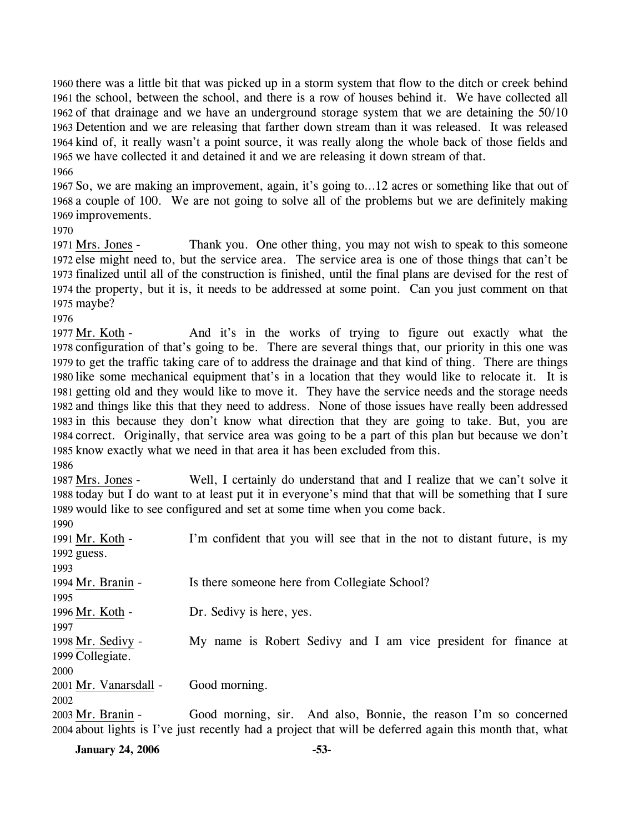there was a little bit that was picked up in a storm system that flow to the ditch or creek behind the school, between the school, and there is a row of houses behind it. We have collected all of that drainage and we have an underground storage system that we are detaining the 50/10 Detention and we are releasing that farther down stream than it was released. It was released kind of, it really wasn't a point source, it was really along the whole back of those fields and we have collected it and detained it and we are releasing it down stream of that. 1966

1967 So, we are making an improvement, again, it's going to…12 acres or something like that out of 1968 a couple of 100. We are not going to solve all of the problems but we are definitely making 1969 improvements.

1970

Thank you. One other thing, you may not wish to speak to this someone 1972 else might need to, but the service area. The service area is one of those things that can't be 1973 finalized until all of the construction is finished, until the final plans are devised for the rest of 1974 the property, but it is, it needs to be addressed at some point. Can you just comment on that 1975 maybe? 1971 Mrs. Jones -

1976

 $1999$ 

And it's in the works of trying to figure out exactly what the 1978 configuration of that's going to be. There are several things that, our priority in this one was 1979 to get the traffic taking care of to address the drainage and that kind of thing. There are things 1980 like some mechanical equipment that's in a location that they would like to relocate it. It is 1981 getting old and they would like to move it. They have the service needs and the storage needs 1982 and things like this that they need to address. None of those issues have really been addressed 1983 in this because they don't know what direction that they are going to take. But, you are 1984 correct. Originally, that service area was going to be a part of this plan but because we don't 1985 know exactly what we need in that area it has been excluded from this. 1977 Mr. Koth -1986

Well, I certainly do understand that and I realize that we can't solve it 1988 today but I do want to at least put it in everyone's mind that that will be something that I sure 1989 would like to see configured and set at some time when you come back. 1987 Mrs. Jones -

| 1990                  |                                                                          |
|-----------------------|--------------------------------------------------------------------------|
| 1991 Mr. Koth -       | I'm confident that you will see that in the not to distant future, is my |
| 1992 guess.           |                                                                          |
| 1993                  |                                                                          |
| 1994 Mr. Branin -     | Is there someone here from Collegiate School?                            |
| 1995                  |                                                                          |
| 1996 Mr. Koth -       | Dr. Sedivy is here, yes.                                                 |
| 1997                  |                                                                          |
| 1998 Mr. Sedivy -     | My name is Robert Sedivy and I am vice president for finance at          |
| 1999 Collegiate.      |                                                                          |
| 2000                  |                                                                          |
| 2001 Mr. Vanarsdall - | Good morning.                                                            |
| 2002                  |                                                                          |
| 2003 Mr. Branin -     | Good morning, sir. And also, Bonnie, the reason I'm so concerned         |

2004 about lights is I've just recently had a project that will be deferred again this month that, what

**January 24, 2006 -53-**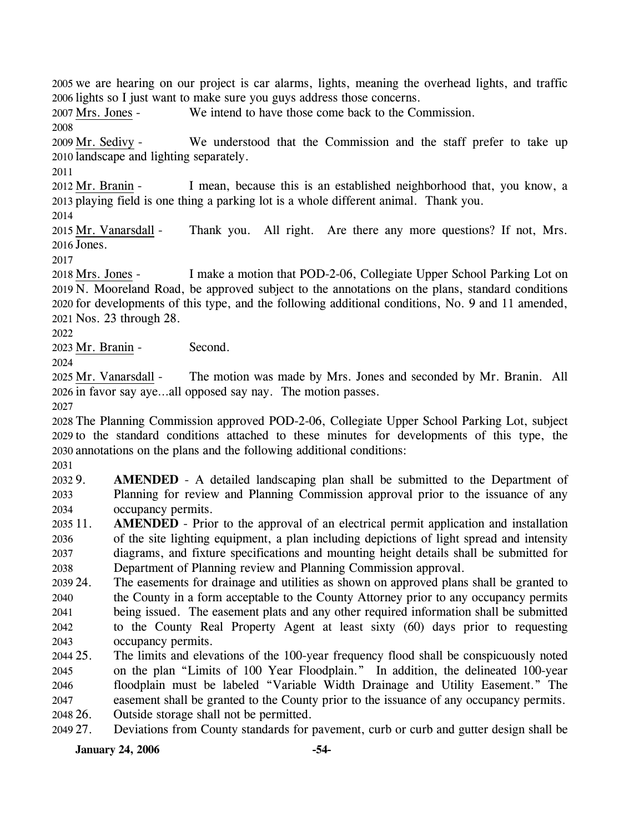2005 we are hearing on our project is car alarms, lights, meaning the overhead lights, and traffic 2006 lights so I just want to make sure you guys address those concerns.

2007 Mrs. Jones - We intend to have those come back to the Commission.

2008

We understood that the Commission and the staff prefer to take up 2010 landscape and lighting separately. 2009 Mr. Sedivy -

2011

I mean, because this is an established neighborhood that, you know, a 2013 playing field is one thing a parking lot is a whole different animal. Thank you. 2012 Mr. Branin -

2014

Thank you. All right. Are there any more questions? If not, Mrs. 2016 Jones. 2015 Mr. Vanarsdall -

2017

I make a motion that POD-2-06, Collegiate Upper School Parking Lot on 2019 N. Mooreland Road, be approved subject to the annotations on the plans, standard conditions 2020 for developments of this type, and the following additional conditions, No. 9 and 11 amended, Nos. 23 through 28. 2021 2018 Mrs. Jones -

2022

2023 Mr. Branin - Second.

2024

The motion was made by Mrs. Jones and seconded by Mr. Branin. All 2026 in favor say aye...all opposed say nay. The motion passes. 2025 Mr. Vanarsdall -

2027

2028 The Planning Commission approved POD-2-06, Collegiate Upper School Parking Lot, subject 2029 to the standard conditions attached to these minutes for developments of this type, the 2030 annotations on the plans and the following additional conditions:

2031

2032 9. 2033 2034 AMENDED - A detailed landscaping plan shall be submitted to the Department of Planning for review and Planning Commission approval prior to the issuance of any occupancy permits.

- 2035 11. 2036 2037 2038 **AMENDED** - Prior to the approval of an electrical permit application and installation of the site lighting equipment, a plan including depictions of light spread and intensity diagrams, and fixture specifications and mounting height details shall be submitted for Department of Planning review and Planning Commission approval.
- 2039 24. 2040 2041 2042 2043 The easements for drainage and utilities as shown on approved plans shall be granted to the County in a form acceptable to the County Attorney prior to any occupancy permits being issued. The easement plats and any other required information shall be submitted to the County Real Property Agent at least sixty (60) days prior to requesting occupancy permits.
- 2044 25. 2045 2046 2047 2048 26. 25. The limits and elevations of the 100-year frequency flood shall be conspicuously noted on the plan "Limits of 100 Year Floodplain." In addition, the delineated 100-year floodplain must be labeled "Variable Width Drainage and Utility Easement." The easement shall be granted to the County prior to the issuance of any occupancy permits. Outside storage shall not be permitted.

2049 27. 27. Deviations from County standards for pavement, curb or curb and gutter design shall be

**January 24, 2006 -54-**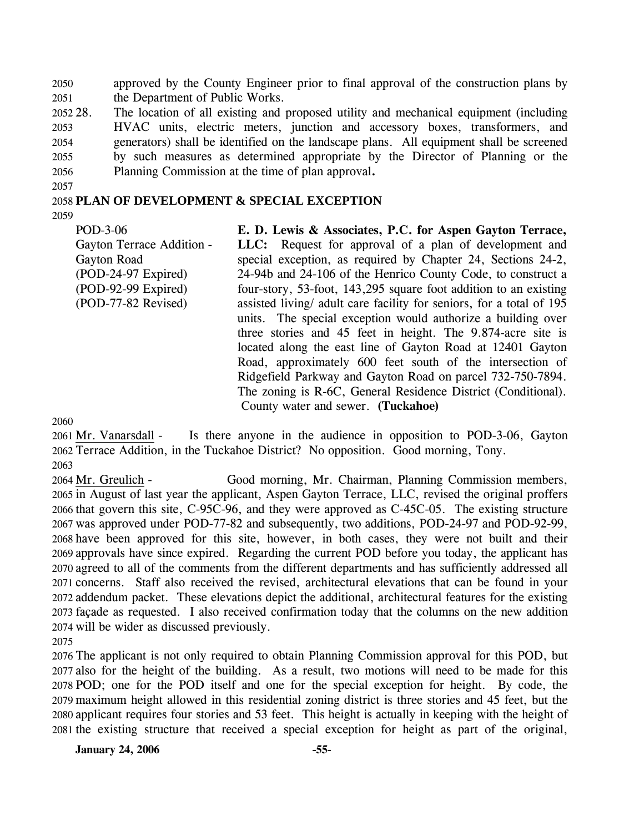2050 2051 approved by the County Engineer prior to final approval of the construction plans by the Department of Public Works.

- 2052 28. 2053 2054 2055 2056 The location of all existing and proposed utility and mechanical equipment (including HVAC units, electric meters, junction and accessory boxes, transformers, and generators) shall be identified on the landscape plans. All equipment shall be screened by such measures as determined appropriate by the Director of Planning or the Planning Commission at the time of plan approval**.**
- 2057

#### 2058 **PLAN OF DEVELOPMENT & SPECIAL EXCEPTION**

2059

POD-3-06 Gayton Terrace Addition - Gayton Road (POD-24-97 Expired) (POD-92-99 Expired) (POD-77-82 Revised) **E. D. Lewis & Associates, P.C. for Aspen Gayton Terrace, LLC:** Request for approval of a plan of development and special exception, as required by Chapter 24, Sections 24-2, 24-94b and 24-106 of the Henrico County Code, to construct a four-story, 53-foot, 143,295 square foot addition to an existing assisted living/ adult care facility for seniors, for a total of 195 units. The special exception would authorize a building over three stories and 45 feet in height. The 9.874-acre site is located along the east line of Gayton Road at 12401 Gayton Road, approximately 600 feet south of the intersection of Ridgefield Parkway and Gayton Road on parcel 732-750-7894. The zoning is R-6C, General Residence District (Conditional). County water and sewer. **(Tuckahoe)**

2060

Is there anyone in the audience in opposition to POD-3-06, Gayton 2062 Terrace Addition, in the Tuckahoe District? No opposition. Good morning, Tony. 2061 Mr. Vanarsdall -2063

Good morning, Mr. Chairman, Planning Commission members, 2065 in August of last year the applicant, Aspen Gayton Terrace, LLC, revised the original proffers 2066 that govern this site, C-95C-96, and they were approved as  $C$ -45C-05. The existing structure 2067 was approved under POD-77-82 and subsequently, two additions, POD-24-97 and POD-92-99, 2068 have been approved for this site, however, in both cases, they were not built and their 2069 approvals have since expired. Regarding the current POD before you today, the applicant has 2070 agreed to all of the comments from the different departments and has sufficiently addressed all 2071 concerns. Staff also received the revised, architectural elevations that can be found in your 2072 addendum packet. These elevations depict the additional, architectural features for the existing 2073 façade as requested. I also received confirmation today that the columns on the new addition 2074 will be wider as discussed previously. 2064 Mr. Greulich -

2075

 The applicant is not only required to obtain Planning Commission approval for this POD, but also for the height of the building. As a result, two motions will need to be made for this POD; one for the POD itself and one for the special exception for height. By code, the maximum height allowed in this residential zoning district is three stories and 45 feet, but the applicant requires four stories and 53 feet. This height is actually in keeping with the height of the existing structure that received a special exception for height as part of the original,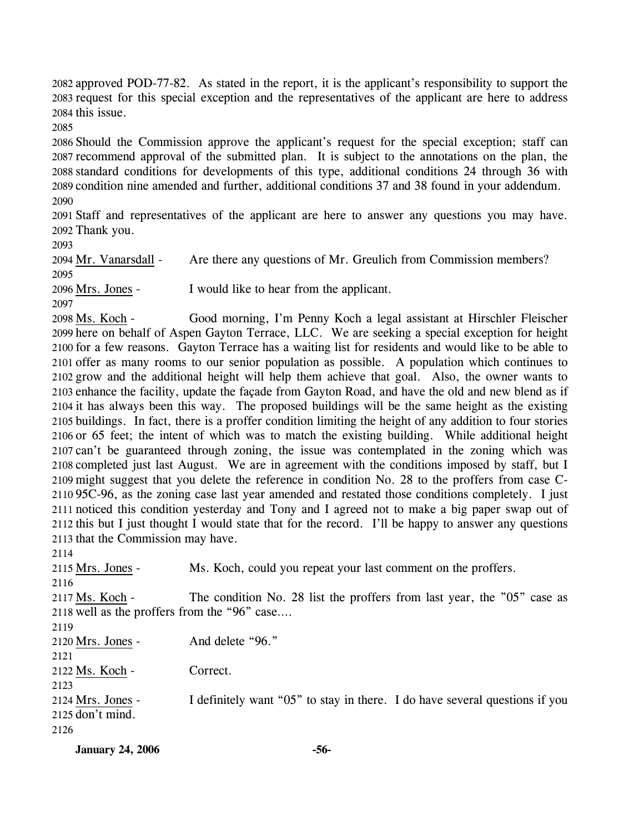2082 approved POD-77-82. As stated in the report, it is the applicant's responsibility to support the 2083 request for this special exception and the representatives of the applicant are here to address 2084 this issue.

2085

 Should the Commission approve the applicant's request for the special exception; staff can recommend approval of the submitted plan. It is subject to the annotations on the plan, the standard conditions for developments of this type, additional conditions 24 through 36 with condition nine amended and further, additional conditions 37 and 38 found in your addendum. 2090

2091 Staff and representatives of the applicant are here to answer any questions you may have. 2092 Thank you.

2093

2094 Mr. Vanarsdall - Are there any questions of Mr. Greulich from Commission members? 2095

2096 Mrs. Jones - I would like to hear from the applicant.

2097

Good morning, I'm Penny Koch a legal assistant at Hirschler Fleischer 2099 here on behalf of Aspen Gayton Terrace, LLC. We are seeking a special exception for height 2100 for a few reasons. Gayton Terrace has a waiting list for residents and would like to be able to 2101 offer as many rooms to our senior population as possible. A population which continues to 2102 grow and the additional height will help them achieve that goal. Also, the owner wants to 2103 enhance the facility, update the façade from Gayton Road, and have the old and new blend as if 2104 it has always been this way. The proposed buildings will be the same height as the existing 2105 buildings. In fact, there is a proffer condition limiting the height of any addition to four stories 2106 or 65 feet; the intent of which was to match the existing building. While additional height 2107 can't be guaranteed through zoning, the issue was contemplated in the zoning which was 2108 completed just last August. We are in agreement with the conditions imposed by staff, but I 2109 might suggest that you delete the reference in condition No. 28 to the proffers from case C-95C-96, as the zoning case last year amended and restated those conditions completely. I just 2110 2111 noticed this condition yesterday and Tony and I agreed not to make a big paper swap out of 2112 this but I just thought I would state that for the record. I'll be happy to answer any questions 2113 that the Commission may have. 2098 Ms. Koch -

2114 2115 Mrs. Jones - Ms. Koch, could you repeat your last comment on the proffers. 2116 The condition No. 28 list the proffers from last year, the  $"05"$  case as 2118 well as the proffers from the "96" case.... 2117 Ms. Koch -2119 2120 Mrs. Jones - And delete "96." 2121 2122 Ms. Koch - Correct. 2123 I definitely want "05" to stay in there. I do have several questions if you  $2125$  don't mind. 2124 Mrs. Jones -2126

**January 24, 2006 -56-**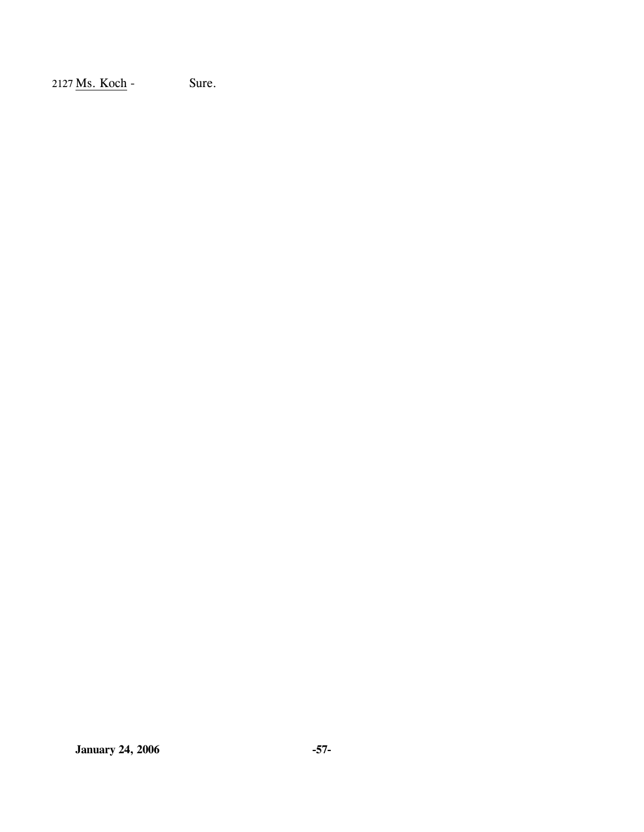2127 <u>Ms. Koch</u> - Sure.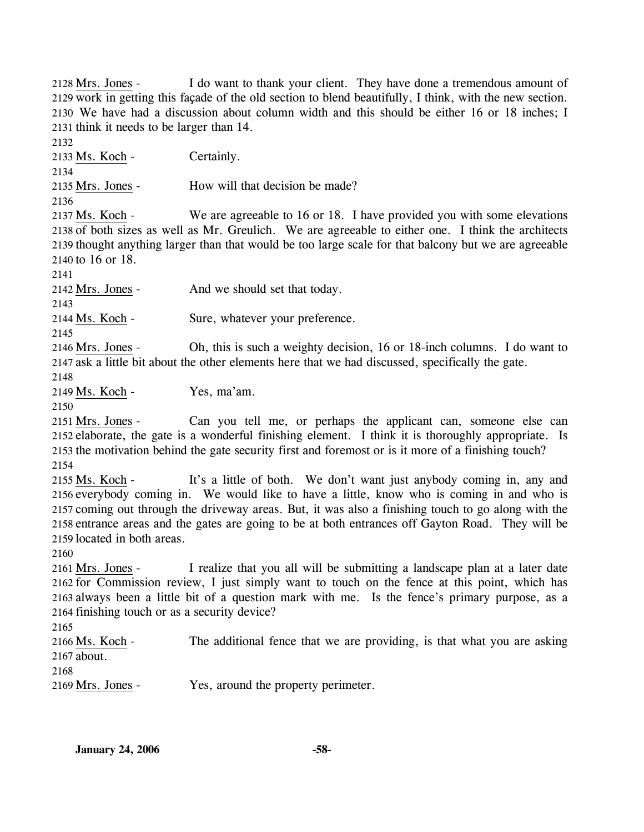I do want to thank your client. They have done a tremendous amount of 2129 work in getting this façade of the old section to blend beautifully, I think, with the new section. We have had a discussion about column width and this should be either 16 or 18 inches; I 2130 2131 think it needs to be larger than 14.  $2128$  Mrs. Jones -2132 2133 Ms. Koch - Certainly. 2134 2135 Mrs. Jones - How will that decision be made? 2136 We are agreeable to 16 or 18. I have provided you with some elevations 2138 of both sizes as well as Mr. Greulich. We are agreeable to either one. I think the architects 2139 thought anything larger than that would be too large scale for that balcony but we are agreeable 2140 to 16 or 18. 2137 Ms. Koch -2141 2142 Mrs. Jones - And we should set that today. 2143 2144 Ms. Koch - Sure, whatever your preference. 2145 Oh, this is such a weighty decision, 16 or 18-inch columns. I do want to 2147 ask a little bit about the other elements here that we had discussed, specifically the gate. 2146 Mrs. Jones -2148 2149 Ms. Koch - Yes, ma'am. 2150 Can you tell me, or perhaps the applicant can, someone else can 2152 elaborate, the gate is a wonderful finishing element. I think it is thoroughly appropriate. Is 2153 the motivation behind the gate security first and foremost or is it more of a finishing touch? 2151 Mrs. Jones -2154 It's a little of both. We don't want just anybody coming in, any and 2156 everybody coming in. We would like to have a little, know who is coming in and who is 2157 coming out through the driveway areas. But, it was also a finishing touch to go along with the 2158 entrance areas and the gates are going to be at both entrances off Gayton Road. They will be 2159 located in both areas. 2155 Ms. Koch -2160 I realize that you all will be submitting a landscape plan at a later date 2162 for Commission review, I just simply want to touch on the fence at this point, which has 2163 always been a little bit of a question mark with me. Is the fence's primary purpose, as a 2164 finishing touch or as a security device? 2161 Mrs. Jones -2165 The additional fence that we are providing, is that what you are asking 2167 about. 2166 Ms. Koch -2168 2169 Mrs. Jones - Yes, around the property perimeter.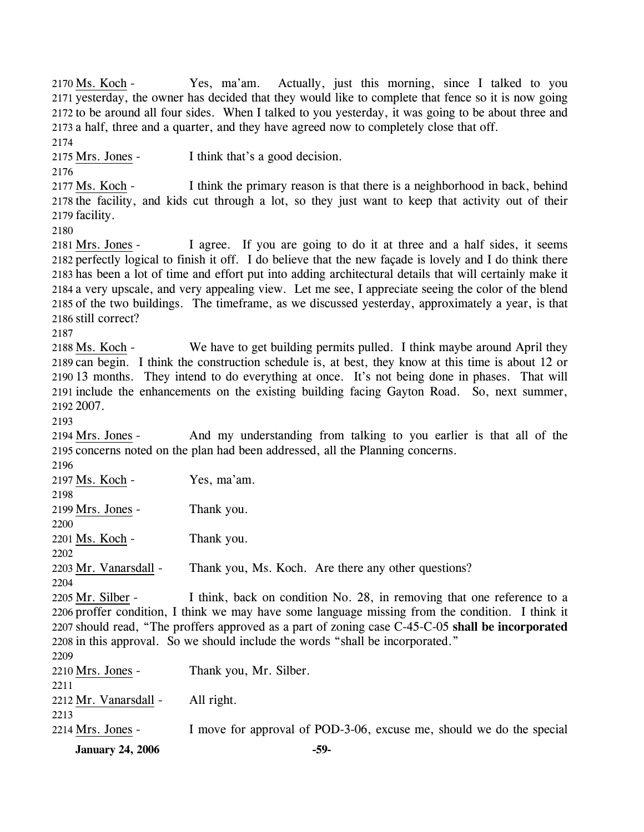**January 24, 2006 -59-** Yes, ma'am. Actually, just this morning, since I talked to you 2171 yesterday, the owner has decided that they would like to complete that fence so it is now going 2172 to be around all four sides. When I talked to you yesterday, it was going to be about three and 2173 a half, three and a quarter, and they have agreed now to completely close that off. 2170 Ms. Koch -2174 2175 Mrs. Jones - I think that's a good decision. 2176 I think the primary reason is that there is a neighborhood in back, behind 2178 the facility, and kids cut through a lot, so they just want to keep that activity out of their 2179 facility. 2177 Ms. Koch -2180 I agree. If you are going to do it at three and a half sides, it seems 2182 perfectly logical to finish it off. I do believe that the new façade is lovely and I do think there 2183 has been a lot of time and effort put into adding architectural details that will certainly make it 2184 a very upscale, and very appealing view. Let me see, I appreciate seeing the color of the blend 2185 of the two buildings. The timeframe, as we discussed yesterday, approximately a year, is that 2186 still correct? 2181 Mrs. Jones -2187 We have to get building permits pulled. I think maybe around April they 2189 can begin. I think the construction schedule is, at best, they know at this time is about 12 or 2190 13 months. They intend to do everything at once. It's not being done in phases. That will 2191 include the enhancements on the existing building facing Gayton Road. So, next summer, 2007. 2192 2188 Ms. Koch -2193 And my understanding from talking to you earlier is that all of the 2195 concerns noted on the plan had been addressed, all the Planning concerns. 2194 Mrs. Jones -2196 2197 Ms. Koch - Yes, ma'am. 2198 2199 Mrs. Jones - Thank you. 2200 2201 Ms. Koch - Thank you. 2202 2203 Mr. Vanarsdall - Thank you, Ms. Koch. Are there any other questions? 2204 I think, back on condition No. 28, in removing that one reference to a 2206 proffer condition, I think we may have some language missing from the condition. I think it 2207 should read, "The proffers approved as a part of zoning case C-45-C-05 shall be incorporated 2208 in this approval. So we should include the words "shall be incorporated." 2205 Mr. Silber -2209 2210 Mrs. Jones - Thank you, Mr. Silber. 2211 2212 Mr. Vanarsdall - All right. 2213 2214 Mrs. Jones - I move for approval of POD-3-06, excuse me, should we do the special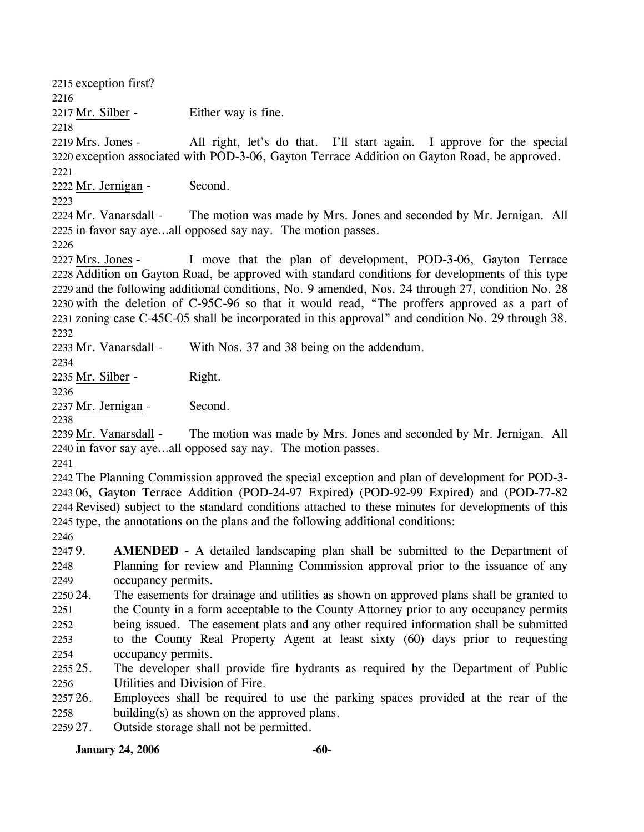2215 exception first?

2216

2218

2217 Mr. Silber - Either way is fine.

All right, let's do that. I'll start again. I approve for the special 2220 exception associated with POD-3-06, Gayton Terrace Addition on Gayton Road, be approved. 2219 Mrs. Jones -2221

2222 Mr. Jernigan - Second.

2223

The motion was made by Mrs. Jones and seconded by Mr. Jernigan. All 2225 in favor say aye...all opposed say nay. The motion passes. 2224 Mr. Vanarsdall -

2226

I move that the plan of development, POD-3-06, Gayton Terrace 2228 Addition on Gayton Road, be approved with standard conditions for developments of this type 2229 and the following additional conditions, No. 9 amended, Nos. 24 through 27, condition No. 28  $2230$  with the deletion of C-95C-96 so that it would read, "The proffers approved as a part of 2231 zoning case C-45C-05 shall be incorporated in this approval" and condition No. 29 through 38. 2227 Mrs. Jones -2232

2233 Mr. Vanarsdall - With Nos. 37 and 38 being on the addendum.

2234

2235 Mr. Silber - Right.

2236

2237 Mr. Jernigan - Second.

2238

The motion was made by Mrs. Jones and seconded by Mr. Jernigan. All 2240 in favor say aye...all opposed say nay. The motion passes. 2239 Mr. Vanarsdall -

2241

 The Planning Commission approved the special exception and plan of development for POD-3- 06, Gayton Terrace Addition (POD-24-97 Expired) (POD-92-99 Expired) and (POD-77-82 Revised) subject to the standard conditions attached to these minutes for developments of this type, the annotations on the plans and the following additional conditions:

2246

22479. 2248 2249 **AMENDED** - A detailed landscaping plan shall be submitted to the Department of Planning for review and Planning Commission approval prior to the issuance of any occupancy permits.

- 2250 24. 2251 2252 The easements for drainage and utilities as shown on approved plans shall be granted to the County in a form acceptable to the County Attorney prior to any occupancy permits being issued. The easement plats and any other required information shall be submitted
- 2253 2254 to the County Real Property Agent at least sixty (60) days prior to requesting occupancy permits.
- $2255\,25$ . 2256 The developer shall provide fire hydrants as required by the Department of Public Utilities and Division of Fire.
- 2257 26. 2258 Employees shall be required to use the parking spaces provided at the rear of the building(s) as shown on the approved plans.

2259.27 Outside storage shall not be permitted.

**January 24, 2006 -60-**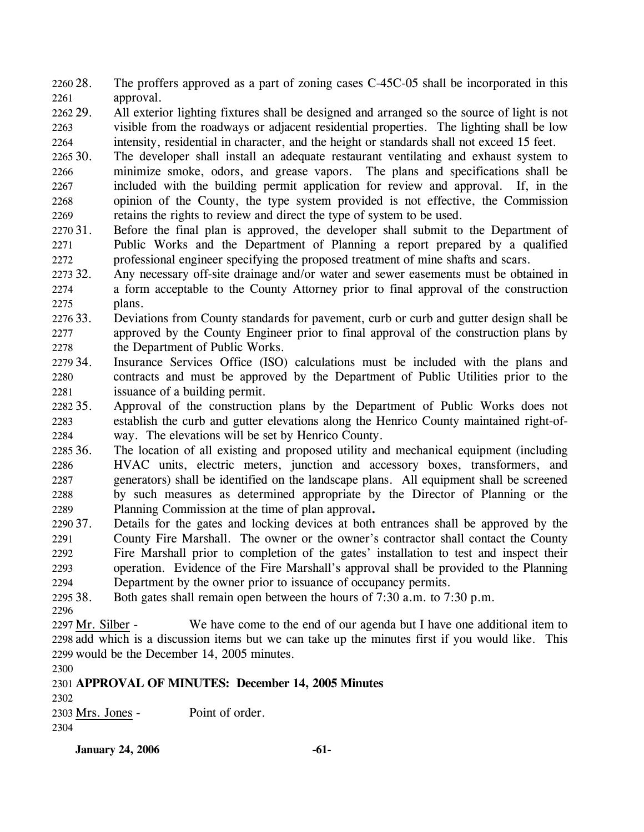2260 28. 2261 The proffers approved as a part of zoning cases C-45C-05 shall be incorporated in this approval.

2262 29. 2263 2264 29. All exterior lighting fixtures shall be designed and arranged so the source of light is not visible from the roadways or adjacent residential properties. The lighting shall be low intensity, residential in character, and the height or standards shall not exceed 15 feet.

2265 30. 2266 2267 2268 2269 The developer shall install an adequate restaurant ventilating and exhaust system to minimize smoke, odors, and grease vapors. The plans and specifications shall be included with the building permit application for review and approval. If, in the opinion of the County, the type system provided is not effective, the Commission retains the rights to review and direct the type of system to be used.

2270 31. 2271 2272 Before the final plan is approved, the developer shall submit to the Department of Public Works and the Department of Planning a report prepared by a qualified professional engineer specifying the proposed treatment of mine shafts and scars.

2273 32. 2274 2275 Any necessary off-site drainage and/or water and sewer easements must be obtained in a form acceptable to the County Attorney prior to final approval of the construction plans.

2276 33. 2277 2278 Deviations from County standards for pavement, curb or curb and gutter design shall be approved by the County Engineer prior to final approval of the construction plans by the Department of Public Works.

2279 34. 2280 2281 Insurance Services Office (ISO) calculations must be included with the plans and contracts and must be approved by the Department of Public Utilities prior to the issuance of a building permit.

2282 35. 2283 2284 Approval of the construction plans by the Department of Public Works does not establish the curb and gutter elevations along the Henrico County maintained right-ofway. The elevations will be set by Henrico County.

2285 36. 2286 2287 2288 2289 The location of all existing and proposed utility and mechanical equipment (including HVAC units, electric meters, junction and accessory boxes, transformers, and generators) shall be identified on the landscape plans. All equipment shall be screened by such measures as determined appropriate by the Director of Planning or the Planning Commission at the time of plan approval**.**

2290 37. 2291 2292 2293 2294 Details for the gates and locking devices at both entrances shall be approved by the County Fire Marshall. The owner or the owner's contractor shall contact the County Fire Marshall prior to completion of the gates' installation to test and inspect their operation. Evidence of the Fire Marshall's approval shall be provided to the Planning Department by the owner prior to issuance of occupancy permits.

2295 38. Both gates shall remain open between the hours of 7:30 a.m. to 7:30 p.m.

2296

We have come to the end of our agenda but I have one additional item to 2298 add which is a discussion items but we can take up the minutes first if you would like. This 2299 would be the December 14, 2005 minutes. 2297 Mr. Silber -

2300

2301 **APPROVAL OF MINUTES: December 14, 2005 Minutes** 

2302

2303 Mrs. Jones - Point of order.

2304

**January 24, 2006 -61-**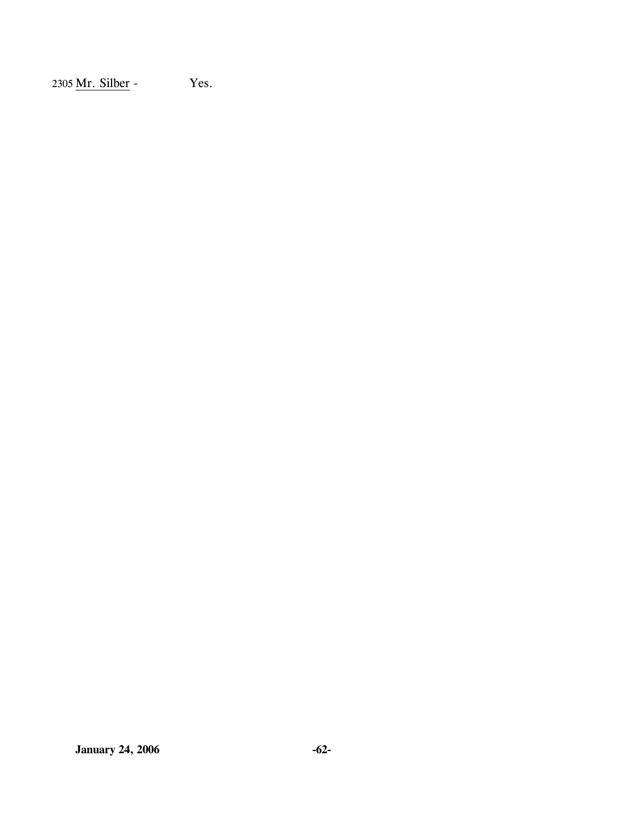2305 <u>Mr. Silber</u> - Yes.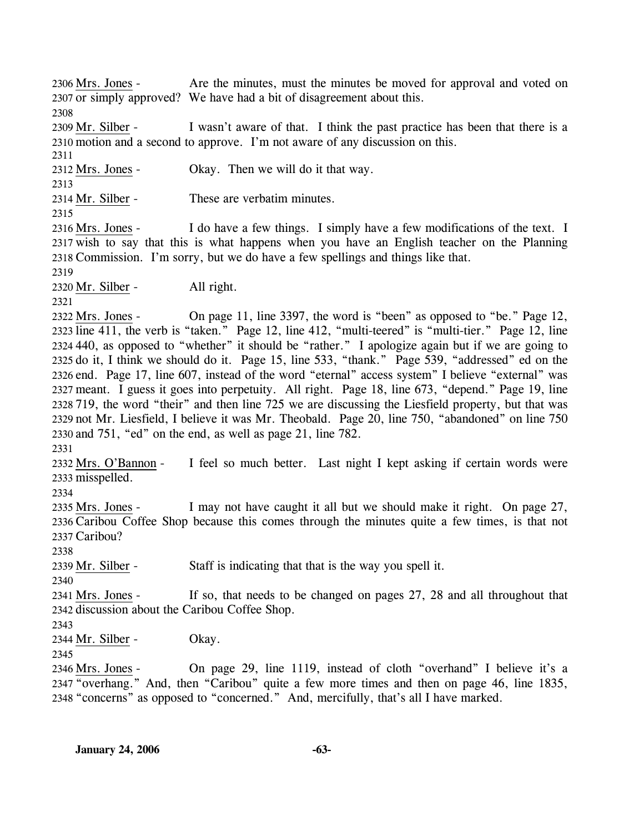Are the minutes, must the minutes be moved for approval and voted on 2307 or simply approved? We have had a bit of disagreement about this. 2306 Mrs. Jones -

2308

I wasn't aware of that. I think the past practice has been that there is a 2310 motion and a second to approve. I'm not aware of any discussion on this. 2309 Mr. Silber -

2311

2312 Mrs. Jones - Okay. Then we will do it that way.

2313

2314 Mr. Silber - These are verbatim minutes.

2315

I do have a few things. I simply have a few modifications of the text. I 2317 wish to say that this is what happens when you have an English teacher on the Planning 2318 Commission. I'm sorry, but we do have a few spellings and things like that. 2316 Mrs. Jones -

2319

2320 Mr. Silber - All right.

2321

On page 11, line 3397, the word is "been" as opposed to "be." Page 12, 2323 line 411, the verb is "taken." Page 12, line 412, "multi-teered" is "multi-tier." Page 12, line 2324 440, as opposed to "whether" it should be "rather." I apologize again but if we are going to 2325 do it, I think we should do it. Page 15, line 533, "thank." Page 539, "addressed" ed on the 2326 end. Page 17, line 607, instead of the word "eternal" access system" I believe "external" was 2327 meant. I guess it goes into perpetuity. All right. Page 18, line 673, "depend." Page 19, line 2328 719, the word "their" and then line 725 we are discussing the Liesfield property, but that was 2329 not Mr. Liesfield, I believe it was Mr. Theobald. Page 20, line 750, "abandoned" on line 750 2330 and  $751$ , "ed" on the end, as well as page  $21$ , line  $782$ . 2322 Mrs. Jones -

2331

I feel so much better. Last night I kept asking if certain words were 2333 misspelled. 2332 Mrs. O'Bannon -

2334

I may not have caught it all but we should make it right. On page 27, 2336 Caribou Coffee Shop because this comes through the minutes quite a few times, is that not Caribou? 2337 2335 Mrs. Jones -

2338

2339 Mr. Silber - Staff is indicating that that is the way you spell it.

2340

If so, that needs to be changed on pages 27, 28 and all throughout that 2342 discussion about the Caribou Coffee Shop. 2341 Mrs. Jones -

2343

2344 Mr. Silber - Okay.

2345

On page 29, line 1119, instead of cloth "overhand" I believe it's a 2347 "overhang." And, then "Caribou" quite a few more times and then on page 46, line 1835, 2348 "concerns" as opposed to "concerned." And, mercifully, that's all I have marked. 2346 Mrs. Jones -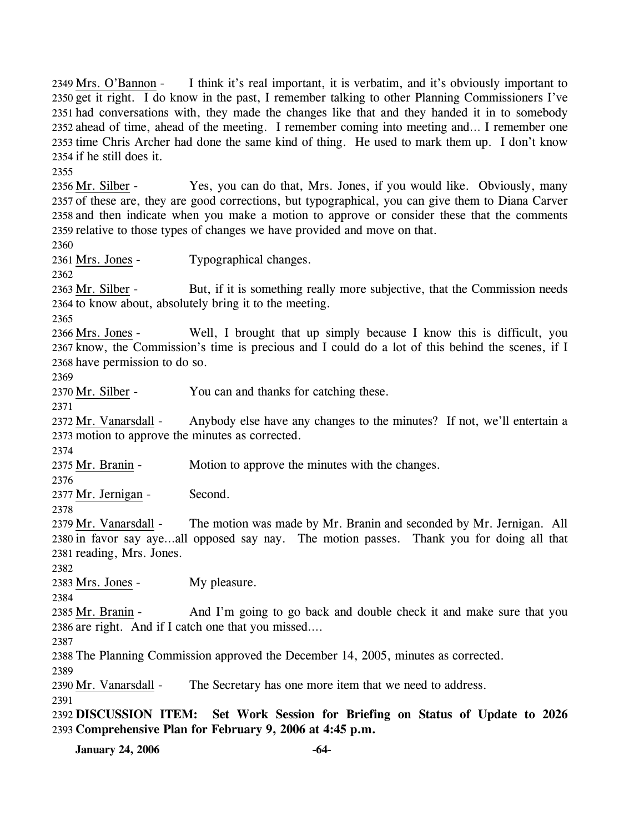I think it's real important, it is verbatim, and it's obviously important to 2350 get it right. I do know in the past, I remember talking to other Planning Commissioners I've 2351 had conversations with, they made the changes like that and they handed it in to somebody 2352 ahead of time, ahead of the meeting. I remember coming into meeting and... I remember one 2353 time Chris Archer had done the same kind of thing. He used to mark them up. I don't know 2354 if he still does it.  $2349$  Mrs. O'Bannon -2355 Yes, you can do that, Mrs. Jones, if you would like. Obviously, many 2357 of these are, they are good corrections, but typographical, you can give them to Diana Carver 2358 and then indicate when you make a motion to approve or consider these that the comments 2359 relative to those types of changes we have provided and move on that. 2356 Mr. Silber -2360 2361 Mrs. Jones - Typographical changes. 2362 But, if it is something really more subjective, that the Commission needs 2364 to know about, absolutely bring it to the meeting. 2363 Mr. Silber -2365 Well, I brought that up simply because I know this is difficult, you 2367 know, the Commission's time is precious and I could do a lot of this behind the scenes, if I 2368 have permission to do so. 2366 Mrs. Jones -2369 2370 Mr. Silber - You can and thanks for catching these. 2371 Anybody else have any changes to the minutes? If not, we'll entertain a 2373 motion to approve the minutes as corrected. 2372 Mr. Vanarsdall -2374 2375 Mr. Branin - Motion to approve the minutes with the changes. 2376 2377 Mr. Jernigan - Second. 2378 The motion was made by Mr. Branin and seconded by Mr. Jernigan. All 2380 in favor say aye…all opposed say nay. The motion passes. Thank you for doing all that 2381 reading, Mrs. Jones. 2379 Mr. Vanarsdall -2382 2383 Mrs. Jones - My pleasure. 2384 And I'm going to go back and double check it and make sure that you 2386 are right. And if I catch one that you missed.... 2385 Mr. Branin -2387 2388 The Planning Commission approved the December 14, 2005, minutes as corrected. 2389 2390 Mr. Vanarsdall - The Secretary has one more item that we need to address. 2391 2392 DISCUSSION ITEM: 2393 **Comprehensive Plan for February 9, 2006 at 4:45 p.m. Driff** Session for Briefing on Status of Update to 2026

**January 24, 2006 -64-**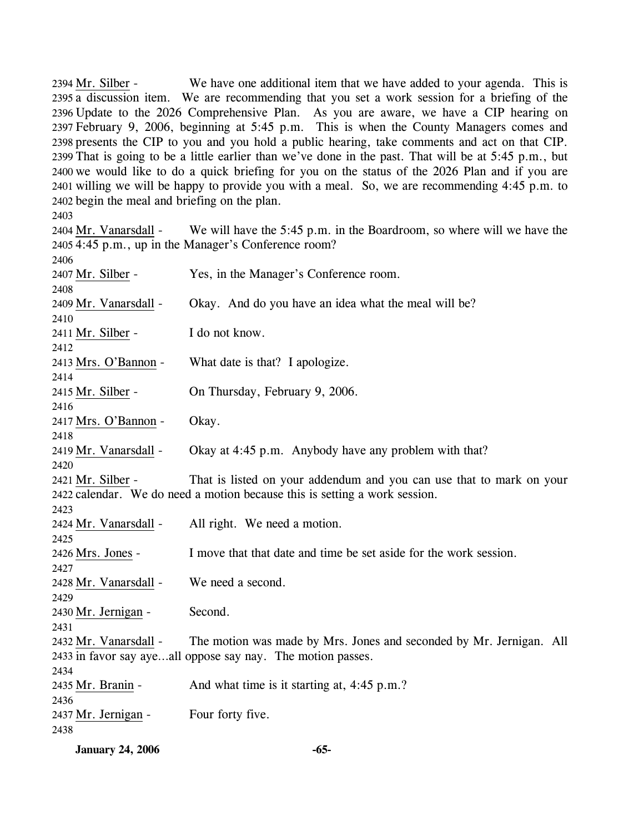We have one additional item that we have added to your agenda. This is 2395 a discussion item. We are recommending that you set a work session for a briefing of the 2396 Update to the 2026 Comprehensive Plan. As you are aware, we have a CIP hearing on 2397 February 9, 2006, beginning at 5:45 p.m. This is when the County Managers comes and 2398 presents the CIP to you and you hold a public hearing, take comments and act on that CIP. 2399 That is going to be a little earlier than we've done in the past. That will be at 5:45 p.m., but 2400 we would like to do a quick briefing for you on the status of the 2026 Plan and if you are 2401 willing we will be happy to provide you with a meal. So, we are recommending  $4:45$  p.m. to 2402 begin the meal and briefing on the plan. 2394 Mr. Silber -

| ٠<br>I<br>× |
|-------------|
|-------------|

| 2404 Mr. Vanarsdall -         | We will have the 5:45 p.m. in the Boardroom, so where will we have the     |
|-------------------------------|----------------------------------------------------------------------------|
|                               | 2405 4:45 p.m., up in the Manager's Conference room?                       |
| 2406                          |                                                                            |
| 2407 Mr. Silber -             | Yes, in the Manager's Conference room.                                     |
| 2408                          |                                                                            |
| 2409 Mr. Vanarsdall -         | Okay. And do you have an idea what the meal will be?                       |
| 2410                          |                                                                            |
| 2411 Mr. Silber -             | I do not know.                                                             |
| 2412                          |                                                                            |
| 2413 Mrs. O'Bannon -          | What date is that? I apologize.                                            |
| 2414                          |                                                                            |
| 2415 Mr. Silber -             | On Thursday, February 9, 2006.                                             |
| 2416                          |                                                                            |
| 2417 Mrs. O'Bannon -          | Okay.                                                                      |
| 2418                          |                                                                            |
| 2419 Mr. Vanarsdall -         | Okay at 4:45 p.m. Anybody have any problem with that?                      |
| 2420                          |                                                                            |
| 2421 Mr. Silber -             | That is listed on your addendum and you can use that to mark on your       |
|                               | 2422 calendar. We do need a motion because this is setting a work session. |
| 2423                          |                                                                            |
| 2424 Mr. Vanarsdall -         | All right. We need a motion.                                               |
| 2425                          |                                                                            |
| 2426 Mrs. Jones -             | I move that that date and time be set aside for the work session.          |
| 2427                          |                                                                            |
| 2428 Mr. Vanarsdall -         | We need a second.                                                          |
| 2429                          | Second.                                                                    |
| 2430 Mr. Jernigan -           |                                                                            |
| 2431<br>2432 Mr. Vanarsdall - | The motion was made by Mrs. Jones and seconded by Mr. Jernigan. All        |
|                               | 2433 in favor say ayeall oppose say nay. The motion passes.                |
| 2434                          |                                                                            |
| 2435 Mr. Branin -             | And what time is it starting at, 4:45 p.m.?                                |
| 2436                          |                                                                            |
| 2437 Mr. Jernigan -           | Four forty five.                                                           |
| 2438                          |                                                                            |
|                               |                                                                            |

**January 24, 2006 -65-**